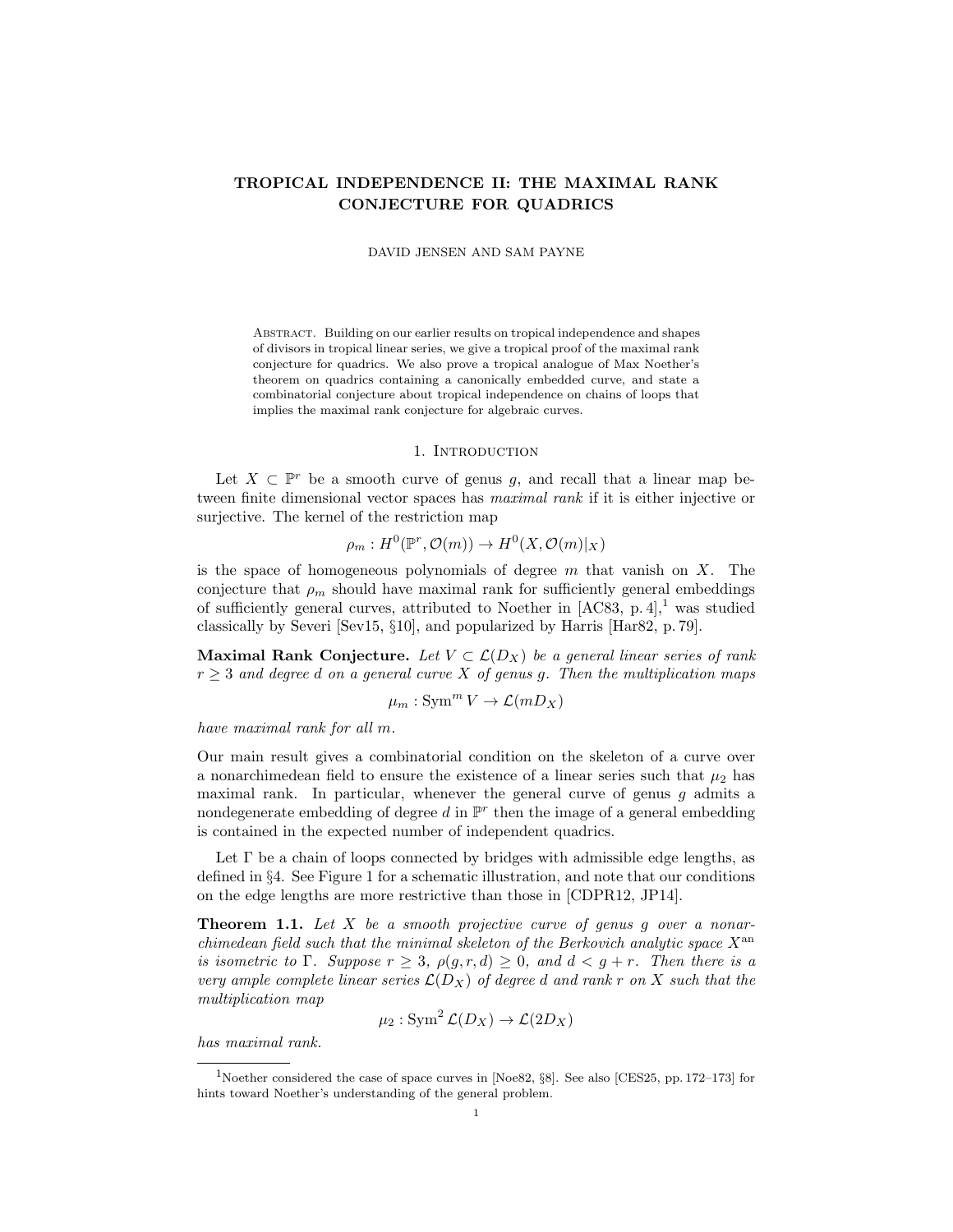# TROPICAL INDEPENDENCE II: THE MAXIMAL RANK CONJECTURE FOR QUADRICS

DAVID JENSEN AND SAM PAYNE

Abstract. Building on our earlier results on tropical independence and shapes of divisors in tropical linear series, we give a tropical proof of the maximal rank conjecture for quadrics. We also prove a tropical analogue of Max Noether's theorem on quadrics containing a canonically embedded curve, and state a combinatorial conjecture about tropical independence on chains of loops that implies the maximal rank conjecture for algebraic curves.

### 1. INTRODUCTION

Let  $X \subset \mathbb{P}^r$  be a smooth curve of genus g, and recall that a linear map between finite dimensional vector spaces has maximal rank if it is either injective or surjective. The kernel of the restriction map

$$
\rho_m: H^0(\mathbb{P}^r, \mathcal{O}(m)) \to H^0(X, \mathcal{O}(m)|_X)
$$

is the space of homogeneous polynomials of degree  $m$  that vanish on  $X$ . The conjecture that  $\rho_m$  should have maximal rank for sufficiently general embeddings of sufficiently general curves, attributed to Noether in  $[AC83, p. 4]$ ,<sup>1</sup> was studied classically by Severi [Sev15, §10], and popularized by Harris [Har82, p. 79].

Maximal Rank Conjecture. Let  $V \subset \mathcal{L}(D_X)$  be a general linear series of rank  $r \geq 3$  and degree d on a general curve X of genus g. Then the multiplication maps

$$
\mu_m: \operatorname{Sym}^m V \to \mathcal{L}(mD_X)
$$

have maximal rank for all m.

Our main result gives a combinatorial condition on the skeleton of a curve over a nonarchimedean field to ensure the existence of a linear series such that  $\mu_2$  has maximal rank. In particular, whenever the general curve of genus  $g$  admits a nondegenerate embedding of degree d in  $\mathbb{P}^r$  then the image of a general embedding is contained in the expected number of independent quadrics.

Let  $\Gamma$  be a chain of loops connected by bridges with admissible edge lengths, as defined in §4. See Figure 1 for a schematic illustration, and note that our conditions on the edge lengths are more restrictive than those in [CDPR12, JP14].

**Theorem 1.1.** Let  $X$  be a smooth projective curve of genus g over a nonarchimedean field such that the minimal skeleton of the Berkovich analytic space  $X^{\text{an}}$ is isometric to  $\Gamma$ . Suppose  $r \geq 3$ ,  $\rho(g, r, d) \geq 0$ , and  $d < g + r$ . Then there is a very ample complete linear series  $\mathcal{L}(D_X)$  of degree d and rank r on X such that the multiplication map

$$
\mu_2: \operatorname{Sym}^2 \mathcal{L}(D_X) \to \mathcal{L}(2D_X)
$$

has maximal rank.

<sup>1</sup>Noether considered the case of space curves in [Noe82, §8]. See also [CES25, pp. 172–173] for hints toward Noether's understanding of the general problem.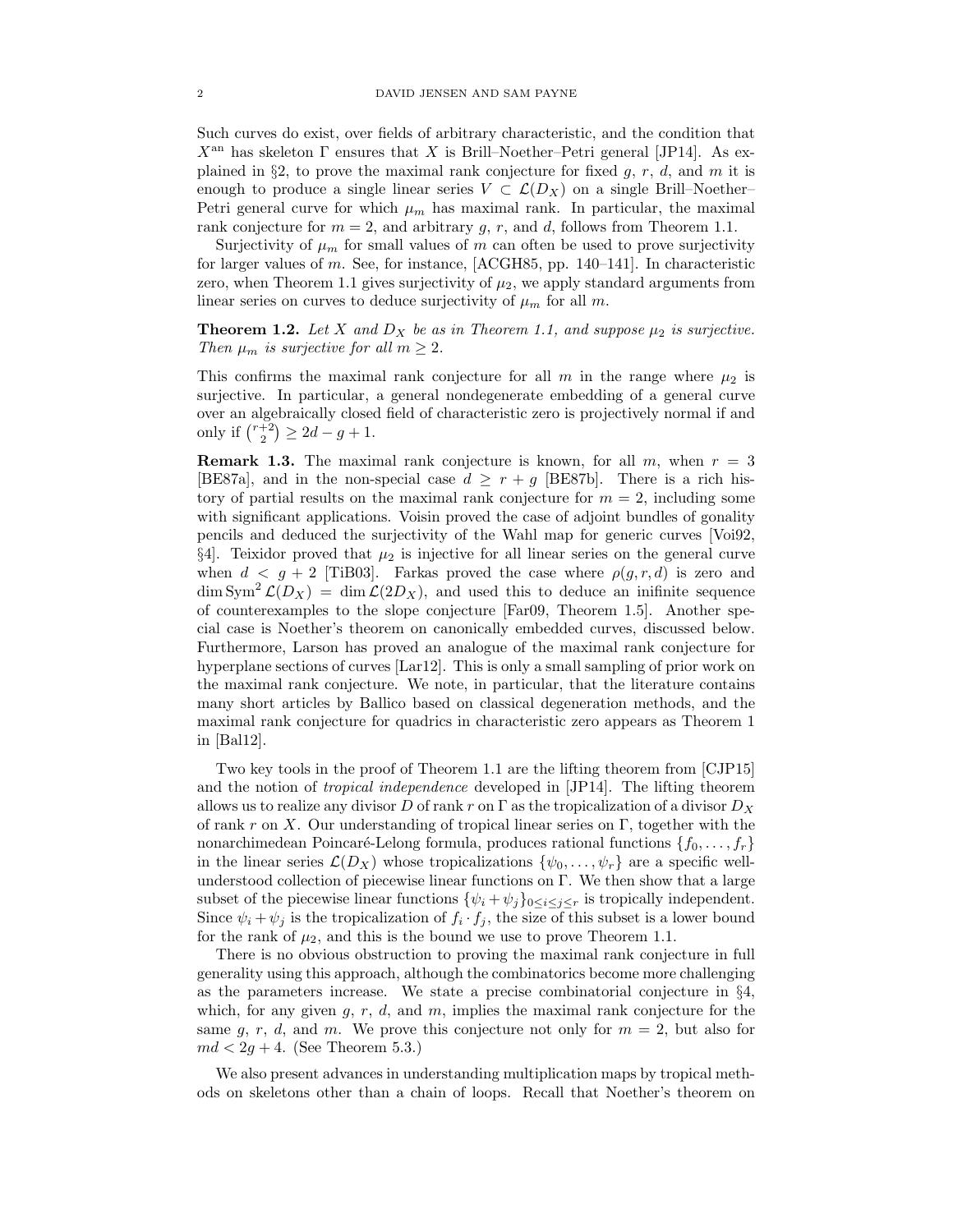Such curves do exist, over fields of arbitrary characteristic, and the condition that  $X<sup>an</sup>$  has skeleton  $\Gamma$  ensures that X is Brill–Noether–Petri general [JP14]. As explained in §2, to prove the maximal rank conjecture for fixed g, r, d, and m it is enough to produce a single linear series  $V \subset \mathcal{L}(D_X)$  on a single Brill–Noether– Petri general curve for which  $\mu_m$  has maximal rank. In particular, the maximal rank conjecture for  $m = 2$ , and arbitrary g, r, and d, follows from Theorem 1.1.

Surjectivity of  $\mu_m$  for small values of m can often be used to prove surjectivity for larger values of m. See, for instance, [ACGH85, pp. 140–141]. In characteristic zero, when Theorem 1.1 gives surjectivity of  $\mu_2$ , we apply standard arguments from linear series on curves to deduce surjectivity of  $\mu_m$  for all m.

**Theorem 1.2.** Let X and  $D_X$  be as in Theorem 1.1, and suppose  $\mu_2$  is surjective. Then  $\mu_m$  is surjective for all  $m \geq 2$ .

This confirms the maximal rank conjecture for all m in the range where  $\mu_2$  is surjective. In particular, a general nondegenerate embedding of a general curve over an algebraically closed field of characteristic zero is projectively normal if and only if  $\binom{r+2}{2} \ge 2d-g+1$ .

**Remark 1.3.** The maximal rank conjecture is known, for all m, when  $r = 3$ [BE87a], and in the non-special case  $d \geq r + q$  [BE87b]. There is a rich history of partial results on the maximal rank conjecture for  $m = 2$ , including some with significant applications. Voisin proved the case of adjoint bundles of gonality pencils and deduced the surjectivity of the Wahl map for generic curves [Voi92,  $\S4$ . Teixidor proved that  $\mu_2$  is injective for all linear series on the general curve when  $d < g + 2$  [TiB03]. Farkas proved the case where  $\rho(g, r, d)$  is zero and  $\dim \text{Sym}^2 \mathcal{L}(D_X) = \dim \mathcal{L}(2D_X)$ , and used this to deduce an inifinite sequence of counterexamples to the slope conjecture [Far09, Theorem 1.5]. Another special case is Noether's theorem on canonically embedded curves, discussed below. Furthermore, Larson has proved an analogue of the maximal rank conjecture for hyperplane sections of curves [Lar12]. This is only a small sampling of prior work on the maximal rank conjecture. We note, in particular, that the literature contains many short articles by Ballico based on classical degeneration methods, and the maximal rank conjecture for quadrics in characteristic zero appears as Theorem 1 in [Bal12].

Two key tools in the proof of Theorem 1.1 are the lifting theorem from [CJP15] and the notion of tropical independence developed in [JP14]. The lifting theorem allows us to realize any divisor D of rank r on  $\Gamma$  as the tropicalization of a divisor  $D_X$ of rank r on X. Our understanding of tropical linear series on  $\Gamma$ , together with the nonarchimedean Poincaré-Lelong formula, produces rational functions  $\{f_0, \ldots, f_r\}$ in the linear series  $\mathcal{L}(D_X)$  whose tropicalizations  $\{\psi_0, \ldots, \psi_r\}$  are a specific wellunderstood collection of piecewise linear functions on Γ. We then show that a large subset of the piecewise linear functions  $\{\psi_i + \psi_j\}_{0 \leq i \leq j \leq r}$  is tropically independent. Since  $\psi_i + \psi_j$  is the tropicalization of  $f_i \cdot f_j$ , the size of this subset is a lower bound for the rank of  $\mu_2$ , and this is the bound we use to prove Theorem 1.1.

There is no obvious obstruction to proving the maximal rank conjecture in full generality using this approach, although the combinatorics become more challenging as the parameters increase. We state a precise combinatorial conjecture in §4, which, for any given  $q, r, d$ , and  $m$ , implies the maximal rank conjecture for the same g, r, d, and m. We prove this conjecture not only for  $m = 2$ , but also for  $md < 2g + 4.$  (See Theorem 5.3.)

We also present advances in understanding multiplication maps by tropical methods on skeletons other than a chain of loops. Recall that Noether's theorem on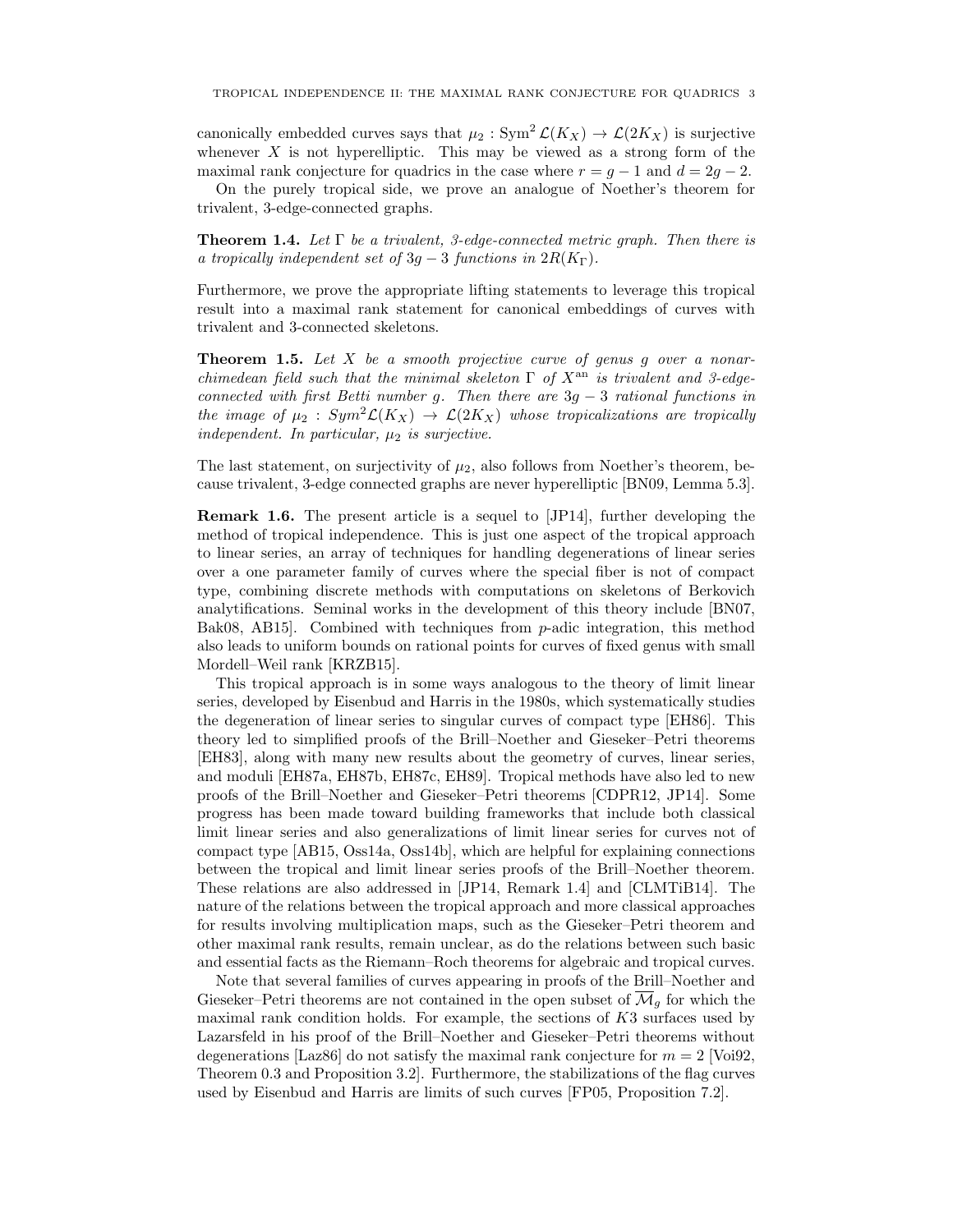canonically embedded curves says that  $\mu_2 : Sym^2 \mathcal{L}(K_X) \to \mathcal{L}(2K_X)$  is surjective whenever  $X$  is not hyperelliptic. This may be viewed as a strong form of the maximal rank conjecture for quadrics in the case where  $r = g - 1$  and  $d = 2g - 2$ .

On the purely tropical side, we prove an analogue of Noether's theorem for trivalent, 3-edge-connected graphs.

**Theorem 1.4.** Let  $\Gamma$  be a trivalent, 3-edge-connected metric graph. Then there is a tropically independent set of  $3q-3$  functions in  $2R(K_{\Gamma})$ .

Furthermore, we prove the appropriate lifting statements to leverage this tropical result into a maximal rank statement for canonical embeddings of curves with trivalent and 3-connected skeletons.

**Theorem 1.5.** Let  $X$  be a smooth projective curve of genus  $g$  over a nonarchimedean field such that the minimal skeleton  $\Gamma$  of  $X^{\text{an}}$  is trivalent and 3-edgeconnected with first Betti number g. Then there are  $3g - 3$  rational functions in the image of  $\mu_2$ :  $Sym^2 \mathcal{L}(K_X) \rightarrow \mathcal{L}(2K_X)$  whose tropicalizations are tropically independent. In particular,  $\mu_2$  is surjective.

The last statement, on surjectivity of  $\mu_2$ , also follows from Noether's theorem, because trivalent, 3-edge connected graphs are never hyperelliptic [BN09, Lemma 5.3].

Remark 1.6. The present article is a sequel to [JP14], further developing the method of tropical independence. This is just one aspect of the tropical approach to linear series, an array of techniques for handling degenerations of linear series over a one parameter family of curves where the special fiber is not of compact type, combining discrete methods with computations on skeletons of Berkovich analytifications. Seminal works in the development of this theory include [BN07, Bak08, AB15]. Combined with techniques from p-adic integration, this method also leads to uniform bounds on rational points for curves of fixed genus with small Mordell–Weil rank [KRZB15].

This tropical approach is in some ways analogous to the theory of limit linear series, developed by Eisenbud and Harris in the 1980s, which systematically studies the degeneration of linear series to singular curves of compact type [EH86]. This theory led to simplified proofs of the Brill–Noether and Gieseker–Petri theorems [EH83], along with many new results about the geometry of curves, linear series, and moduli [EH87a, EH87b, EH87c, EH89]. Tropical methods have also led to new proofs of the Brill–Noether and Gieseker–Petri theorems [CDPR12, JP14]. Some progress has been made toward building frameworks that include both classical limit linear series and also generalizations of limit linear series for curves not of compact type [AB15, Oss14a, Oss14b], which are helpful for explaining connections between the tropical and limit linear series proofs of the Brill–Noether theorem. These relations are also addressed in [JP14, Remark 1.4] and [CLMTiB14]. The nature of the relations between the tropical approach and more classical approaches for results involving multiplication maps, such as the Gieseker–Petri theorem and other maximal rank results, remain unclear, as do the relations between such basic and essential facts as the Riemann–Roch theorems for algebraic and tropical curves.

Note that several families of curves appearing in proofs of the Brill–Noether and Gieseker–Petri theorems are not contained in the open subset of  $\overline{\mathcal{M}}_q$  for which the maximal rank condition holds. For example, the sections of K3 surfaces used by Lazarsfeld in his proof of the Brill–Noether and Gieseker–Petri theorems without degenerations [Laz86] do not satisfy the maximal rank conjecture for  $m = 2$  [Voi92, Theorem 0.3 and Proposition 3.2]. Furthermore, the stabilizations of the flag curves used by Eisenbud and Harris are limits of such curves [FP05, Proposition 7.2].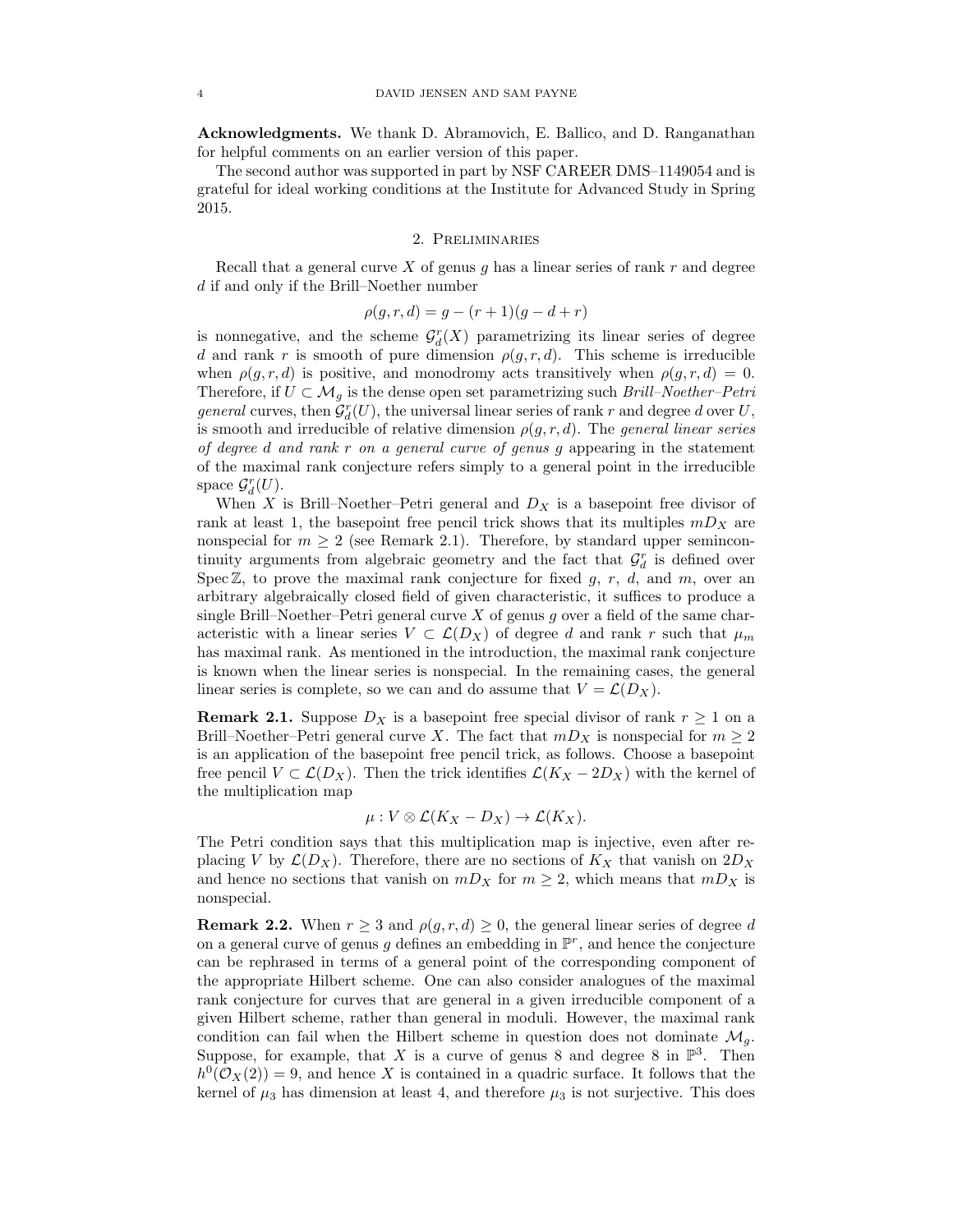Acknowledgments. We thank D. Abramovich, E. Ballico, and D. Ranganathan for helpful comments on an earlier version of this paper.

The second author was supported in part by NSF CAREER DMS–1149054 and is grateful for ideal working conditions at the Institute for Advanced Study in Spring 2015.

# 2. Preliminaries

Recall that a general curve  $X$  of genus  $g$  has a linear series of rank  $r$  and degree d if and only if the Brill–Noether number

$$
\rho(g, r, d) = g - (r + 1)(g - d + r)
$$

is nonnegative, and the scheme  $\mathcal{G}^r_d(X)$  parametrizing its linear series of degree d and rank r is smooth of pure dimension  $\rho(g, r, d)$ . This scheme is irreducible when  $\rho(g, r, d)$  is positive, and monodromy acts transitively when  $\rho(g, r, d) = 0$ . Therefore, if  $U \subset \mathcal{M}_q$  is the dense open set parametrizing such *Brill–Noether–Petri general* curves, then  $\mathcal{G}_d^r(U)$ , the universal linear series of rank r and degree d over U, is smooth and irreducible of relative dimension  $\rho(q, r, d)$ . The general linear series of degree d and rank r on a general curve of genus g appearing in the statement of the maximal rank conjecture refers simply to a general point in the irreducible space  $\mathcal{G}_d^r(U)$ .

When X is Brill–Noether–Petri general and  $D_X$  is a basepoint free divisor of rank at least 1, the basepoint free pencil trick shows that its multiples  $mD_X$  are nonspecial for  $m \geq 2$  (see Remark 2.1). Therefore, by standard upper semincontinuity arguments from algebraic geometry and the fact that  $\mathcal{G}_d^r$  is defined over Spec  $\mathbb{Z}$ , to prove the maximal rank conjecture for fixed g, r, d, and m, over an arbitrary algebraically closed field of given characteristic, it suffices to produce a single Brill–Noether–Petri general curve  $X$  of genus  $g$  over a field of the same characteristic with a linear series  $V \subset \mathcal{L}(D_X)$  of degree d and rank r such that  $\mu_m$ has maximal rank. As mentioned in the introduction, the maximal rank conjecture is known when the linear series is nonspecial. In the remaining cases, the general linear series is complete, so we can and do assume that  $V = \mathcal{L}(D_X)$ .

**Remark 2.1.** Suppose  $D_X$  is a basepoint free special divisor of rank  $r \geq 1$  on a Brill–Noether–Petri general curve X. The fact that  $mD_X$  is nonspecial for  $m \geq 2$ is an application of the basepoint free pencil trick, as follows. Choose a basepoint free pencil  $V \subset \mathcal{L}(D_X)$ . Then the trick identifies  $\mathcal{L}(K_X - 2D_X)$  with the kernel of the multiplication map

$$
\mu: V \otimes \mathcal{L}(K_X - D_X) \to \mathcal{L}(K_X).
$$

The Petri condition says that this multiplication map is injective, even after replacing V by  $\mathcal{L}(D_X)$ . Therefore, there are no sections of  $K_X$  that vanish on  $2D_X$ and hence no sections that vanish on  $mD_X$  for  $m \geq 2$ , which means that  $mD_X$  is nonspecial.

**Remark 2.2.** When  $r \geq 3$  and  $\rho(q, r, d) \geq 0$ , the general linear series of degree d on a general curve of genus g defines an embedding in  $\mathbb{P}^r$ , and hence the conjecture can be rephrased in terms of a general point of the corresponding component of the appropriate Hilbert scheme. One can also consider analogues of the maximal rank conjecture for curves that are general in a given irreducible component of a given Hilbert scheme, rather than general in moduli. However, the maximal rank condition can fail when the Hilbert scheme in question does not dominate  $\mathcal{M}_q$ . Suppose, for example, that X is a curve of genus 8 and degree 8 in  $\mathbb{P}^3$ . Then  $h^0(\mathcal{O}_X(2)) = 9$ , and hence X is contained in a quadric surface. It follows that the kernel of  $\mu_3$  has dimension at least 4, and therefore  $\mu_3$  is not surjective. This does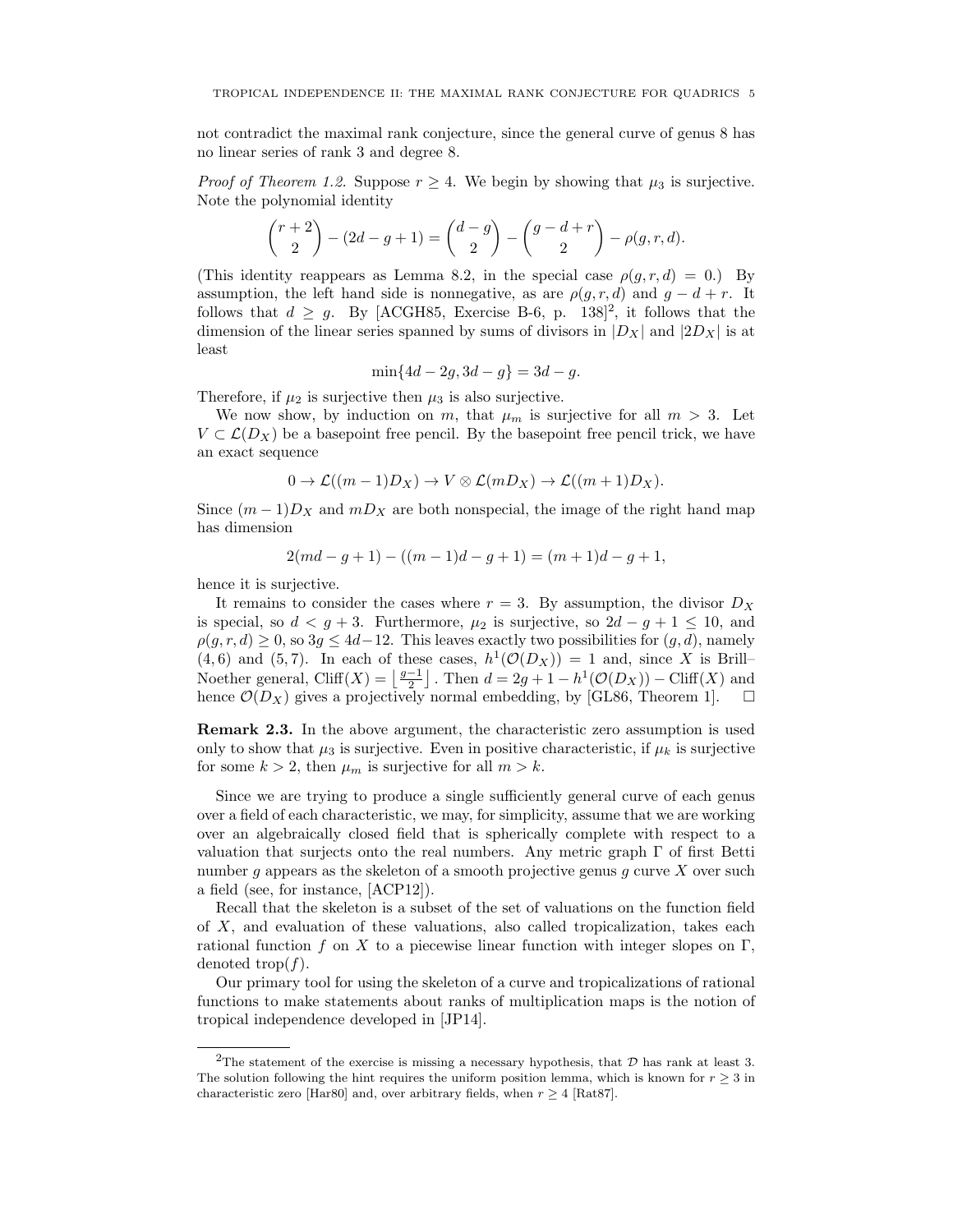not contradict the maximal rank conjecture, since the general curve of genus 8 has no linear series of rank 3 and degree 8.

*Proof of Theorem 1.2.* Suppose  $r \geq 4$ . We begin by showing that  $\mu_3$  is surjective. Note the polynomial identity

$$
\binom{r+2}{2} - (2d - g + 1) = \binom{d-g}{2} - \binom{g-d+r}{2} - \rho(g, r, d).
$$

(This identity reappears as Lemma 8.2, in the special case  $\rho(g, r, d) = 0$ .) By assumption, the left hand side is nonnegative, as are  $\rho(g, r, d)$  and  $g - d + r$ . It follows that  $d \geq g$ . By [ACGH85, Exercise B-6, p. 138]<sup>2</sup>, it follows that the dimension of the linear series spanned by sums of divisors in  $|D_X|$  and  $|2D_X|$  is at least

$$
\min\{4d - 2g, 3d - g\} = 3d - g.
$$

Therefore, if  $\mu_2$  is surjective then  $\mu_3$  is also surjective.

We now show, by induction on m, that  $\mu_m$  is surjective for all  $m > 3$ . Let  $V \subset \mathcal{L}(D_X)$  be a basepoint free pencil. By the basepoint free pencil trick, we have an exact sequence

$$
0 \to \mathcal{L}((m-1)D_X) \to V \otimes \mathcal{L}(mD_X) \to \mathcal{L}((m+1)D_X).
$$

Since  $(m-1)D_X$  and  $mD_X$  are both nonspecial, the image of the right hand map has dimension

$$
2(md - g + 1) - ((m - 1)d - g + 1) = (m + 1)d - g + 1,
$$

hence it is surjective.

It remains to consider the cases where  $r = 3$ . By assumption, the divisor  $D<sub>X</sub>$ is special, so  $d < g + 3$ . Furthermore,  $\mu_2$  is surjective, so  $2d - g + 1 \leq 10$ , and  $\rho(q, r, d) \geq 0$ , so  $3q \leq 4d-12$ . This leaves exactly two possibilities for  $(q, d)$ , namely  $(4, 6)$  and  $(5, 7)$ . In each of these cases,  $h^1(\mathcal{O}(D_X)) = 1$  and, since X is Brill– Noether general, Cliff(X) =  $\left\lfloor \frac{g-1}{2} \right\rfloor$ . Then  $d = 2g + 1 - h^1(\mathcal{O}(D_X)) - \text{Cliff}(X)$  and hence  $\mathcal{O}(D_X)$  gives a projectively normal embedding, by [GL86, Theorem 1].

Remark 2.3. In the above argument, the characteristic zero assumption is used only to show that  $\mu_3$  is surjective. Even in positive characteristic, if  $\mu_k$  is surjective for some  $k > 2$ , then  $\mu_m$  is surjective for all  $m > k$ .

Since we are trying to produce a single sufficiently general curve of each genus over a field of each characteristic, we may, for simplicity, assume that we are working over an algebraically closed field that is spherically complete with respect to a valuation that surjects onto the real numbers. Any metric graph  $\Gamma$  of first Betti number q appears as the skeleton of a smooth projective genus q curve  $X$  over such a field (see, for instance, [ACP12]).

Recall that the skeleton is a subset of the set of valuations on the function field of X, and evaluation of these valuations, also called tropicalization, takes each rational function f on X to a piecewise linear function with integer slopes on Γ, denoted trop $(f)$ .

Our primary tool for using the skeleton of a curve and tropicalizations of rational functions to make statements about ranks of multiplication maps is the notion of tropical independence developed in [JP14].

<sup>&</sup>lt;sup>2</sup>The statement of the exercise is missing a necessary hypothesis, that  $D$  has rank at least 3. The solution following the hint requires the uniform position lemma, which is known for  $r \geq 3$  in characteristic zero [Har80] and, over arbitrary fields, when  $r \geq 4$  [Rat87].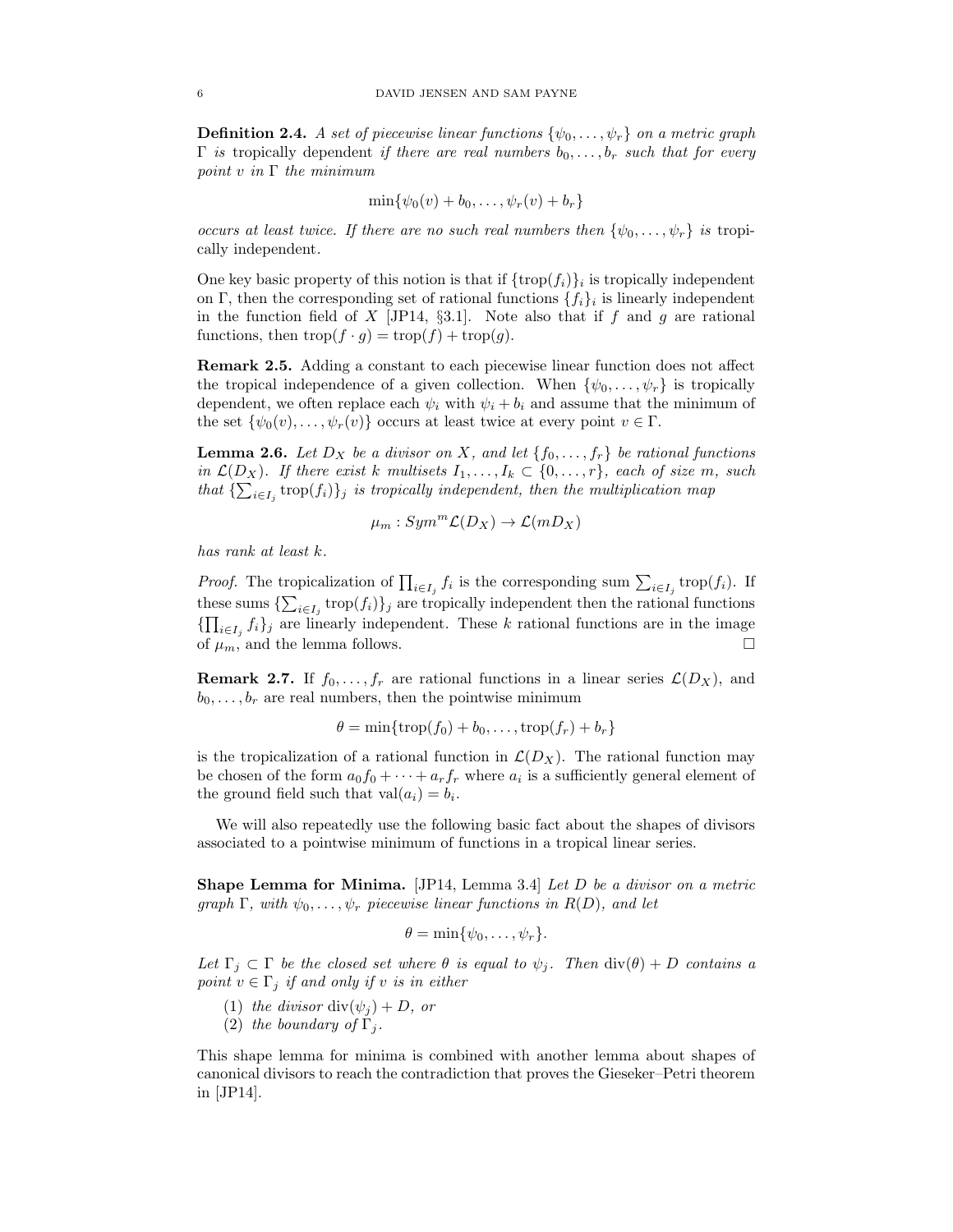**Definition 2.4.** A set of piecewise linear functions  $\{\psi_0, \ldots, \psi_r\}$  on a metric graph  $\Gamma$  is tropically dependent if there are real numbers  $b_0, \ldots, b_r$  such that for every point v in  $\Gamma$  the minimum

$$
\min\{\psi_0(v)+b_0,\ldots,\psi_r(v)+b_r\}
$$

occurs at least twice. If there are no such real numbers then  $\{\psi_0, \ldots, \psi_r\}$  is tropically independent.

One key basic property of this notion is that if  $\{\text{trop}(f_i)\}_i$  is tropically independent on Γ, then the corresponding set of rational functions  $\{f_i\}_i$  is linearly independent in the function field of X [JP14,  $\S3.1$ ]. Note also that if f and g are rational functions, then  $\text{trop}(f \cdot q) = \text{trop}(f) + \text{trop}(q)$ .

Remark 2.5. Adding a constant to each piecewise linear function does not affect the tropical independence of a given collection. When  $\{\psi_0, \ldots, \psi_r\}$  is tropically dependent, we often replace each  $\psi_i$  with  $\psi_i + b_i$  and assume that the minimum of the set  $\{\psi_0(v), \ldots, \psi_r(v)\}\$  occurs at least twice at every point  $v \in \Gamma$ .

**Lemma 2.6.** Let  $D_X$  be a divisor on X, and let  $\{f_0, \ldots, f_r\}$  be rational functions in  $\mathcal{L}(D_X)$ . If there exist k multisets  $I_1, \ldots, I_k \subset \{0, \ldots, r\}$ , each of size m, such that  $\{\sum_{i\in I_j} \operatorname{trop}(f_i)\}_j$  is tropically independent, then the multiplication map

$$
\mu_m:Sym^m \mathcal{L}(D_X) \to \mathcal{L}(mD_X)
$$

has rank at least k.

*Proof.* The tropicalization of  $\prod_{i \in I_j} f_i$  is the corresponding sum  $\sum_{i \in I_j} \text{trop}(f_i)$ . If these sums  $\{\sum_{i\in I_j} \text{trop}(f_i)\}_j$  are tropically independent then the rational functions  ${\{\prod_{i\in I_j} f_i\}_j}$  are linearly independent. These k rational functions are in the image of  $\mu_m$ , and the lemma follows.

**Remark 2.7.** If  $f_0, \ldots, f_r$  are rational functions in a linear series  $\mathcal{L}(D_X)$ , and  $b_0, \ldots, b_r$  are real numbers, then the pointwise minimum

$$
\theta = \min\{\operatorname{trop}(f_0) + b_0, \dots, \operatorname{trop}(f_r) + b_r\}
$$

is the tropicalization of a rational function in  $\mathcal{L}(D_X)$ . The rational function may be chosen of the form  $a_0 f_0 + \cdots + a_r f_r$  where  $a_i$  is a sufficiently general element of the ground field such that  $val(a_i) = b_i$ .

We will also repeatedly use the following basic fact about the shapes of divisors associated to a pointwise minimum of functions in a tropical linear series.

Shape Lemma for Minima. [JP14, Lemma 3.4] Let D be a divisor on a metric graph  $\Gamma$ , with  $\psi_0, \ldots, \psi_r$  piecewise linear functions in  $R(D)$ , and let

$$
\theta = \min\{\psi_0, \ldots, \psi_r\}.
$$

Let  $\Gamma_j \subset \Gamma$  be the closed set where  $\theta$  is equal to  $\psi_j$ . Then  $\text{div}(\theta) + D$  contains a point  $v \in \Gamma_j$  if and only if v is in either

- (1) the divisor div $(\psi_j) + D$ , or
- (2) the boundary of  $\Gamma_i$ .

This shape lemma for minima is combined with another lemma about shapes of canonical divisors to reach the contradiction that proves the Gieseker–Petri theorem in [JP14].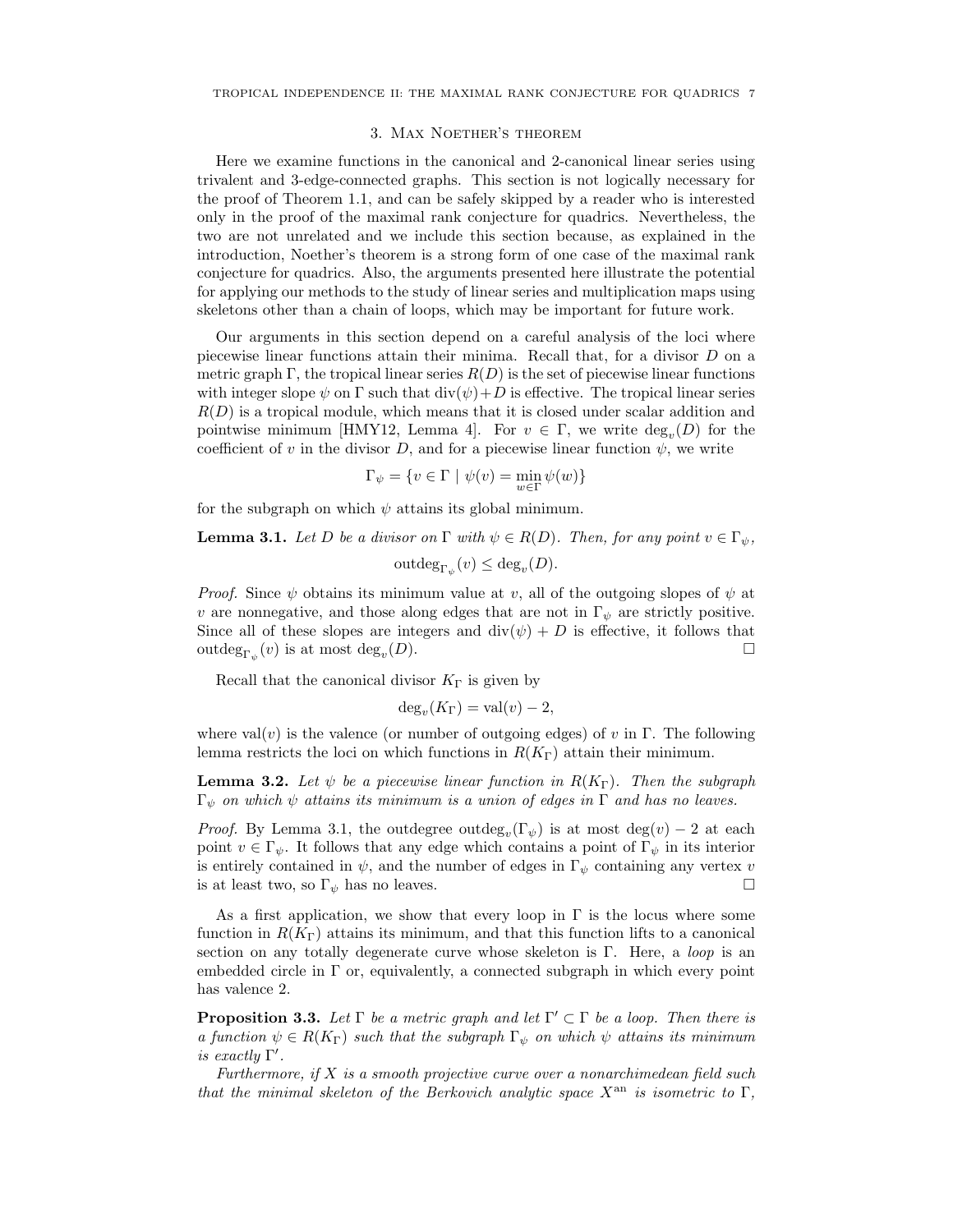#### 3. Max Noether's theorem

Here we examine functions in the canonical and 2-canonical linear series using trivalent and 3-edge-connected graphs. This section is not logically necessary for the proof of Theorem 1.1, and can be safely skipped by a reader who is interested only in the proof of the maximal rank conjecture for quadrics. Nevertheless, the two are not unrelated and we include this section because, as explained in the introduction, Noether's theorem is a strong form of one case of the maximal rank conjecture for quadrics. Also, the arguments presented here illustrate the potential for applying our methods to the study of linear series and multiplication maps using skeletons other than a chain of loops, which may be important for future work.

Our arguments in this section depend on a careful analysis of the loci where piecewise linear functions attain their minima. Recall that, for a divisor D on a metric graph Γ, the tropical linear series  $R(D)$  is the set of piecewise linear functions with integer slope  $\psi$  on  $\Gamma$  such that  $\text{div}(\psi) + D$  is effective. The tropical linear series  $R(D)$  is a tropical module, which means that it is closed under scalar addition and pointwise minimum [HMY12, Lemma 4]. For  $v \in \Gamma$ , we write  $\text{deg}_v(D)$  for the coefficient of v in the divisor D, and for a piecewise linear function  $\psi$ , we write

$$
\Gamma_{\psi} = \{ v \in \Gamma \mid \psi(v) = \min_{w \in \Gamma} \psi(w) \}
$$

for the subgraph on which  $\psi$  attains its global minimum.

**Lemma 3.1.** Let D be a divisor on  $\Gamma$  with  $\psi \in R(D)$ . Then, for any point  $v \in \Gamma_{\psi}$ ,

$$
outdeg_{\Gamma_{\psi}}(v) \le deg_v(D).
$$

*Proof.* Since  $\psi$  obtains its minimum value at v, all of the outgoing slopes of  $\psi$  at v are nonnegative, and those along edges that are not in  $\Gamma_{\psi}$  are strictly positive. Since all of these slopes are integers and  $\text{div}(\psi) + D$  is effective, it follows that outde $g_{\Gamma_{\psi}}(v)$  is at most deg<sub>v</sub>  $(D).$ 

Recall that the canonical divisor  $K_{\Gamma}$  is given by

$$
deg_v(K_{\Gamma}) = val(v) - 2,
$$

where val(v) is the valence (or number of outgoing edges) of v in Γ. The following lemma restricts the loci on which functions in  $R(K_{\Gamma})$  attain their minimum.

**Lemma 3.2.** Let  $\psi$  be a piecewise linear function in  $R(K_{\Gamma})$ . Then the subgraph  $\Gamma_{\psi}$  on which  $\psi$  attains its minimum is a union of edges in  $\Gamma$  and has no leaves.

*Proof.* By Lemma 3.1, the outdegree outdeg<sub>v</sub> $(\Gamma_{\psi})$  is at most deg(v) – 2 at each point  $v \in \Gamma_{\psi}$ . It follows that any edge which contains a point of  $\Gamma_{\psi}$  in its interior is entirely contained in  $\psi$ , and the number of edges in  $\Gamma_{\psi}$  containing any vertex v is at least two, so  $\Gamma_{\psi}$  has no leaves.

As a first application, we show that every loop in  $\Gamma$  is the locus where some function in  $R(K_{\Gamma})$  attains its minimum, and that this function lifts to a canonical section on any totally degenerate curve whose skeleton is Γ. Here, a *loop* is an embedded circle in  $\Gamma$  or, equivalently, a connected subgraph in which every point has valence 2.

**Proposition 3.3.** Let  $\Gamma$  be a metric graph and let  $\Gamma' \subset \Gamma$  be a loop. Then there is a function  $\psi \in R(K_{\Gamma})$  such that the subgraph  $\Gamma_{\psi}$  on which  $\psi$  attains its minimum is exactly  $\Gamma'$ .

Furthermore, if X is a smooth projective curve over a nonarchimedean field such that the minimal skeleton of the Berkovich analytic space  $X^{an}$  is isometric to  $\Gamma$ ,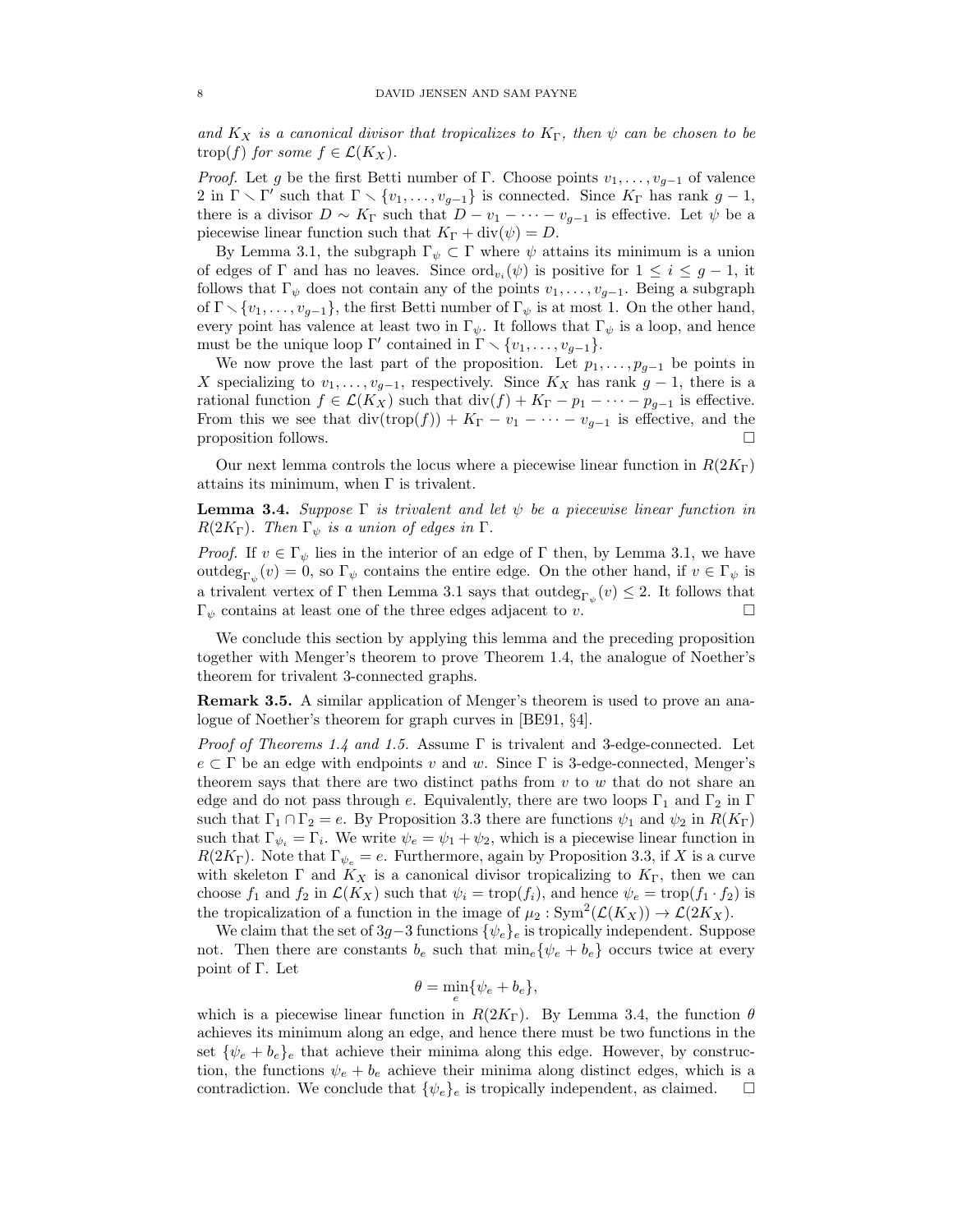and  $K_X$  is a canonical divisor that tropicalizes to  $K_{\Gamma}$ , then  $\psi$  can be chosen to be trop(f) for some  $f \in \mathcal{L}(K_X)$ .

*Proof.* Let g be the first Betti number of Γ. Choose points  $v_1, \ldots, v_{q-1}$  of valence 2 in  $\Gamma \setminus \Gamma'$  such that  $\Gamma \setminus \{v_1, \ldots, v_{g-1}\}$  is connected. Since  $K_{\Gamma}$  has rank  $g-1$ , there is a divisor  $D \sim K_{\Gamma}$  such that  $D - v_1 - \cdots - v_{g-1}$  is effective. Let  $\psi$  be a piecewise linear function such that  $K_{\Gamma} + \text{div}(\psi) = D$ .

By Lemma 3.1, the subgraph  $\Gamma_{\psi} \subset \Gamma$  where  $\psi$  attains its minimum is a union of edges of  $\Gamma$  and has no leaves. Since  $\text{ord}_{v_i}(\psi)$  is positive for  $1 \leq i \leq g-1$ , it follows that  $\Gamma_{\psi}$  does not contain any of the points  $v_1, \ldots, v_{g-1}$ . Being a subgraph of  $\Gamma \setminus \{v_1, \ldots, v_{g-1}\},$  the first Betti number of  $\Gamma_{\psi}$  is at most 1. On the other hand, every point has valence at least two in  $\Gamma_{\psi}$ . It follows that  $\Gamma_{\psi}$  is a loop, and hence must be the unique loop  $\Gamma'$  contained in  $\Gamma \setminus \{v_1, \ldots, v_{g-1}\}.$ 

We now prove the last part of the proposition. Let  $p_1, \ldots, p_{g-1}$  be points in X specializing to  $v_1, \ldots, v_{g-1}$ , respectively. Since  $K_X$  has rank  $g-1$ , there is a rational function  $f \in \mathcal{L}(K_X)$  such that  $\text{div}(f) + K_{\Gamma} - p_1 - \cdots - p_{g-1}$  is effective. From this we see that  $\text{div}(\text{trop}(f)) + K_{\Gamma} - v_1 - \cdots - v_{g-1}$  is effective, and the proposition follows.  $\Box$ 

Our next lemma controls the locus where a piecewise linear function in  $R(2K_{\Gamma})$ attains its minimum, when Γ is trivalent.

**Lemma 3.4.** Suppose  $\Gamma$  is trivalent and let  $\psi$  be a piecewise linear function in  $R(2K_{\Gamma})$ . Then  $\Gamma_{\psi}$  is a union of edges in  $\Gamma$ .

*Proof.* If  $v \in \Gamma_{\psi}$  lies in the interior of an edge of  $\Gamma$  then, by Lemma 3.1, we have outdeg<sub> $\Gamma_{\psi}(v) = 0$ , so  $\Gamma_{\psi}$  contains the entire edge. On the other hand, if  $v \in \Gamma_{\psi}$  is</sub> a trivalent vertex of  $\Gamma$  then Lemma 3.1 says that  $\text{outdeg}_{\Gamma_{\psi}}(v) \leq 2$ . It follows that  $\Gamma_{\psi}$  contains at least one of the three edges adjacent to v.

We conclude this section by applying this lemma and the preceding proposition together with Menger's theorem to prove Theorem 1.4, the analogue of Noether's theorem for trivalent 3-connected graphs.

Remark 3.5. A similar application of Menger's theorem is used to prove an analogue of Noether's theorem for graph curves in [BE91, §4].

*Proof of Theorems 1.4 and 1.5.* Assume  $\Gamma$  is trivalent and 3-edge-connected. Let  $e \subset \Gamma$  be an edge with endpoints v and w. Since  $\Gamma$  is 3-edge-connected, Menger's theorem says that there are two distinct paths from  $v$  to  $w$  that do not share an edge and do not pass through e. Equivalently, there are two loops  $\Gamma_1$  and  $\Gamma_2$  in  $\Gamma$ such that  $\Gamma_1 \cap \Gamma_2 = e$ . By Proposition 3.3 there are functions  $\psi_1$  and  $\psi_2$  in  $R(K_{\Gamma})$ such that  $\Gamma_{\psi_i} = \Gamma_i$ . We write  $\psi_e = \psi_1 + \psi_2$ , which is a piecewise linear function in  $R(2K_{\Gamma})$ . Note that  $\Gamma_{\psi_e} = e$ . Furthermore, again by Proposition 3.3, if X is a curve with skeleton  $\Gamma$  and  $K_X$  is a canonical divisor tropicalizing to  $K_{\Gamma}$ , then we can choose  $f_1$  and  $f_2$  in  $\mathcal{L}(K_X)$  such that  $\psi_i = \text{trop}(f_i)$ , and hence  $\psi_e = \text{trop}(f_1 \cdot f_2)$  is the tropicalization of a function in the image of  $\mu_2 : Sym^2(\mathcal{L}(K_X)) \to \mathcal{L}(2K_X)$ .

We claim that the set of  $3g-3$  functions  $\{\psi_e\}_e$  is tropically independent. Suppose not. Then there are constants  $b_e$  such that  $\min_e \{ \psi_e + b_e \}$  occurs twice at every point of Γ. Let

$$
\theta = \min_e \{ \psi_e + b_e \},\
$$

which is a piecewise linear function in  $R(2K_{\Gamma})$ . By Lemma 3.4, the function  $\theta$ achieves its minimum along an edge, and hence there must be two functions in the set  $\{\psi_e + b_e\}_e$  that achieve their minima along this edge. However, by construction, the functions  $\psi_e + b_e$  achieve their minima along distinct edges, which is a contradiction. We conclude that  $\{\psi_e\}_e$  is tropically independent, as claimed.  $\square$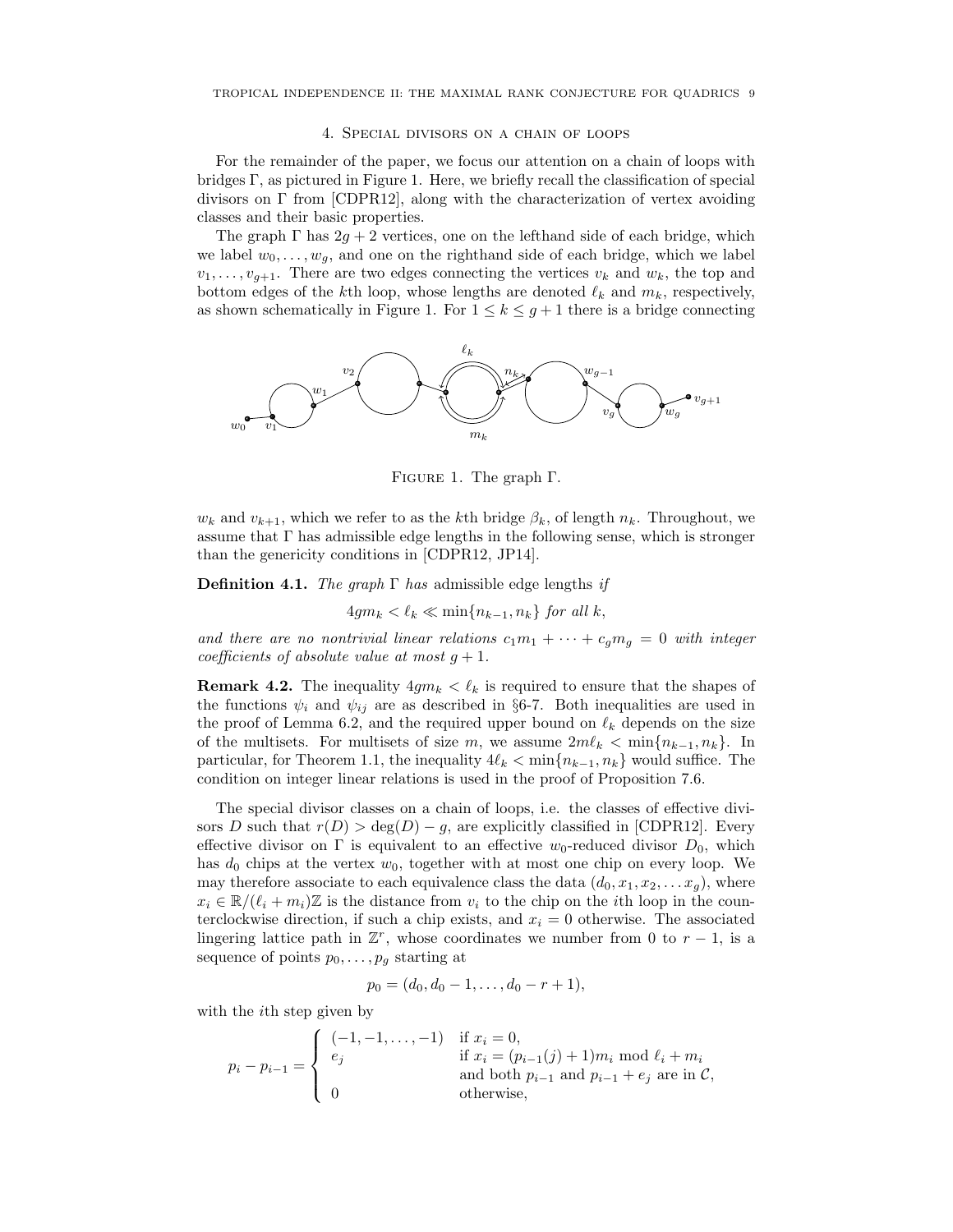#### 4. Special divisors on a chain of loops

For the remainder of the paper, we focus our attention on a chain of loops with bridges Γ, as pictured in Figure 1. Here, we briefly recall the classification of special divisors on Γ from [CDPR12], along with the characterization of vertex avoiding classes and their basic properties.

The graph  $\Gamma$  has  $2g + 2$  vertices, one on the lefthand side of each bridge, which we label  $w_0, \ldots, w_g$ , and one on the righthand side of each bridge, which we label  $v_1, \ldots, v_{q+1}$ . There are two edges connecting the vertices  $v_k$  and  $w_k$ , the top and bottom edges of the kth loop, whose lengths are denoted  $\ell_k$  and  $m_k$ , respectively, as shown schematically in Figure 1. For  $1 \leq k \leq g+1$  there is a bridge connecting



Figure 1. The graph Γ.

 $w_k$  and  $v_{k+1}$ , which we refer to as the kth bridge  $\beta_k$ , of length  $n_k$ . Throughout, we assume that  $\Gamma$  has admissible edge lengths in the following sense, which is stronger than the genericity conditions in [CDPR12, JP14].

**Definition 4.1.** The graph  $\Gamma$  has admissible edge lengths if

$$
4gm_k < \ell_k \ll \min\{n_{k-1}, n_k\} \text{ for all } k,
$$

and there are no nontrivial linear relations  $c_1m_1 + \cdots + c_qm_q = 0$  with integer coefficients of absolute value at most  $q + 1$ .

**Remark 4.2.** The inequality  $4gm_k < \ell_k$  is required to ensure that the shapes of the functions  $\psi_i$  and  $\psi_{ij}$  are as described in §6-7. Both inequalities are used in the proof of Lemma 6.2, and the required upper bound on  $\ell_k$  depends on the size of the multisets. For multisets of size m, we assume  $2m\ell_k < \min\{n_{k-1}, n_k\}$ . In particular, for Theorem 1.1, the inequality  $4\ell_k < \min\{n_{k-1}, n_k\}$  would suffice. The condition on integer linear relations is used in the proof of Proposition 7.6.

The special divisor classes on a chain of loops, i.e. the classes of effective divisors D such that  $r(D) > deg(D) - g$ , are explicitly classified in [CDPR12]. Every effective divisor on  $\Gamma$  is equivalent to an effective w<sub>0</sub>-reduced divisor  $D_0$ , which has  $d_0$  chips at the vertex  $w_0$ , together with at most one chip on every loop. We may therefore associate to each equivalence class the data  $(d_0, x_1, x_2, \ldots x_g)$ , where  $x_i \in \mathbb{R}/(\ell_i + m_i)\mathbb{Z}$  is the distance from  $v_i$  to the chip on the *i*th loop in the counterclockwise direction, if such a chip exists, and  $x<sub>i</sub> = 0$  otherwise. The associated lingering lattice path in  $\mathbb{Z}^r$ , whose coordinates we number from 0 to  $r-1$ , is a sequence of points  $p_0, \ldots, p_g$  starting at

$$
p_0 = (d_0, d_0 - 1, \ldots, d_0 - r + 1),
$$

with the *i*<sup>th</sup> step given by

$$
p_{i} - p_{i-1} = \begin{cases} (-1, -1, \dots, -1) & \text{if } x_{i} = 0, \\ e_{j} & \text{if } x_{i} = (p_{i-1}(j) + 1)m_{i} \text{ mod } \ell_{i} + m_{i} \\ a_{i} & \text{and both } p_{i-1} \text{ and } p_{i-1} + e_{j} \text{ are in } C, \\ 0 & \text{otherwise,} \end{cases}
$$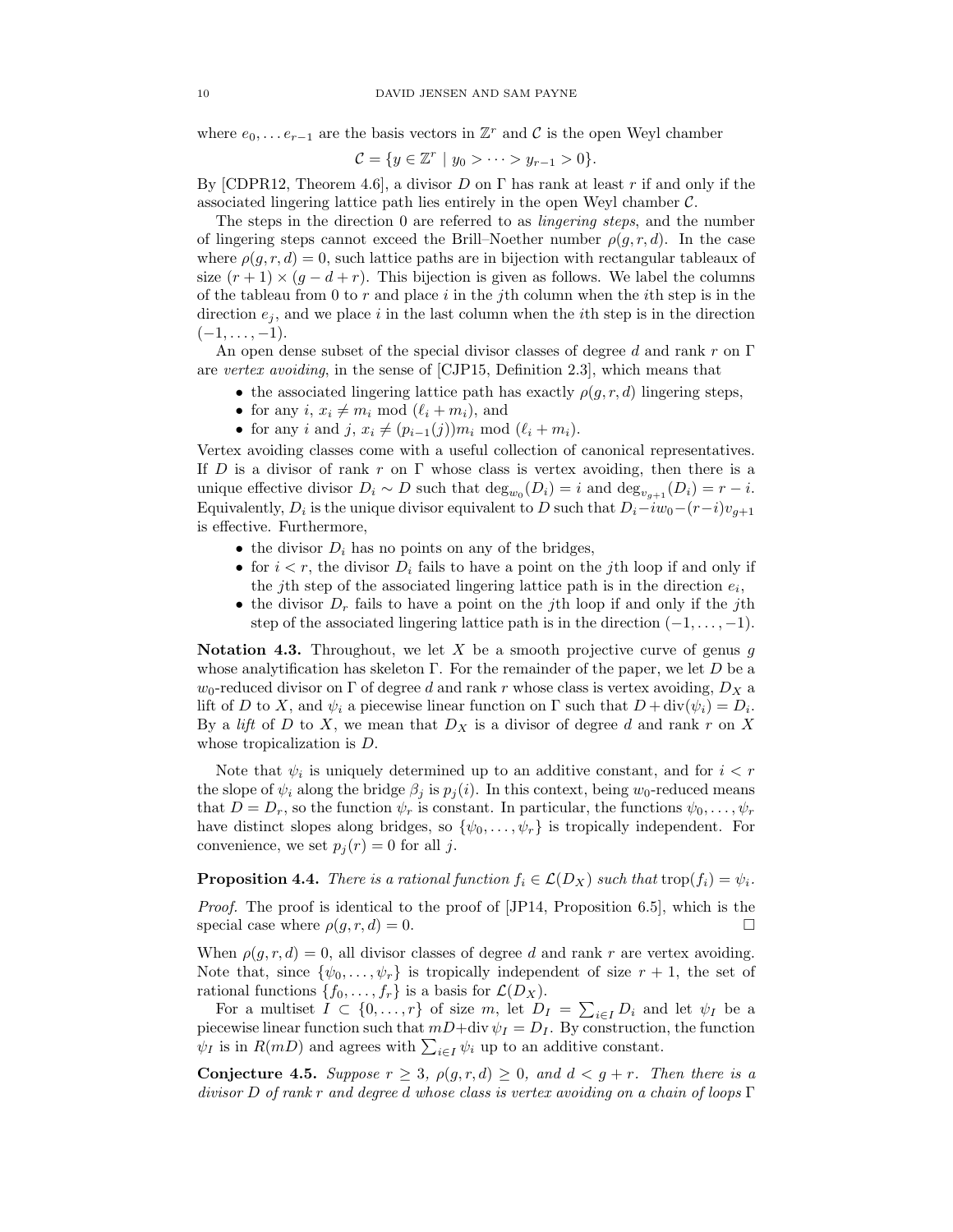where  $e_0, \ldots e_{r-1}$  are the basis vectors in  $\mathbb{Z}^r$  and  $\mathcal C$  is the open Weyl chamber

$$
C = \{ y \in \mathbb{Z}^r \mid y_0 > \cdots > y_{r-1} > 0 \}.
$$

By [CDPR12, Theorem 4.6], a divisor D on  $\Gamma$  has rank at least r if and only if the associated lingering lattice path lies entirely in the open Weyl chamber  $C$ .

The steps in the direction 0 are referred to as lingering steps, and the number of lingering steps cannot exceed the Brill–Noether number  $\rho(g, r, d)$ . In the case where  $\rho(q, r, d) = 0$ , such lattice paths are in bijection with rectangular tableaux of size  $(r + 1) \times (g - d + r)$ . This bijection is given as follows. We label the columns of the tableau from 0 to  $r$  and place  $i$  in the jth column when the *i*th step is in the direction  $e_i$ , and we place i in the last column when the i<sup>th</sup> step is in the direction  $(-1, \ldots, -1).$ 

An open dense subset of the special divisor classes of degree d and rank r on  $\Gamma$ are vertex avoiding, in the sense of [CJP15, Definition 2.3], which means that

- the associated lingering lattice path has exactly  $\rho(g, r, d)$  lingering steps,
- for any  $i, x_i \neq m_i \mod (\ell_i + m_i)$ , and
- for any i and j,  $x_i \neq (p_{i-1}(j))m_i \mod (\ell_i + m_i).$

Vertex avoiding classes come with a useful collection of canonical representatives. If D is a divisor of rank r on  $\Gamma$  whose class is vertex avoiding, then there is a unique effective divisor  $D_i \sim D$  such that  $\deg_{w_0}(D_i) = i$  and  $\deg_{v_{g+1}}(D_i) = r - i$ . Equivalently,  $D_i$  is the unique divisor equivalent to D such that  $D_i - iw_0 - (r-i)v_{g+1}$ is effective. Furthermore,

- the divisor  $D_i$  has no points on any of the bridges,
- for  $i < r$ , the divisor  $D_i$  fails to have a point on the *i*th loop if and only if the jth step of the associated lingering lattice path is in the direction  $e_i$ ,
- the divisor  $D_r$  fails to have a point on the jth loop if and only if the jth step of the associated lingering lattice path is in the direction  $(-1, \ldots, -1)$ .

Notation 4.3. Throughout, we let X be a smooth projective curve of genus  $g$ whose analytification has skeleton  $\Gamma$ . For the remainder of the paper, we let D be a  $w_0$ -reduced divisor on  $\Gamma$  of degree d and rank r whose class is vertex avoiding,  $D_X$  a lift of D to X, and  $\psi_i$  a piecewise linear function on  $\Gamma$  such that  $D + \text{div}(\psi_i) = D_i$ . By a lift of D to X, we mean that  $D_X$  is a divisor of degree d and rank r on X whose tropicalization is D.

Note that  $\psi_i$  is uniquely determined up to an additive constant, and for  $i < r$ the slope of  $\psi_i$  along the bridge  $\beta_j$  is  $p_j(i)$ . In this context, being w<sub>0</sub>-reduced means that  $D = D_r$ , so the function  $\psi_r$  is constant. In particular, the functions  $\psi_0, \ldots, \psi_r$ have distinct slopes along bridges, so  $\{\psi_0, \ldots, \psi_r\}$  is tropically independent. For convenience, we set  $p_i(r) = 0$  for all j.

**Proposition 4.4.** There is a rational function  $f_i \in \mathcal{L}(D_X)$  such that trop $(f_i) = \psi_i$ .

Proof. The proof is identical to the proof of [JP14, Proposition 6.5], which is the special case where  $\rho(g, r, d) = 0$ .

When  $\rho(g, r, d) = 0$ , all divisor classes of degree d and rank r are vertex avoiding. Note that, since  $\{\psi_0, \ldots, \psi_r\}$  is tropically independent of size  $r + 1$ , the set of rational functions  $\{f_0, \ldots, f_r\}$  is a basis for  $\mathcal{L}(D_X)$ .

For a multiset  $I \subset \{0, \ldots, r\}$  of size m, let  $D_I = \sum_{i \in I} D_i$  and let  $\psi_I$  be a piecewise linear function such that  $mD+div \psi_I = D_I$ . By construction, the function  $\psi_I$  is in  $R(mD)$  and agrees with  $\sum_{i\in I}\psi_i$  up to an additive constant.

Conjecture 4.5. Suppose  $r \geq 3$ ,  $\rho(g, r, d) \geq 0$ , and  $d < g + r$ . Then there is a divisor D of rank r and degree d whose class is vertex avoiding on a chain of loops Γ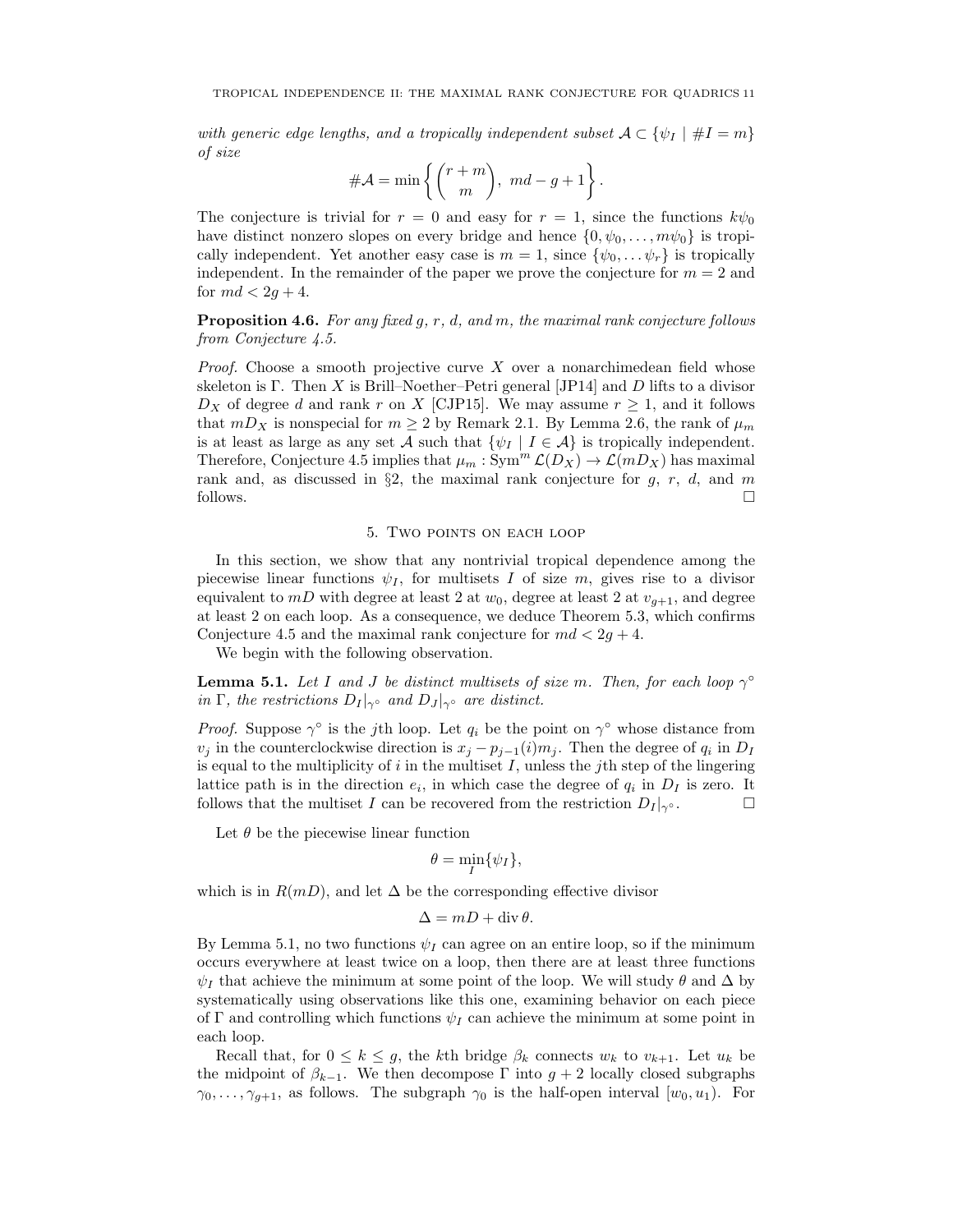with generic edge lengths, and a tropically independent subset  $\mathcal{A} \subset \{ \psi_I \mid \#I = m \}$ of size

$$
\#\mathcal{A} = \min\left\{ \binom{r+m}{m}, md-g+1 \right\}.
$$

The conjecture is trivial for  $r = 0$  and easy for  $r = 1$ , since the functions  $k\psi_0$ have distinct nonzero slopes on every bridge and hence  $\{0, \psi_0, \ldots, m\psi_0\}$  is tropically independent. Yet another easy case is  $m = 1$ , since  $\{\psi_0, \dots \psi_r\}$  is tropically independent. In the remainder of the paper we prove the conjecture for  $m = 2$  and for  $md < 2q+4$ .

**Proposition 4.6.** For any fixed  $g, r, d, and m$ , the maximal rank conjecture follows from Conjecture 4.5.

*Proof.* Choose a smooth projective curve  $X$  over a nonarchimedean field whose skeleton is Γ. Then X is Brill–Noether–Petri general [JP14] and D lifts to a divisor  $D_X$  of degree d and rank r on X [CJP15]. We may assume  $r \geq 1$ , and it follows that  $mD_X$  is nonspecial for  $m \geq 2$  by Remark 2.1. By Lemma 2.6, the rank of  $\mu_m$ is at least as large as any set A such that  $\{\psi_I \mid I \in \mathcal{A}\}\$ is tropically independent. Therefore, Conjecture 4.5 implies that  $\mu_m : \text{Sym}^m \mathcal{L}(D_X) \to \mathcal{L}(mD_X)$  has maximal rank and, as discussed in §2, the maximal rank conjecture for  $g, r, d$ , and m follows.  $\Box$ 

### 5. Two points on each loop

In this section, we show that any nontrivial tropical dependence among the piecewise linear functions  $\psi_I$ , for multisets I of size m, gives rise to a divisor equivalent to  $mD$  with degree at least 2 at  $w_0$ , degree at least 2 at  $v_{q+1}$ , and degree at least 2 on each loop. As a consequence, we deduce Theorem 5.3, which confirms Conjecture 4.5 and the maximal rank conjecture for  $md < 2g + 4$ .

We begin with the following observation.

**Lemma 5.1.** Let I and J be distinct multisets of size m. Then, for each loop  $\gamma^{\circ}$ in Γ, the restrictions  $D_I|_{\gamma}$ ° and  $D_J|_{\gamma}$ ° are distinct.

*Proof.* Suppose  $\gamma^{\circ}$  is the jth loop. Let  $q_i$  be the point on  $\gamma^{\circ}$  whose distance from  $v_j$  in the counterclockwise direction is  $x_j - p_{j-1}(i)m_j$ . Then the degree of  $q_i$  in  $D_I$ is equal to the multiplicity of i in the multiset I, unless the jth step of the lingering lattice path is in the direction  $e_i$ , in which case the degree of  $q_i$  in  $D_I$  is zero. It follows that the multiset I can be recovered from the restriction  $D_I |_{\gamma} \circ$ .

Let  $\theta$  be the piecewise linear function

$$
\theta = \min_{I} \{ \psi_I \},
$$

which is in  $R(mD)$ , and let  $\Delta$  be the corresponding effective divisor

$$
\Delta = mD + \operatorname{div} \theta.
$$

By Lemma 5.1, no two functions  $\psi_I$  can agree on an entire loop, so if the minimum occurs everywhere at least twice on a loop, then there are at least three functions  $\psi_I$  that achieve the minimum at some point of the loop. We will study  $\theta$  and  $\Delta$  by systematically using observations like this one, examining behavior on each piece of Γ and controlling which functions  $\psi_I$  can achieve the minimum at some point in each loop.

Recall that, for  $0 \leq k \leq g$ , the kth bridge  $\beta_k$  connects  $w_k$  to  $v_{k+1}$ . Let  $u_k$  be the midpoint of  $\beta_{k-1}$ . We then decompose Γ into  $g + 2$  locally closed subgraphs  $\gamma_0, \ldots, \gamma_{g+1}$ , as follows. The subgraph  $\gamma_0$  is the half-open interval  $[w_0, u_1)$ . For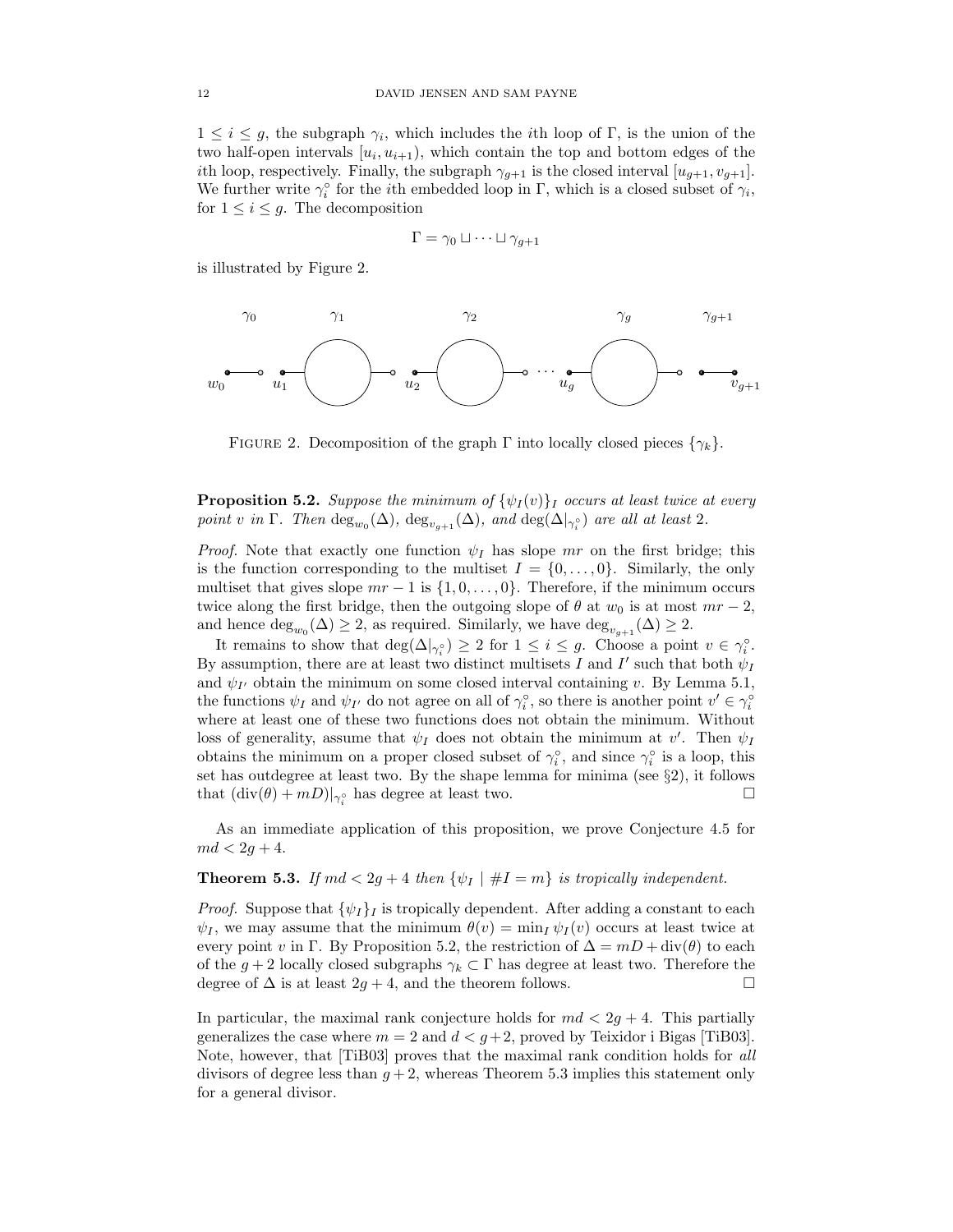$1 \leq i \leq g$ , the subgraph  $\gamma_i$ , which includes the *i*th loop of Γ, is the union of the two half-open intervals  $[u_i, u_{i+1}),$  which contain the top and bottom edges of the *i*th loop, respectively. Finally, the subgraph  $\gamma_{g+1}$  is the closed interval  $[u_{g+1}, v_{g+1}]$ . We further write  $\gamma_i^{\circ}$  for the *i*th embedded loop in  $\Gamma$ , which is a closed subset of  $\gamma_i$ , for  $1 \leq i \leq g$ . The decomposition

$$
\Gamma = \gamma_0 \sqcup \cdots \sqcup \gamma_{g+1}
$$

is illustrated by Figure 2.



FIGURE 2. Decomposition of the graph  $\Gamma$  into locally closed pieces  $\{\gamma_k\}$ .

**Proposition 5.2.** Suppose the minimum of  $\{\psi_I(v)\}_I$  occurs at least twice at every point v in Γ. Then  $\text{deg}_{w_0}(\Delta)$ ,  $\text{deg}_{v_{g+1}}(\Delta)$ , and  $\text{deg}(\Delta|_{\gamma_i^{\circ}})$  are all at least 2.

*Proof.* Note that exactly one function  $\psi_I$  has slope mr on the first bridge; this is the function corresponding to the multiset  $I = \{0, \ldots, 0\}$ . Similarly, the only multiset that gives slope  $mr-1$  is  $\{1,0,\ldots,0\}$ . Therefore, if the minimum occurs twice along the first bridge, then the outgoing slope of  $\theta$  at  $w_0$  is at most  $mr-2$ , and hence  $\text{deg}_{w_0}(\Delta) \geq 2$ , as required. Similarly, we have  $\text{deg}_{v_{g+1}}(\Delta) \geq 2$ .

It remains to show that  $\deg(\Delta|_{\gamma_i^{\circ}}) \geq 2$  for  $1 \leq i \leq g$ . Choose a point  $v \in \gamma_i^{\circ}$ . By assumption, there are at least two distinct multisets I and I' such that both  $\psi_I$ and  $\psi_{I'}$  obtain the minimum on some closed interval containing v. By Lemma 5.1, the functions  $\psi_I$  and  $\psi_{I'}$  do not agree on all of  $\gamma_i^{\circ}$ , so there is another point  $v' \in \gamma_i^{\circ}$ where at least one of these two functions does not obtain the minimum. Without loss of generality, assume that  $\psi_I$  does not obtain the minimum at  $v'$ . Then  $\psi_I$ obtains the minimum on a proper closed subset of  $\gamma_i^{\circ}$ , and since  $\gamma_i^{\circ}$  is a loop, this set has outdegree at least two. By the shape lemma for minima (see §2), it follows that  $(\text{div}(\theta) + mD)|_{\gamma_i^{\circ}}$  has degree at least two.

As an immediate application of this proposition, we prove Conjecture 4.5 for  $md < 2g + 4.$ 

### **Theorem 5.3.** If  $md < 2g + 4$  then  $\{\psi_I \mid \#I = m\}$  is tropically independent.

*Proof.* Suppose that  $\{\psi_I\}_I$  is tropically dependent. After adding a constant to each  $\psi_I$ , we may assume that the minimum  $\theta(v) = \min_I \psi_I(v)$  occurs at least twice at every point v in Γ. By Proposition 5.2, the restriction of  $\Delta = mD + \text{div}(\theta)$  to each of the  $g + 2$  locally closed subgraphs  $\gamma_k \subset \Gamma$  has degree at least two. Therefore the degree of  $\Delta$  is at least  $2g + 4$ , and the theorem follows.  $\Box$ 

In particular, the maximal rank conjecture holds for  $md < 2g + 4$ . This partially generalizes the case where  $m = 2$  and  $d < g+2$ , proved by Teixidor i Bigas [TiB03]. Note, however, that [TiB03] proves that the maximal rank condition holds for all divisors of degree less than  $g + 2$ , whereas Theorem 5.3 implies this statement only for a general divisor.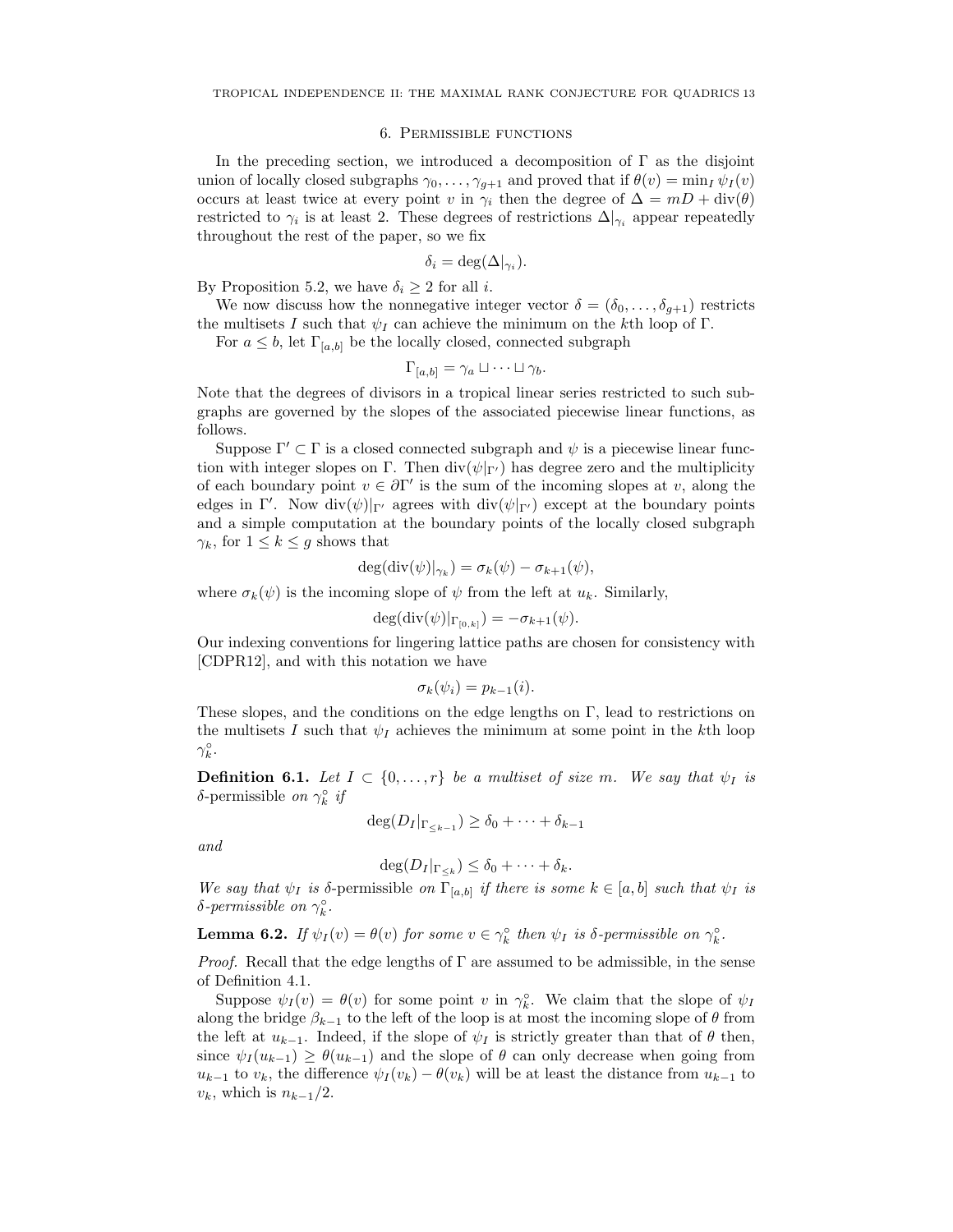#### 6. Permissible functions

In the preceding section, we introduced a decomposition of  $\Gamma$  as the disjoint union of locally closed subgraphs  $\gamma_0, \ldots, \gamma_{g+1}$  and proved that if  $\theta(v) = \min_I \psi_I(v)$ occurs at least twice at every point v in  $\gamma_i$  then the degree of  $\Delta = mD + \text{div}(\theta)$ restricted to  $\gamma_i$  is at least 2. These degrees of restrictions  $\Delta|_{\gamma_i}$  appear repeatedly throughout the rest of the paper, so we fix

$$
\delta_i = \deg(\Delta|_{\gamma_i}).
$$

By Proposition 5.2, we have  $\delta_i \geq 2$  for all *i*.

We now discuss how the nonnegative integer vector  $\delta = (\delta_0, \ldots, \delta_{g+1})$  restricts the multisets I such that  $\psi_I$  can achieve the minimum on the kth loop of Γ.

For  $a \leq b$ , let  $\Gamma_{[a,b]}$  be the locally closed, connected subgraph

$$
\Gamma_{[a,b]} = \gamma_a \sqcup \cdots \sqcup \gamma_b.
$$

Note that the degrees of divisors in a tropical linear series restricted to such subgraphs are governed by the slopes of the associated piecewise linear functions, as follows.

Suppose  $\Gamma' \subset \Gamma$  is a closed connected subgraph and  $\psi$  is a piecewise linear function with integer slopes on Γ. Then  $\text{div}(\psi|_{\Gamma'})$  has degree zero and the multiplicity of each boundary point  $v \in \partial \Gamma'$  is the sum of the incoming slopes at v, along the edges in Γ'. Now div $(\psi)|_{\Gamma'}$  agrees with div $(\psi|_{\Gamma'})$  except at the boundary points and a simple computation at the boundary points of the locally closed subgraph  $\gamma_k$ , for  $1 \leq k \leq g$  shows that

$$
\deg(\mathrm{div}(\psi)|_{\gamma_k}) = \sigma_k(\psi) - \sigma_{k+1}(\psi),
$$

where  $\sigma_k(\psi)$  is the incoming slope of  $\psi$  from the left at  $u_k$ . Similarly,

$$
\deg(\mathrm{div}(\psi)|_{\Gamma_{[0,k]}}) = -\sigma_{k+1}(\psi).
$$

Our indexing conventions for lingering lattice paths are chosen for consistency with [CDPR12], and with this notation we have

$$
\sigma_k(\psi_i) = p_{k-1}(i).
$$

These slopes, and the conditions on the edge lengths on Γ, lead to restrictions on the multisets I such that  $\psi_I$  achieves the minimum at some point in the kth loop  $\gamma_k^{\circ}$ .

**Definition 6.1.** Let  $I \subset \{0, \ldots, r\}$  be a multiset of size m. We say that  $\psi_I$  is δ-permissible *on*  $\gamma_k^{\circ}$  *if* 

$$
\deg(D_I|_{\Gamma_{\leq k-1}}) \geq \delta_0 + \cdots + \delta_{k-1}
$$

and

 $\deg(D_I|_{\Gamma_{\leq k}}) \leq \delta_0 + \cdots + \delta_k.$ 

We say that  $\psi_I$  is δ-permissible on  $\Gamma_{[a,b]}$  if there is some  $k \in [a,b]$  such that  $\psi_I$  is  $\delta$ -permissible on  $\gamma_k^{\circ}$ .

**Lemma 6.2.** If  $\psi_I(v) = \theta(v)$  for some  $v \in \gamma_k^{\circ}$  then  $\psi_I$  is  $\delta$ -permissible on  $\gamma_k^{\circ}$ .

*Proof.* Recall that the edge lengths of  $\Gamma$  are assumed to be admissible, in the sense of Definition 4.1.

Suppose  $\psi_I(v) = \theta(v)$  for some point v in  $\gamma_k^{\circ}$ . We claim that the slope of  $\psi_I$ along the bridge  $\beta_{k-1}$  to the left of the loop is at most the incoming slope of  $\theta$  from the left at  $u_{k-1}$ . Indeed, if the slope of  $\psi_I$  is strictly greater than that of  $\theta$  then, since  $\psi_I(u_{k-1}) \geq \theta(u_{k-1})$  and the slope of  $\theta$  can only decrease when going from  $u_{k-1}$  to  $v_k$ , the difference  $\psi_I(v_k) - \theta(v_k)$  will be at least the distance from  $u_{k-1}$  to  $v_k$ , which is  $n_{k-1}/2$ .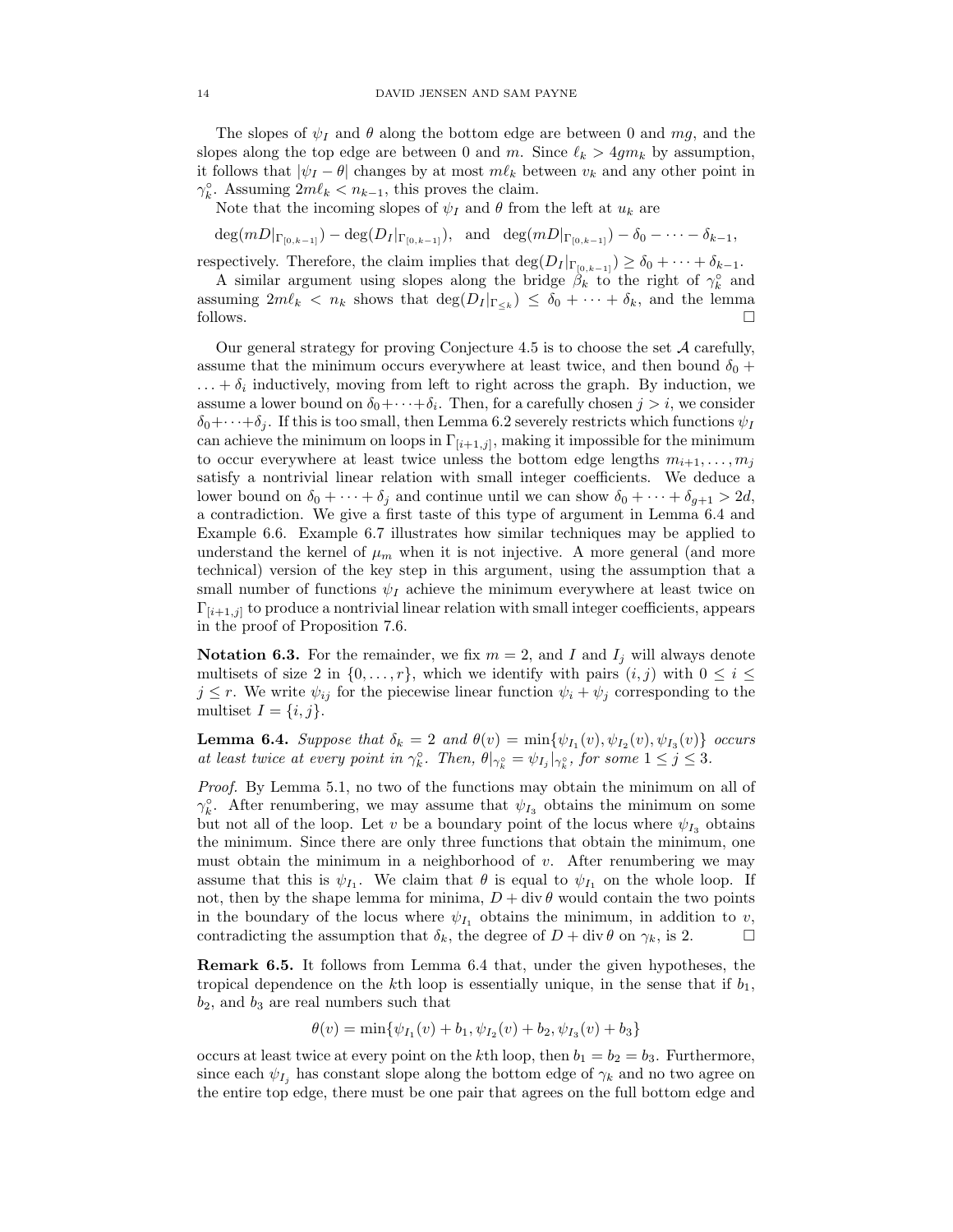The slopes of  $\psi_I$  and  $\theta$  along the bottom edge are between 0 and mg, and the slopes along the top edge are between 0 and m. Since  $\ell_k > 4gm_k$  by assumption, it follows that  $|\psi_I - \theta|$  changes by at most  $m\ell_k$  between  $v_k$  and any other point in  $\gamma_k^{\circ}$ . Assuming  $2m\ell_k < n_{k-1}$ , this proves the claim.

Note that the incoming slopes of  $\psi_I$  and  $\theta$  from the left at  $u_k$  are

 $deg(mD|_{\Gamma_{[0,k-1]}}) - deg(D_I|_{\Gamma_{[0,k-1]}})$ , and  $deg(mD|_{\Gamma_{[0,k-1]}}) - \delta_0 - \cdots - \delta_{k-1}$ ,

respectively. Therefore, the claim implies that  $\deg(D_I |_{\Gamma_{[0,k-1]}}) \geq \delta_0 + \cdots + \delta_{k-1}$ .

A similar argument using slopes along the bridge  $\beta_k$  to the right of  $\gamma_k^{\circ}$  and assuming  $2m\ell_k < n_k$  shows that  $\deg(D_I |_{\Gamma_{\leq k}}) \leq \delta_0 + \cdots + \delta_k$ , and the lemma follows.  $\square$ 

Our general strategy for proving Conjecture 4.5 is to choose the set  $\mathcal A$  carefully, assume that the minimum occurs everywhere at least twice, and then bound  $\delta_0$  +  $\ldots + \delta_i$  inductively, moving from left to right across the graph. By induction, we assume a lower bound on  $\delta_0 + \cdots + \delta_i$ . Then, for a carefully chosen  $j > i$ , we consider  $\delta_0+\cdots+\delta_i$ . If this is too small, then Lemma 6.2 severely restricts which functions  $\psi_I$ can achieve the minimum on loops in  $\Gamma_{[i+1,j]}$ , making it impossible for the minimum to occur everywhere at least twice unless the bottom edge lengths  $m_{i+1}, \ldots, m_j$ satisfy a nontrivial linear relation with small integer coefficients. We deduce a lower bound on  $\delta_0 + \cdots + \delta_j$  and continue until we can show  $\delta_0 + \cdots + \delta_{g+1} > 2d$ , a contradiction. We give a first taste of this type of argument in Lemma 6.4 and Example 6.6. Example 6.7 illustrates how similar techniques may be applied to understand the kernel of  $\mu_m$  when it is not injective. A more general (and more technical) version of the key step in this argument, using the assumption that a small number of functions  $\psi_I$  achieve the minimum everywhere at least twice on  $\Gamma_{[i+1,j]}$  to produce a nontrivial linear relation with small integer coefficients, appears in the proof of Proposition 7.6.

**Notation 6.3.** For the remainder, we fix  $m = 2$ , and I and  $I_j$  will always denote multisets of size 2 in  $\{0, \ldots, r\}$ , which we identify with pairs  $(i, j)$  with  $0 \leq i \leq$  $j \leq r$ . We write  $\psi_{ij}$  for the piecewise linear function  $\psi_i + \psi_j$  corresponding to the multiset  $I = \{i, j\}.$ 

**Lemma 6.4.** Suppose that  $\delta_k = 2$  and  $\theta(v) = \min{\{\psi_{I_1}(v), \psi_{I_2}(v), \psi_{I_3}(v)\}}$  occurs at least twice at every point in  $\gamma_k^{\circ}$ . Then,  $\theta|_{\gamma_k^{\circ}} = \psi_{I_j}|_{\gamma_k^{\circ}}$ , for some  $1 \leq j \leq 3$ .

Proof. By Lemma 5.1, no two of the functions may obtain the minimum on all of  $\gamma_k^{\circ}$ . After renumbering, we may assume that  $\psi_{I_3}$  obtains the minimum on some but not all of the loop. Let v be a boundary point of the locus where  $\psi_{I_3}$  obtains the minimum. Since there are only three functions that obtain the minimum, one must obtain the minimum in a neighborhood of  $v$ . After renumbering we may assume that this is  $\psi_{I_1}$ . We claim that  $\theta$  is equal to  $\psi_{I_1}$  on the whole loop. If not, then by the shape lemma for minima,  $D + \text{div }\theta$  would contain the two points in the boundary of the locus where  $\psi_{I_1}$  obtains the minimum, in addition to v, contradicting the assumption that  $\delta_k$ , the degree of  $D + \text{div }\theta$  on  $\gamma_k$ , is 2.

Remark 6.5. It follows from Lemma 6.4 that, under the given hypotheses, the tropical dependence on the kth loop is essentially unique, in the sense that if  $b_1$ ,  $b_2$ , and  $b_3$  are real numbers such that

$$
\theta(v) = \min{\psi_{I_1}(v) + b_1, \psi_{I_2}(v) + b_2, \psi_{I_3}(v) + b_3}
$$

occurs at least twice at every point on the kth loop, then  $b_1 = b_2 = b_3$ . Furthermore, since each  $\psi_{I_j}$  has constant slope along the bottom edge of  $\gamma_k$  and no two agree on the entire top edge, there must be one pair that agrees on the full bottom edge and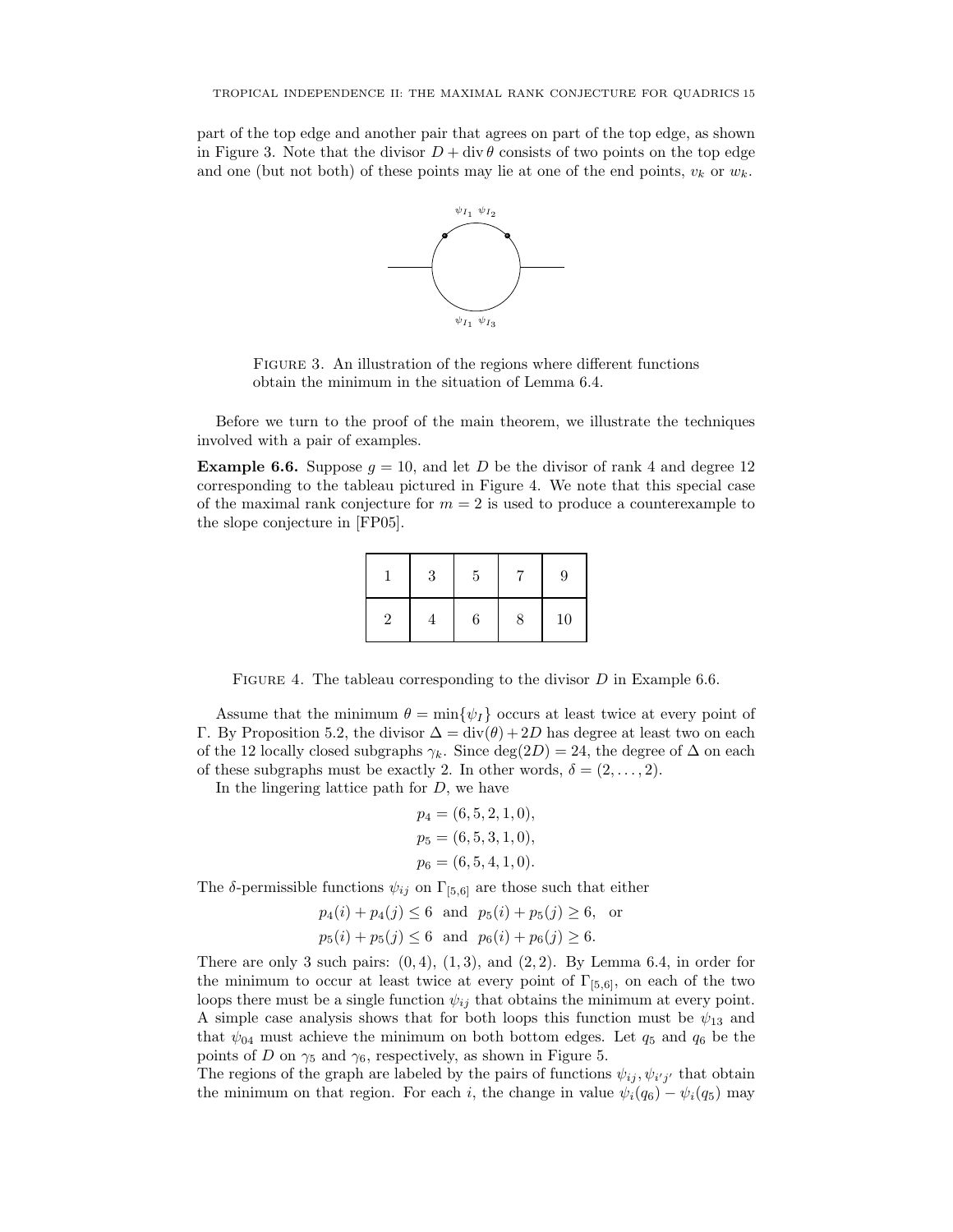part of the top edge and another pair that agrees on part of the top edge, as shown in Figure 3. Note that the divisor  $D + \text{div }\theta$  consists of two points on the top edge and one (but not both) of these points may lie at one of the end points,  $v_k$  or  $w_k$ .



FIGURE 3. An illustration of the regions where different functions obtain the minimum in the situation of Lemma 6.4.

Before we turn to the proof of the main theorem, we illustrate the techniques involved with a pair of examples.

**Example 6.6.** Suppose  $g = 10$ , and let D be the divisor of rank 4 and degree 12 corresponding to the tableau pictured in Figure 4. We note that this special case of the maximal rank conjecture for  $m = 2$  is used to produce a counterexample to the slope conjecture in [FP05].

|                | 3 | 5 |   | 9  |
|----------------|---|---|---|----|
| $\overline{2}$ |   | 6 | 8 | 10 |

FIGURE 4. The tableau corresponding to the divisor  $D$  in Example 6.6.

Assume that the minimum  $\theta = \min{\lbrace \psi_I \rbrace}$  occurs at least twice at every point of Γ. By Proposition 5.2, the divisor  $\Delta = \text{div}(\theta) + 2D$  has degree at least two on each of the 12 locally closed subgraphs  $\gamma_k$ . Since deg(2D) = 24, the degree of  $\Delta$  on each of these subgraphs must be exactly 2. In other words,  $\delta = (2, \ldots, 2)$ .

In the lingering lattice path for  $D$ , we have

$$
p_4 = (6, 5, 2, 1, 0),
$$
  
\n
$$
p_5 = (6, 5, 3, 1, 0),
$$
  
\n
$$
p_6 = (6, 5, 4, 1, 0).
$$

The  $\delta$ -permissible functions  $\psi_{ij}$  on  $\Gamma_{[5,6]}$  are those such that either

$$
p_4(i) + p_4(j) \le 6
$$
 and  $p_5(i) + p_5(j) \ge 6$ , or  
 $p_5(i) + p_5(j) \le 6$  and  $p_6(i) + p_6(j) \ge 6$ .

There are only 3 such pairs:  $(0, 4)$ ,  $(1, 3)$ , and  $(2, 2)$ . By Lemma 6.4, in order for the minimum to occur at least twice at every point of  $\Gamma_{[5,6]}$ , on each of the two loops there must be a single function  $\psi_{ij}$  that obtains the minimum at every point. A simple case analysis shows that for both loops this function must be  $\psi_{13}$  and that  $\psi_{04}$  must achieve the minimum on both bottom edges. Let  $q_5$  and  $q_6$  be the points of D on  $\gamma_5$  and  $\gamma_6$ , respectively, as shown in Figure 5.

The regions of the graph are labeled by the pairs of functions  $\psi_{ij}, \psi_{i'j'}$  that obtain the minimum on that region. For each i, the change in value  $\psi_i(q_6) - \psi_i(q_5)$  may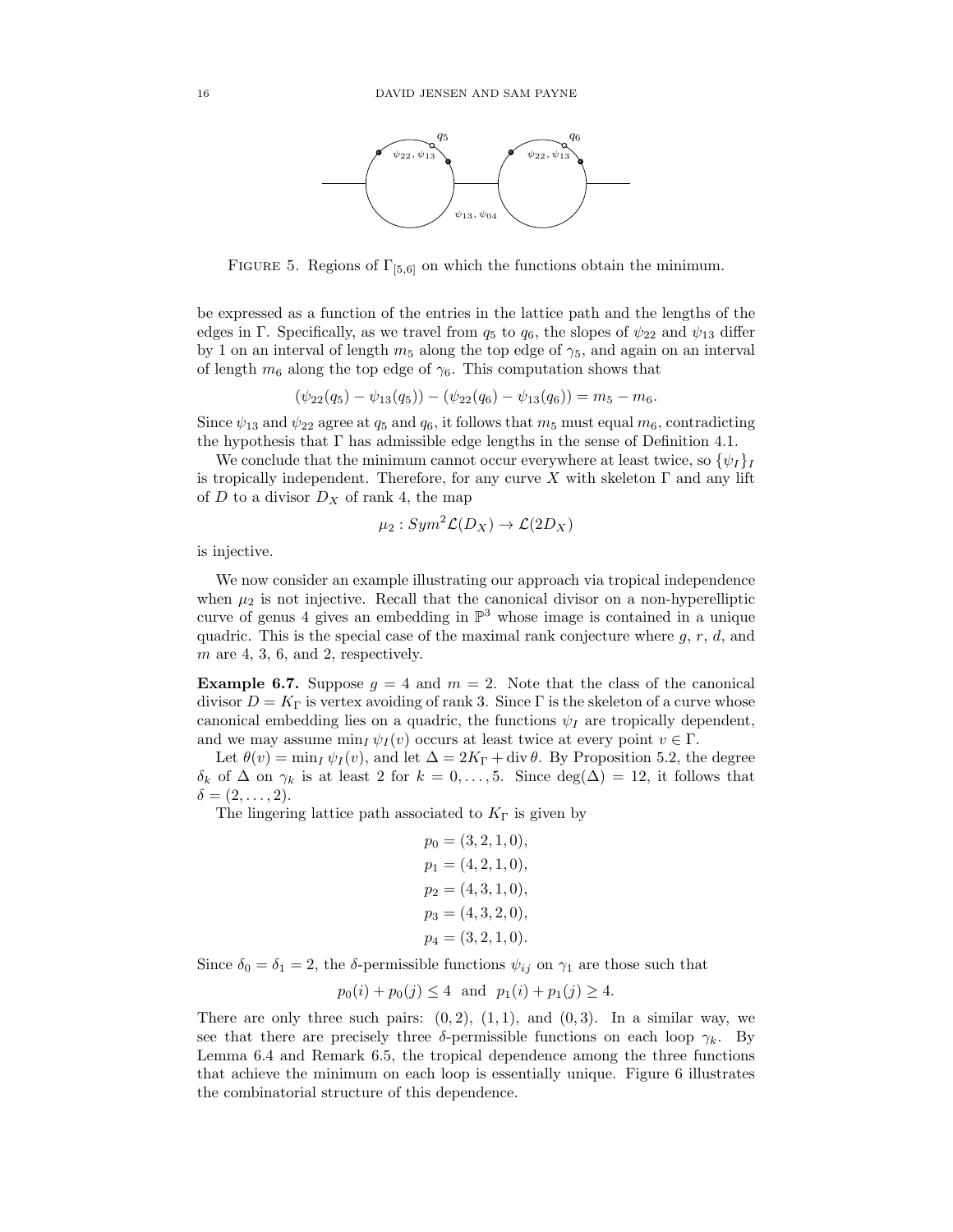

FIGURE 5. Regions of  $\Gamma_{5,6}$  on which the functions obtain the minimum.

be expressed as a function of the entries in the lattice path and the lengths of the edges in Γ. Specifically, as we travel from  $q_5$  to  $q_6$ , the slopes of  $\psi_{22}$  and  $\psi_{13}$  differ by 1 on an interval of length  $m_5$  along the top edge of  $\gamma_5$ , and again on an interval of length  $m_6$  along the top edge of  $\gamma_6$ . This computation shows that

$$
(\psi_{22}(q_5) - \psi_{13}(q_5)) - (\psi_{22}(q_6) - \psi_{13}(q_6)) = m_5 - m_6.
$$

Since  $\psi_{13}$  and  $\psi_{22}$  agree at  $q_5$  and  $q_6$ , it follows that  $m_5$  must equal  $m_6$ , contradicting the hypothesis that  $\Gamma$  has admissible edge lengths in the sense of Definition 4.1.

We conclude that the minimum cannot occur everywhere at least twice, so  $\{\psi_I\}_I$ is tropically independent. Therefore, for any curve X with skeleton  $\Gamma$  and any lift of  $D$  to a divisor  $D_X$  of rank 4, the map

$$
\mu_2:Sym^2\mathcal{L}(D_X)\to\mathcal{L}(2D_X)
$$

is injective.

We now consider an example illustrating our approach via tropical independence when  $\mu_2$  is not injective. Recall that the canonical divisor on a non-hyperelliptic curve of genus 4 gives an embedding in  $\mathbb{P}^3$  whose image is contained in a unique quadric. This is the special case of the maximal rank conjecture where  $q, r, d$ , and  $m$  are 4, 3, 6, and 2, respectively.

**Example 6.7.** Suppose  $g = 4$  and  $m = 2$ . Note that the class of the canonical divisor  $D = K_{\Gamma}$  is vertex avoiding of rank 3. Since  $\Gamma$  is the skeleton of a curve whose canonical embedding lies on a quadric, the functions  $\psi_I$  are tropically dependent, and we may assume  $\min_I \psi_I(v)$  occurs at least twice at every point  $v \in \Gamma$ .

Let  $\theta(v) = \min_I \psi_I(v)$ , and let  $\Delta = 2K_\Gamma + \text{div }\theta$ . By Proposition 5.2, the degree  $\delta_k$  of  $\Delta$  on  $\gamma_k$  is at least 2 for  $k = 0, \ldots, 5$ . Since  $\deg(\Delta) = 12$ , it follows that  $\delta = (2,\ldots,2).$ 

The lingering lattice path associated to  $K_{\Gamma}$  is given by

$$
p_0 = (3, 2, 1, 0),
$$
  
\n
$$
p_1 = (4, 2, 1, 0),
$$
  
\n
$$
p_2 = (4, 3, 1, 0),
$$
  
\n
$$
p_3 = (4, 3, 2, 0),
$$
  
\n
$$
p_4 = (3, 2, 1, 0).
$$

Since  $\delta_0 = \delta_1 = 2$ , the  $\delta$ -permissible functions  $\psi_{ij}$  on  $\gamma_1$  are those such that

$$
p_0(i) + p_0(j) \le 4
$$
 and  $p_1(i) + p_1(j) \ge 4$ .

There are only three such pairs:  $(0, 2)$ ,  $(1, 1)$ , and  $(0, 3)$ . In a similar way, we see that there are precisely three  $\delta$ -permissible functions on each loop  $\gamma_k$ . By Lemma 6.4 and Remark 6.5, the tropical dependence among the three functions that achieve the minimum on each loop is essentially unique. Figure 6 illustrates the combinatorial structure of this dependence.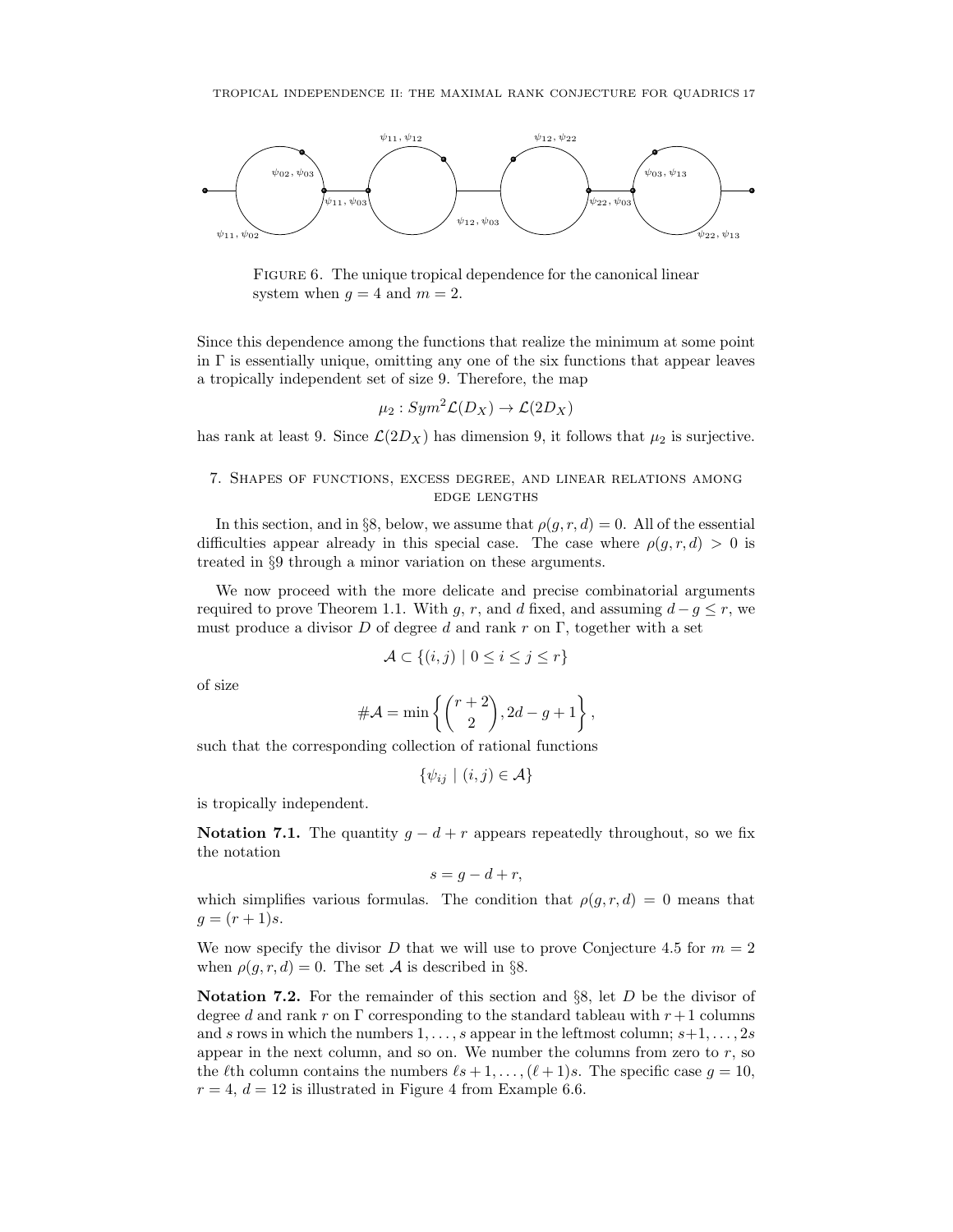

FIGURE 6. The unique tropical dependence for the canonical linear system when  $q = 4$  and  $m = 2$ .

Since this dependence among the functions that realize the minimum at some point in  $\Gamma$  is essentially unique, omitting any one of the six functions that appear leaves a tropically independent set of size 9. Therefore, the map

$$
\mu_2:Sym^2\mathcal{L}(D_X)\to\mathcal{L}(2D_X)
$$

has rank at least 9. Since  $\mathcal{L}(2D_X)$  has dimension 9, it follows that  $\mu_2$  is surjective.

# 7. Shapes of functions, excess degree, and linear relations among edge lengths

In this section, and in §8, below, we assume that  $\rho(q, r, d) = 0$ . All of the essential difficulties appear already in this special case. The case where  $\rho(g, r, d) > 0$  is treated in §9 through a minor variation on these arguments.

We now proceed with the more delicate and precise combinatorial arguments required to prove Theorem 1.1. With q, r, and d fixed, and assuming  $d - q \leq r$ , we must produce a divisor D of degree d and rank r on  $\Gamma$ , together with a set

$$
\mathcal{A} \subset \{(i,j) \mid 0 \le i \le j \le r\}
$$

of size

$$
\#\mathcal{A} = \min\left\{ \binom{r+2}{2}, 2d - g + 1 \right\},\
$$

such that the corresponding collection of rational functions

$$
\{\psi_{ij} \mid (i,j) \in \mathcal{A}\}
$$

is tropically independent.

Notation 7.1. The quantity  $g - d + r$  appears repeatedly throughout, so we fix the notation

$$
s = g - d + r,
$$

which simplifies various formulas. The condition that  $\rho(q, r, d) = 0$  means that  $g = (r + 1)s$ .

We now specify the divisor D that we will use to prove Conjecture 4.5 for  $m = 2$ when  $\rho(g, r, d) = 0$ . The set A is described in §8.

**Notation 7.2.** For the remainder of this section and  $\S$ 8, let D be the divisor of degree d and rank r on  $\Gamma$  corresponding to the standard tableau with  $r+1$  columns and s rows in which the numbers  $1, \ldots, s$  appear in the leftmost column;  $s+1, \ldots, 2s$ appear in the next column, and so on. We number the columns from zero to  $r$ , so the  $\ell$ th column contains the numbers  $\ell s + 1, \ldots, (\ell + 1)s$ . The specific case  $g = 10$ ,  $r = 4$ ,  $d = 12$  is illustrated in Figure 4 from Example 6.6.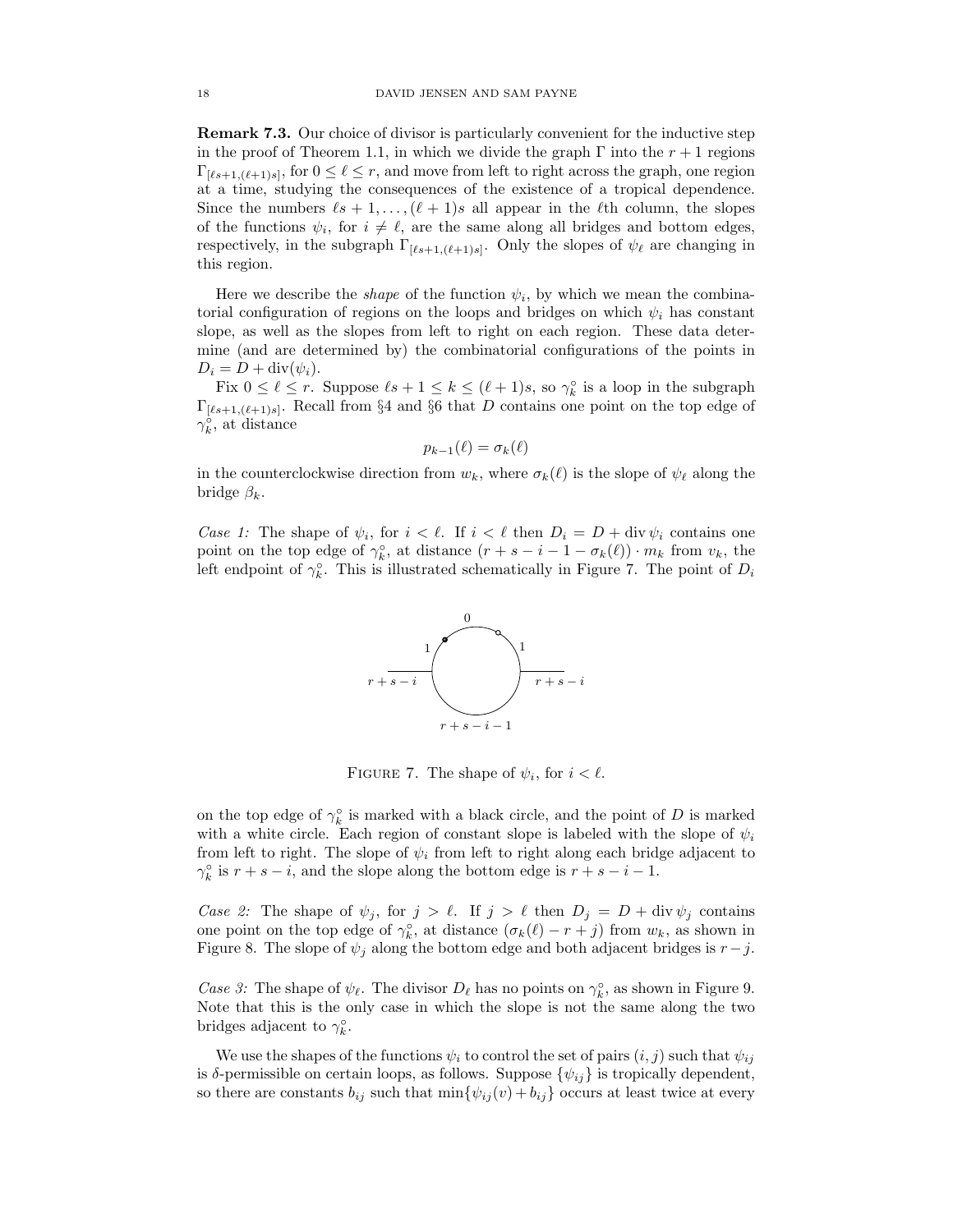Remark 7.3. Our choice of divisor is particularly convenient for the inductive step in the proof of Theorem 1.1, in which we divide the graph  $\Gamma$  into the  $r + 1$  regions  $\Gamma_{[\ell s+1,(\ell+1)s]}$ , for  $0 \leq \ell \leq r$ , and move from left to right across the graph, one region at a time, studying the consequences of the existence of a tropical dependence. Since the numbers  $\ell s + 1, \ldots, (\ell + 1)s$  all appear in the  $\ell$ th column, the slopes of the functions  $\psi_i$ , for  $i \neq \ell$ , are the same along all bridges and bottom edges, respectively, in the subgraph  $\Gamma_{[\ell s+1,(\ell+1)s]}$ . Only the slopes of  $\psi_{\ell}$  are changing in this region.

Here we describe the *shape* of the function  $\psi_i$ , by which we mean the combinatorial configuration of regions on the loops and bridges on which  $\psi_i$  has constant slope, as well as the slopes from left to right on each region. These data determine (and are determined by) the combinatorial configurations of the points in  $D_i = D + \text{div}(\psi_i).$ 

Fix  $0 \leq \ell \leq r$ . Suppose  $\ell s + 1 \leq k \leq (\ell + 1)s$ , so  $\gamma_k^{\circ}$  is a loop in the subgraph  $\Gamma_{[\ell s+1,(\ell+1)s]}$ . Recall from §4 and §6 that D contains one point on the top edge of  $\gamma_k^{\circ}$ , at distance

$$
p_{k-1}(\ell) = \sigma_k(\ell)
$$

in the counterclockwise direction from  $w_k$ , where  $\sigma_k(\ell)$  is the slope of  $\psi_\ell$  along the bridge  $\beta_k$ .

Case 1: The shape of  $\psi_i$ , for  $i < \ell$ . If  $i < \ell$  then  $D_i = D + \text{div } \psi_i$  contains one point on the top edge of  $\gamma_k^{\circ}$ , at distance  $(r + s - i - 1 - \sigma_k(\ell)) \cdot m_k$  from  $v_k$ , the left endpoint of  $\gamma_k^{\circ}$ . This is illustrated schematically in Figure 7. The point of  $D_i$ 



FIGURE 7. The shape of  $\psi_i$ , for  $i < \ell$ .

on the top edge of  $\gamma_k^{\circ}$  is marked with a black circle, and the point of D is marked with a white circle. Each region of constant slope is labeled with the slope of  $\psi_i$ from left to right. The slope of  $\psi_i$  from left to right along each bridge adjacent to  $\gamma_k^{\circ}$  is  $r + s - i$ , and the slope along the bottom edge is  $r + s - i - 1$ .

Case 2: The shape of  $\psi_j$ , for  $j > \ell$ . If  $j > \ell$  then  $D_j = D + \text{div } \psi_j$  contains one point on the top edge of  $\gamma_k^{\circ}$ , at distance  $(\sigma_k(\ell) - r + j)$  from  $w_k$ , as shown in Figure 8. The slope of  $\psi_j$  along the bottom edge and both adjacent bridges is  $r-j$ .

Case 3: The shape of  $\psi_{\ell}$ . The divisor  $D_{\ell}$  has no points on  $\gamma_k^{\circ}$ , as shown in Figure 9. Note that this is the only case in which the slope is not the same along the two bridges adjacent to  $\gamma_k^{\circ}$ .

We use the shapes of the functions  $\psi_i$  to control the set of pairs  $(i, j)$  such that  $\psi_{ij}$ is  $\delta$ -permissible on certain loops, as follows. Suppose  $\{\psi_{ij}\}\$ is tropically dependent, so there are constants  $b_{ij}$  such that  $\min\{\psi_{ij}(v) + b_{ij}\}$  occurs at least twice at every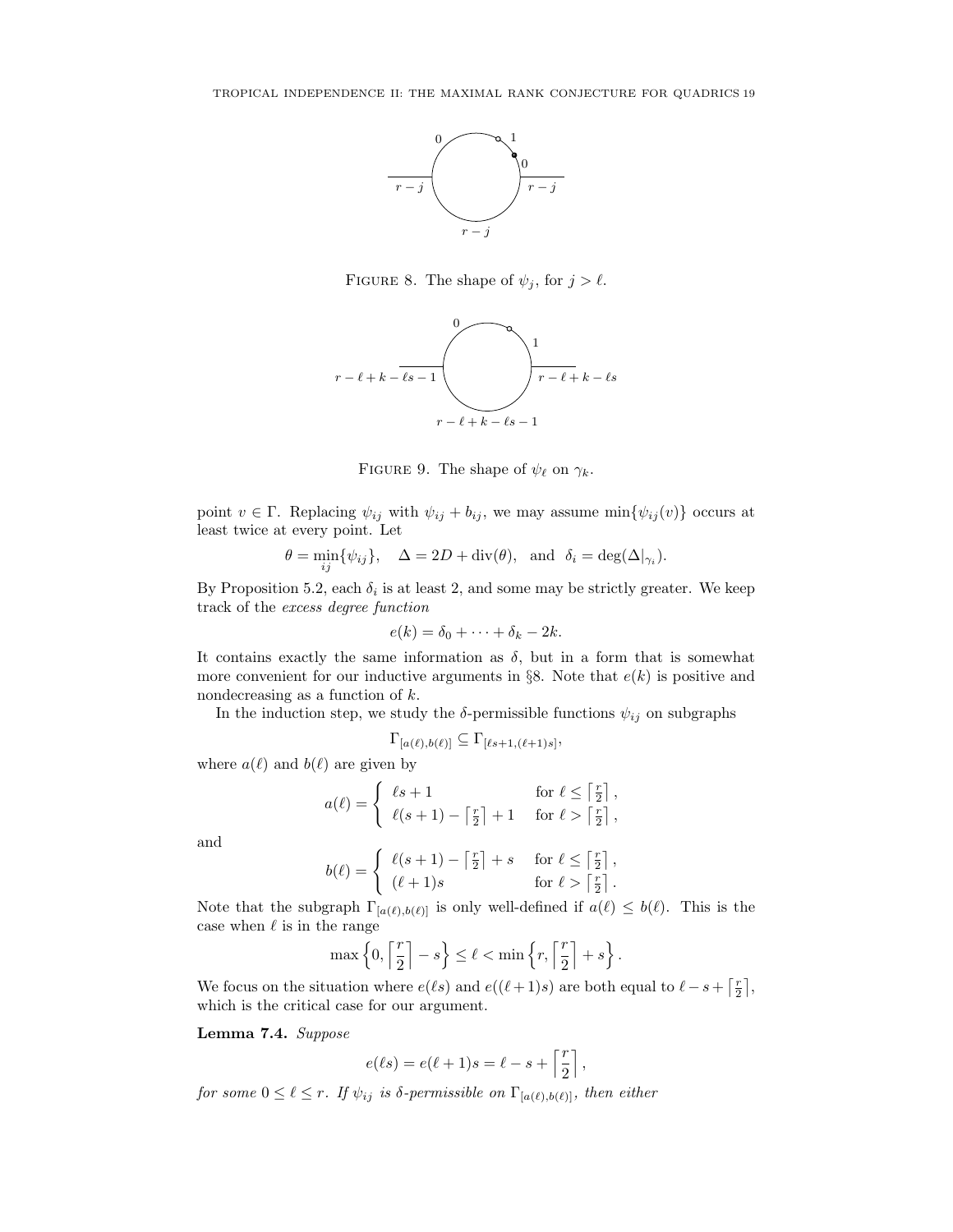

FIGURE 8. The shape of  $\psi_j$ , for  $j > \ell$ .



FIGURE 9. The shape of  $\psi_{\ell}$  on  $\gamma_{k}$ .

point  $v \in \Gamma$ . Replacing  $\psi_{ij}$  with  $\psi_{ij} + b_{ij}$ , we may assume  $\min{\{\psi_{ij}(v)\}}$  occurs at least twice at every point. Let

$$
\theta = \min_{ij} \{ \psi_{ij} \}, \quad \Delta = 2D + \text{div}(\theta), \text{ and } \delta_i = \text{deg}(\Delta|_{\gamma_i}).
$$

By Proposition 5.2, each  $\delta_i$  is at least 2, and some may be strictly greater. We keep track of the excess degree function

$$
e(k) = \delta_0 + \cdots + \delta_k - 2k.
$$

It contains exactly the same information as  $\delta$ , but in a form that is somewhat more convenient for our inductive arguments in §8. Note that  $e(k)$  is positive and nondecreasing as a function of  $k$ .

In the induction step, we study the  $\delta$ -permissible functions  $\psi_{ij}$  on subgraphs

$$
\Gamma_{[a(\ell),b(\ell)]} \subseteq \Gamma_{[\ell s+1,(\ell+1)s]},
$$

where  $a(\ell)$  and  $b(\ell)$  are given by

$$
a(\ell) = \begin{cases} \ell s + 1 & \text{for } \ell \leq \lceil \frac{r}{2} \rceil, \\ \ell(s+1) - \lceil \frac{r}{2} \rceil + 1 & \text{for } \ell > \lceil \frac{r}{2} \rceil, \end{cases}
$$

and

$$
b(\ell) = \begin{cases} \ell(s+1) - \lceil \frac{r}{2} \rceil + s & \text{for } \ell \leq \lceil \frac{r}{2} \rceil, \\ (\ell+1)s & \text{for } \ell > \lceil \frac{r}{2} \rceil. \end{cases}
$$

Note that the subgraph  $\Gamma_{[a(\ell),b(\ell)]}$  is only well-defined if  $a(\ell) \leq b(\ell)$ . This is the case when  $\ell$  is in the range

$$
\max\left\{0,\left\lceil\frac{r}{2}\right\rceil-s\right\}\leq\ell<\min\left\{r,\left\lceil\frac{r}{2}\right\rceil+s\right\}.
$$

We focus on the situation where  $e(\ell s)$  and  $e((\ell + 1)s)$  are both equal to  $\ell - s + \lceil \frac{r}{2} \rceil$ , which is the critical case for our argument.

Lemma 7.4. Suppose

$$
e(\ell s) = e(\ell + 1)s = \ell - s + \left\lceil \frac{r}{2} \right\rceil,
$$

for some  $0 \leq \ell \leq r$ . If  $\psi_{ij}$  is  $\delta$ -permissible on  $\Gamma_{[a(\ell),b(\ell)]}$ , then either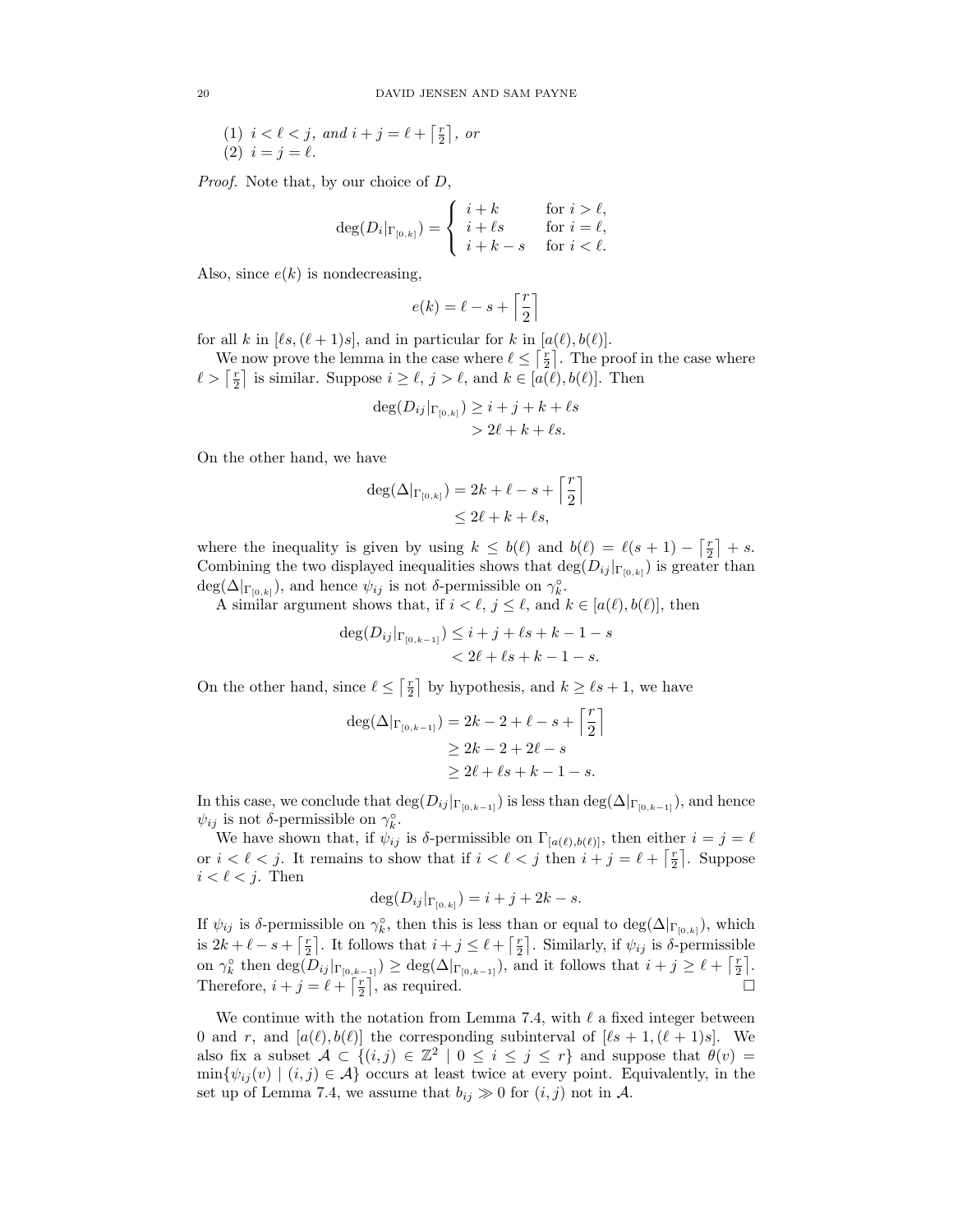(1) 
$$
i < \ell < j
$$
, and  $i + j = \ell + \lceil \frac{r}{2} \rceil$ , or  
(2)  $i = j = \ell$ .

Proof. Note that, by our choice of D,

$$
\deg(D_i|_{\Gamma_{[0,k]}}) = \begin{cases} i+k & \text{for } i > \ell, \\ i+\ell s & \text{for } i = \ell, \\ i+k-s & \text{for } i < \ell. \end{cases}
$$

Also, since  $e(k)$  is nondecreasing,

$$
e(k)=\ell-s+\left\lceil\frac{r}{2}\right\rceil
$$

for all k in  $[\ell s,(\ell + 1)s]$ , and in particular for k in  $[a(\ell), b(\ell)]$ .

We now prove the lemma in the case where  $\ell \leq \lceil \frac{r}{2} \rceil$ . The proof in the case where  $\ell > \lceil \frac{r}{2} \rceil$  is similar. Suppose  $i \geq \ell, j > \ell$ , and  $k \in [a(\ell), b(\ell)]$ . Then

$$
\deg(D_{ij}|_{\Gamma_{[0,k]}}) \geq i+j+k+\ell s
$$
  
> 2\ell+k+\ell s.

On the other hand, we have

$$
\begin{aligned} \deg(\Delta|_{\Gamma_{[0,k]}}) &= 2k + \ell - s + \left\lceil \frac{r}{2} \right\rceil \\ &\leq 2\ell + k + \ell s, \end{aligned}
$$

where the inequality is given by using  $k \leq b(\ell)$  and  $b(\ell) = \ell(s + 1) - \lceil \frac{r}{2} \rceil + s$ . Combining the two displayed inequalities shows that  $\deg(D_{ij}|_{\Gamma_{[0,k]}})$  is greater than  $deg(\Delta|_{\Gamma_{[0,k]}})$ , and hence  $\psi_{ij}$  is not  $\delta$ -permissible on  $\gamma_k^{\circ}$ .

A similar argument shows that, if  $i < \ell, j \leq \ell$ , and  $k \in [a(\ell), b(\ell)]$ , then

$$
\deg(D_{ij}|_{\Gamma_{[0,k-1]}}) \leq i+j+\ell s+k-1-s
$$
  
< 2\ell+\ell s+k-1-s.

On the other hand, since  $\ell \leq \lceil \frac{r}{2} \rceil$  by hypothesis, and  $k \geq \ell s + 1$ , we have

$$
deg(\Delta|_{\Gamma_{[0,k-1]}}) = 2k - 2 + \ell - s + \left\lceil \frac{r}{2} \right\rceil
$$
  
\n
$$
\geq 2k - 2 + 2\ell - s
$$
  
\n
$$
\geq 2\ell + \ell s + k - 1 - s.
$$

In this case, we conclude that  $\deg(D_{ij}|_{\Gamma_{[0,k-1]}})$  is less than  $\deg(\Delta|_{\Gamma_{[0,k-1]}})$ , and hence  $\psi_{ij}$  is not  $\delta$ -permissible on  $\gamma_k^{\circ}$ .

We have shown that, if  $\psi_{ij}$  is δ-permissible on  $\Gamma_{[a(\ell),b(\ell)]}$ , then either  $i = j = \ell$ or  $i < \ell < j$ . It remains to show that if  $i < \ell < j$  then  $i + j = \ell + \lceil \frac{r}{2} \rceil$ . Suppose  $i < \ell < j$ . Then

$$
\deg(D_{ij}|_{\Gamma_{[0,k]}})=i+j+2k-s.
$$

If  $\psi_{ij}$  is  $\delta$ -permissible on  $\gamma_k^{\circ}$ , then this is less than or equal to  $\deg(\Delta|_{\Gamma_{[0,k]}})$ , which is  $2k + \ell - s + \lceil \frac{r}{2} \rceil$ . It follows that  $i + j \leq \ell + \lceil \frac{r}{2} \rceil$ . Similarly, if  $\psi_{ij}$  is  $\delta$ -permissible on  $\gamma_k^{\circ}$  then  $\deg(D_{ij}|_{\Gamma_{[0,k-1]}}) \geq \deg(\Delta|_{\Gamma_{[0,k-1]}})$ , and it follows that  $i + j \geq \ell + \lceil \frac{r}{2} \rceil$ . Therefore,  $i + j = \ell + \lceil \frac{r}{2} \rceil$ , as required.

We continue with the notation from Lemma 7.4, with  $\ell$  a fixed integer between 0 and r, and  $[a(\ell), b(\ell)]$  the corresponding subinterval of  $[\ell s + 1,(\ell + 1)s]$ . We also fix a subset  $A \subset \{(i,j) \in \mathbb{Z}^2 \mid 0 \leq i \leq j \leq r\}$  and suppose that  $\theta(v) =$  $\min{\{\psi_{ij}(v) \mid (i,j) \in \mathcal{A}\}}$  occurs at least twice at every point. Equivalently, in the set up of Lemma 7.4, we assume that  $b_{ij} \gg 0$  for  $(i, j)$  not in A.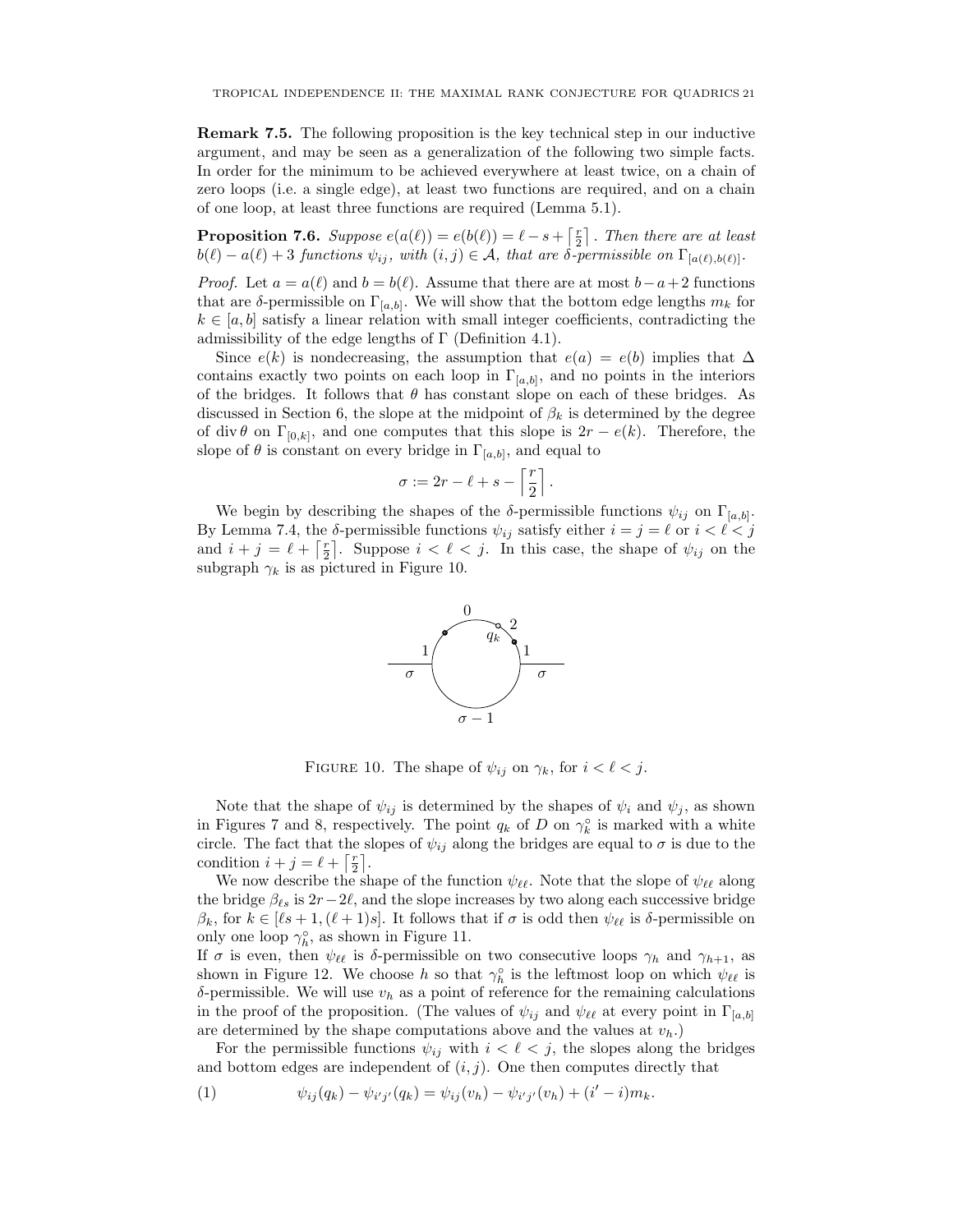Remark 7.5. The following proposition is the key technical step in our inductive argument, and may be seen as a generalization of the following two simple facts. In order for the minimum to be achieved everywhere at least twice, on a chain of zero loops (i.e. a single edge), at least two functions are required, and on a chain of one loop, at least three functions are required (Lemma 5.1).

**Proposition 7.6.** Suppose  $e(a(\ell)) = e(b(\ell)) = \ell - s + \lceil \frac{r}{2} \rceil$ . Then there are at least  $b(\ell) - a(\ell) + 3$  functions  $\psi_{ij}$ , with  $(i, j) \in \mathcal{A}$ , that are  $\delta$ -permissible on  $\Gamma_{[a(\ell),b(\ell)]}$ .

*Proof.* Let  $a = a(\ell)$  and  $b = b(\ell)$ . Assume that there are at most  $b - a + 2$  functions that are  $\delta$ -permissible on  $\Gamma_{[a,b]}$ . We will show that the bottom edge lengths  $m_k$  for  $k \in [a, b]$  satisfy a linear relation with small integer coefficients, contradicting the admissibility of the edge lengths of  $\Gamma$  (Definition 4.1).

Since  $e(k)$  is nondecreasing, the assumption that  $e(a) = e(b)$  implies that  $\Delta$ contains exactly two points on each loop in  $\Gamma_{[a,b]}$ , and no points in the interiors of the bridges. It follows that  $\theta$  has constant slope on each of these bridges. As discussed in Section 6, the slope at the midpoint of  $\beta_k$  is determined by the degree of div  $\theta$  on  $\Gamma_{[0,k]}$ , and one computes that this slope is  $2r - e(k)$ . Therefore, the slope of  $\theta$  is constant on every bridge in  $\Gamma_{[a,b]}$ , and equal to

$$
\sigma := 2r - \ell + s - \left\lceil \frac{r}{2} \right\rceil.
$$

We begin by describing the shapes of the  $\delta$ -permissible functions  $\psi_{ij}$  on  $\Gamma_{[a,b]}$ . By Lemma 7.4, the  $\delta$ -permissible functions  $\psi_{ij}$  satisfy either  $i = j = \ell$  or  $i < \ell < j$ and  $i + j = \ell + \lceil \frac{r}{2} \rceil$ . Suppose  $i < \ell < j$ . In this case, the shape of  $\psi_{ij}$  on the subgraph  $\gamma_k$  is as pictured in Figure 10.



FIGURE 10. The shape of  $\psi_{ij}$  on  $\gamma_k$ , for  $i < \ell < j$ .

Note that the shape of  $\psi_{ij}$  is determined by the shapes of  $\psi_i$  and  $\psi_j$ , as shown in Figures 7 and 8, respectively. The point  $q_k$  of D on  $\gamma_k^{\circ}$  is marked with a white circle. The fact that the slopes of  $\psi_{ij}$  along the bridges are equal to  $\sigma$  is due to the condition  $i + j = \ell + \lceil \frac{r}{2} \rceil$ .

We now describe the shape of the function  $\psi_{\ell\ell}$ . Note that the slope of  $\psi_{\ell\ell}$  along the bridge  $\beta_{\ell s}$  is  $2r-2\ell$ , and the slope increases by two along each successive bridge  $\beta_k$ , for  $k \in [\ell s + 1, (\ell + 1)s]$ . It follows that if  $\sigma$  is odd then  $\psi_{\ell\ell}$  is  $\delta$ -permissible on only one loop  $\gamma_h^{\circ}$ , as shown in Figure 11.

If  $\sigma$  is even, then  $\psi_{\ell\ell}$  is  $\delta$ -permissible on two consecutive loops  $\gamma_h$  and  $\gamma_{h+1}$ , as shown in Figure 12. We choose h so that  $\gamma_h^{\circ}$  is the leftmost loop on which  $\psi_{\ell\ell}$  is δ-permissible. We will use  $v<sub>h</sub>$  as a point of reference for the remaining calculations in the proof of the proposition. (The values of  $\psi_{ij}$  and  $\psi_{\ell\ell}$  at every point in  $\Gamma_{[a,b]}$ are determined by the shape computations above and the values at  $v_h$ .)

For the permissible functions  $\psi_{ij}$  with  $i < \ell < j$ , the slopes along the bridges and bottom edges are independent of  $(i, j)$ . One then computes directly that

(1) 
$$
\psi_{ij}(q_k) - \psi_{i'j'}(q_k) = \psi_{ij}(v_h) - \psi_{i'j'}(v_h) + (i'-i)m_k.
$$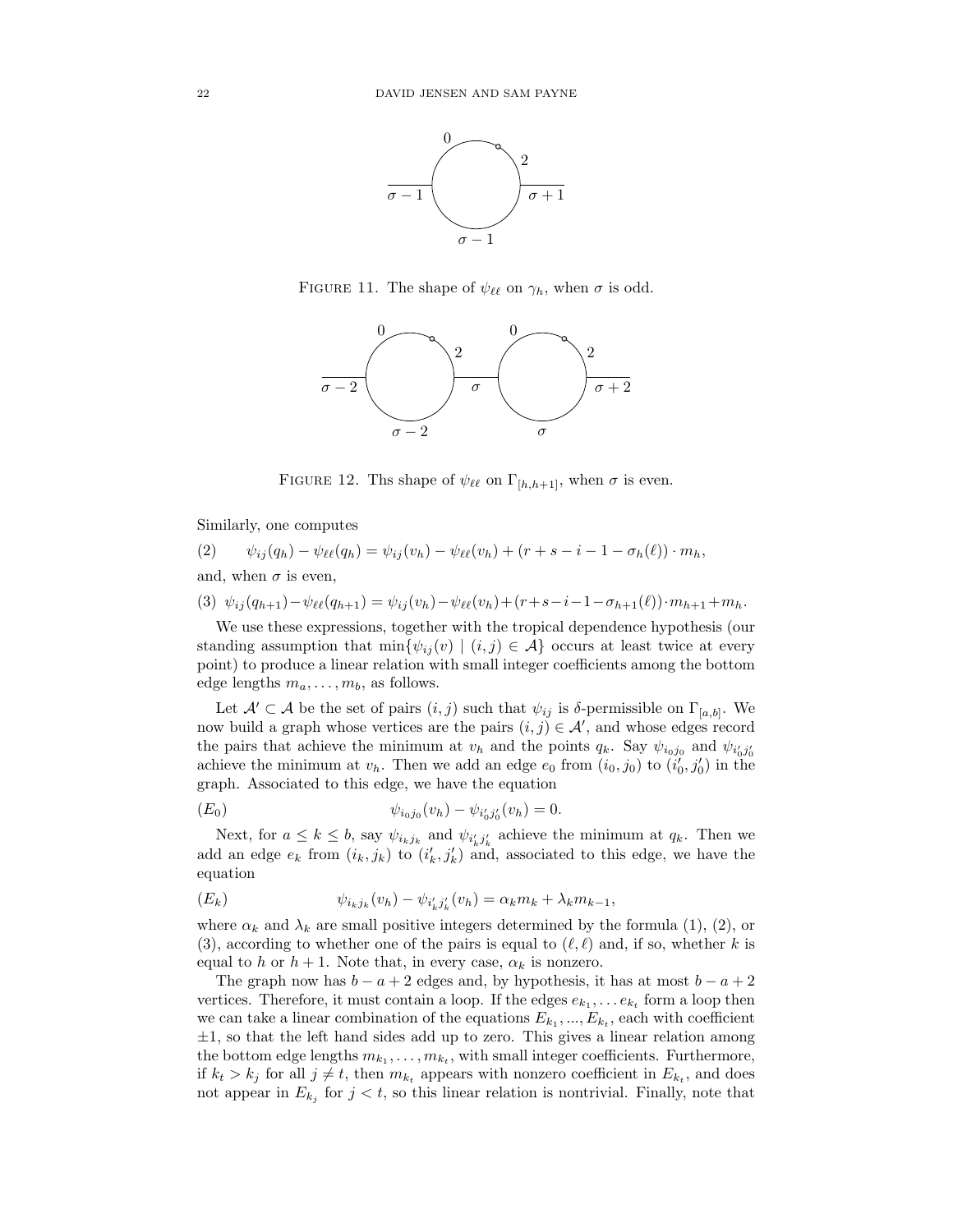

FIGURE 11. The shape of  $\psi_{\ell\ell}$  on  $\gamma_h$ , when  $\sigma$  is odd.



FIGURE 12. Ths shape of  $\psi_{\ell\ell}$  on  $\Gamma_{[h,h+1]}$ , when  $\sigma$  is even.

Similarly, one computes

(2) 
$$
\psi_{ij}(q_h) - \psi_{\ell\ell}(q_h) = \psi_{ij}(v_h) - \psi_{\ell\ell}(v_h) + (r + s - i - 1 - \sigma_h(\ell)) \cdot m_h,
$$

and, when  $\sigma$  is even,

$$
(3) \ \psi_{ij}(q_{h+1}) - \psi_{\ell\ell}(q_{h+1}) = \psi_{ij}(v_h) - \psi_{\ell\ell}(v_h) + (r + s - i - 1 - \sigma_{h+1}(\ell)) \cdot m_{h+1} + m_h.
$$

We use these expressions, together with the tropical dependence hypothesis (our standing assumption that  $\min{\{\psi_{ij}(v) \mid (i,j) \in \mathcal{A}\}}$  occurs at least twice at every point) to produce a linear relation with small integer coefficients among the bottom edge lengths  $m_a, \ldots, m_b$ , as follows.

Let  $\mathcal{A}' \subset \mathcal{A}$  be the set of pairs  $(i, j)$  such that  $\psi_{ij}$  is  $\delta$ -permissible on  $\Gamma_{[a, b]}$ . We now build a graph whose vertices are the pairs  $(i, j) \in \mathcal{A}'$ , and whose edges record the pairs that achieve the minimum at  $v_h$  and the points  $q_k$ . Say  $\psi_{i_0 j_0}$  and  $\psi_{i'_0 j'_0}$ achieve the minimum at  $v_h$ . Then we add an edge  $e_0$  from  $(i_0, j_0)$  to  $(i'_0, j'_0)$  in the graph. Associated to this edge, we have the equation

$$
(E_0) \t\t \psi_{i_0j_0}(v_h) - \psi_{i'_0j'_0}(v_h) = 0.
$$

Next, for  $a \leq k \leq b$ , say  $\psi_{i_k j_k}$  and  $\psi_{i'_k j'_k}$  achieve the minimum at  $q_k$ . Then we add an edge  $e_k$  from  $(i_k, j_k)$  to  $(i'_k, j'_k)$  and, associated to this edge, we have the equation

$$
(E_k) \t\t \psi_{i_k j_k}(v_h) - \psi_{i'_k j'_k}(v_h) = \alpha_k m_k + \lambda_k m_{k-1},
$$

where  $\alpha_k$  and  $\lambda_k$  are small positive integers determined by the formula (1), (2), or (3), according to whether one of the pairs is equal to  $(\ell, \ell)$  and, if so, whether k is equal to h or  $h + 1$ . Note that, in every case,  $\alpha_k$  is nonzero.

The graph now has  $b - a + 2$  edges and, by hypothesis, it has at most  $b - a + 2$ vertices. Therefore, it must contain a loop. If the edges  $e_{k_1}, \ldots e_{k_t}$  form a loop then we can take a linear combination of the equations  $E_{k_1}, ..., E_{k_t}$ , each with coefficient  $\pm 1$ , so that the left hand sides add up to zero. This gives a linear relation among the bottom edge lengths  $m_{k_1}, \ldots, m_{k_t}$ , with small integer coefficients. Furthermore, if  $k_t > k_j$  for all  $j \neq t$ , then  $m_{k_t}$  appears with nonzero coefficient in  $E_{k_t}$ , and does not appear in  $E_{k_j}$  for  $j < t$ , so this linear relation is nontrivial. Finally, note that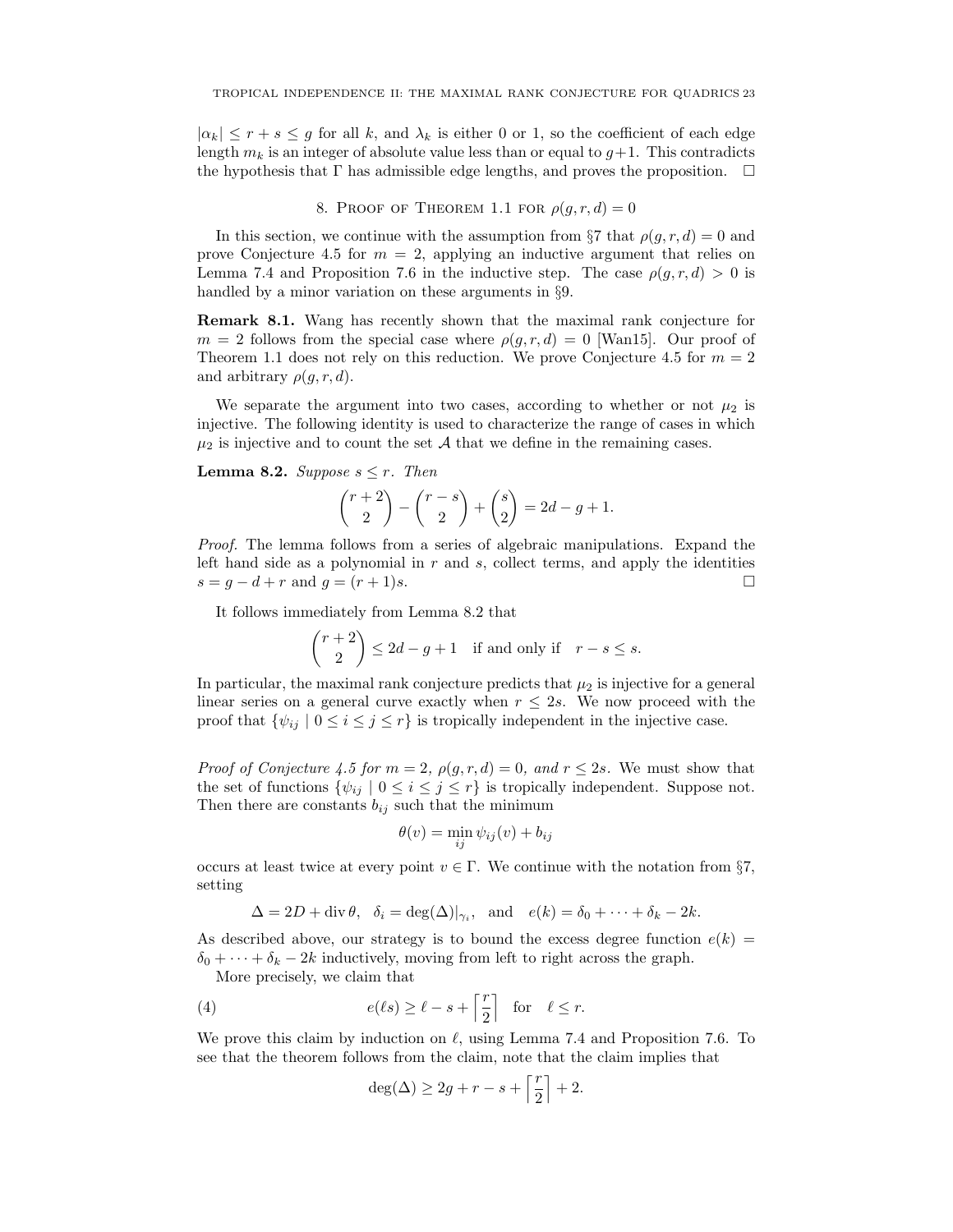$|\alpha_k| \leq r + s \leq g$  for all k, and  $\lambda_k$  is either 0 or 1, so the coefficient of each edge length  $m_k$  is an integer of absolute value less than or equal to  $g+1$ . This contradicts the hypothesis that  $\Gamma$  has admissible edge lengths, and proves the proposition.  $\Box$ 

## 8. PROOF OF THEOREM 1.1 FOR  $\rho(g, r, d) = 0$

In this section, we continue with the assumption from §7 that  $\rho(g, r, d) = 0$  and prove Conjecture 4.5 for  $m = 2$ , applying an inductive argument that relies on Lemma 7.4 and Proposition 7.6 in the inductive step. The case  $\rho(q, r, d) > 0$  is handled by a minor variation on these arguments in §9.

Remark 8.1. Wang has recently shown that the maximal rank conjecture for  $m = 2$  follows from the special case where  $\rho(g, r, d) = 0$  [Wan15]. Our proof of Theorem 1.1 does not rely on this reduction. We prove Conjecture 4.5 for  $m = 2$ and arbitrary  $\rho(g, r, d)$ .

We separate the argument into two cases, according to whether or not  $\mu_2$  is injective. The following identity is used to characterize the range of cases in which  $\mu_2$  is injective and to count the set A that we define in the remaining cases.

**Lemma 8.2.** Suppose  $s \leq r$ . Then

$$
\binom{r+2}{2} - \binom{r-s}{2} + \binom{s}{2} = 2d - g + 1.
$$

Proof. The lemma follows from a series of algebraic manipulations. Expand the left hand side as a polynomial in  $r$  and  $s$ , collect terms, and apply the identities  $s = g - d + r$  and  $g = (r + 1)s$ .

It follows immediately from Lemma 8.2 that

$$
\binom{r+2}{2} \le 2d - g + 1 \quad \text{if and only if} \quad r - s \le s.
$$

In particular, the maximal rank conjecture predicts that  $\mu_2$  is injective for a general linear series on a general curve exactly when  $r \leq 2s$ . We now proceed with the proof that  $\{\psi_{ij} \mid 0 \le i \le j \le r\}$  is tropically independent in the injective case.

*Proof of Conjecture 4.5 for*  $m = 2$ ,  $\rho(g, r, d) = 0$ , and  $r \leq 2s$ . We must show that the set of functions  $\{\psi_{ij} \mid 0 \le i \le j \le r\}$  is tropically independent. Suppose not. Then there are constants  $b_{ij}$  such that the minimum

$$
\theta(v) = \min_{ij} \psi_{ij}(v) + b_{ij}
$$

occurs at least twice at every point  $v \in \Gamma$ . We continue with the notation from §7, setting

$$
\Delta = 2D + \operatorname{div} \theta, \quad \delta_i = \deg(\Delta)|_{\gamma_i}, \quad \text{and} \quad e(k) = \delta_0 + \dots + \delta_k - 2k.
$$

As described above, our strategy is to bound the excess degree function  $e(k)$  =  $\delta_0 + \cdots + \delta_k - 2k$  inductively, moving from left to right across the graph.

More precisely, we claim that

(4) 
$$
e(\ell s) \ge \ell - s + \left\lceil \frac{r}{2} \right\rceil
$$
 for  $\ell \le r$ .

We prove this claim by induction on  $\ell$ , using Lemma 7.4 and Proposition 7.6. To see that the theorem follows from the claim, note that the claim implies that

$$
\deg(\Delta) \ge 2g + r - s + \left\lceil \frac{r}{2} \right\rceil + 2.
$$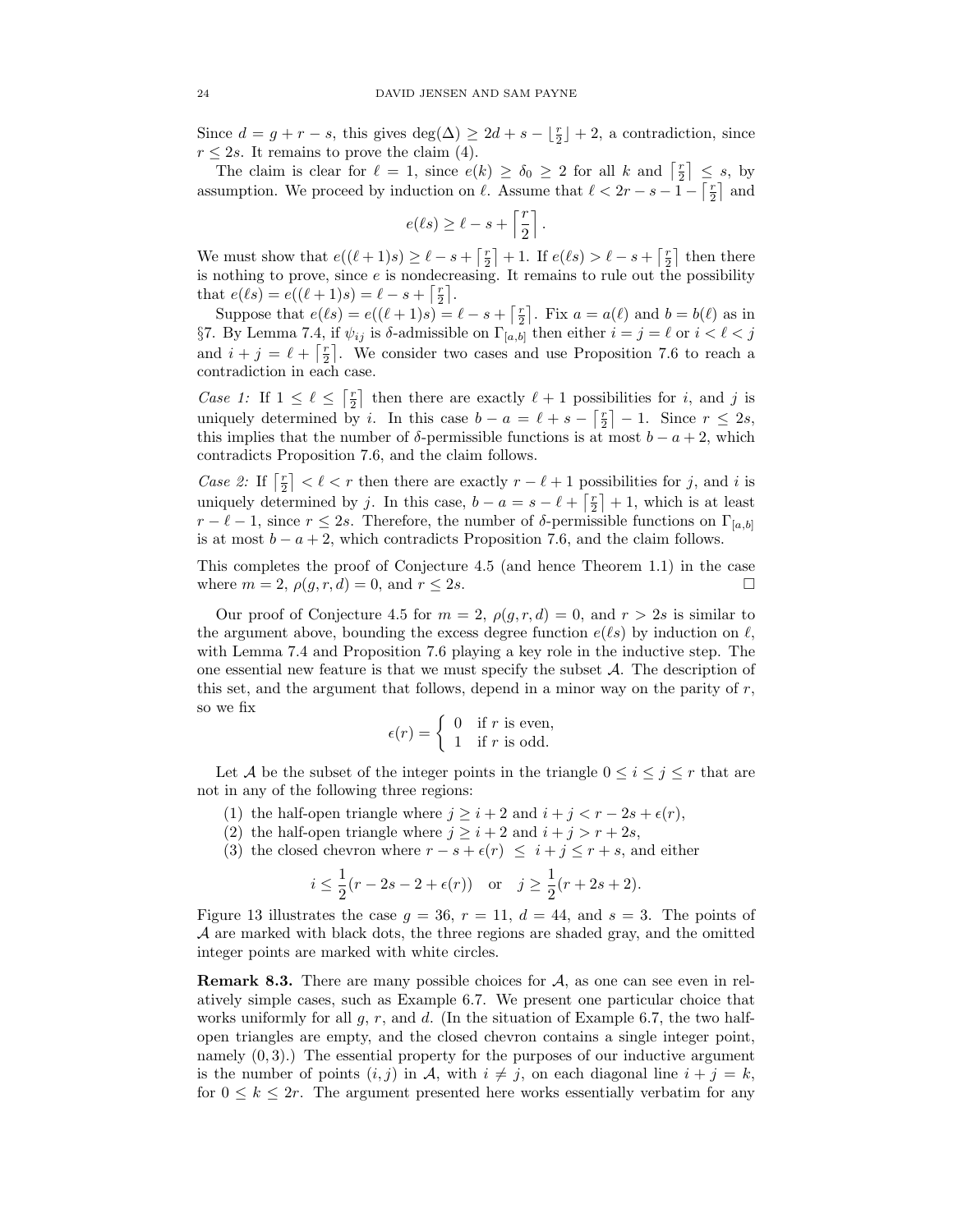Since  $d = g + r - s$ , this gives  $\deg(\Delta) \geq 2d + s - \lfloor \frac{r}{2} \rfloor + 2$ , a contradiction, since  $r \leq 2s$ . It remains to prove the claim (4).

The claim is clear for  $\ell = 1$ , since  $e(k) \ge \delta_0 \ge 2$  for all k and  $\lceil \frac{r}{2} \rceil \le s$ , by assumption. We proceed by induction on  $\ell$ . Assume that  $\ell < 2r - s - 1 - \lceil \frac{r}{2} \rceil$  and

$$
e(\ell s) \geq \ell - s + \left\lceil \frac{r}{2} \right\rceil
$$

.

We must show that  $e((\ell + 1)s) \ge \ell - s + \lceil \frac{r}{2} \rceil + 1$ . If  $e(\ell s) > \ell - s + \lceil \frac{r}{2} \rceil$  then there is nothing to prove, since  $e$  is nondecreasing. It remains to rule out the possibility that  $e(\ell s) = e((\ell + 1)s) = \ell - s + \lceil \frac{r}{2} \rceil$ .

Suppose that  $e(\ell s) = e((\ell + 1)s) = \ell - s + \lceil \frac{r}{2} \rceil$ . Fix  $a = a(\ell)$  and  $b = b(\ell)$  as in §7. By Lemma 7.4, if  $ψ_{ij}$  is δ-admissible on  $\Gamma_{[a,b]}$  then either  $i = j = \ell$  or  $i < \ell < j$ and  $i + j = \ell + \lceil \frac{r}{2} \rceil$ . We consider two cases and use Proposition 7.6 to reach a contradiction in each case.

Case 1: If  $1 \leq \ell \leq \lceil \frac{r}{2} \rceil$  then there are exactly  $\ell + 1$  possibilities for i, and j is uniquely determined by *i*. In this case  $b - a = \ell + s - \lceil \frac{r}{2} \rceil - 1$ . Since  $r \leq 2s$ , this implies that the number of  $\delta$ -permissible functions is at most  $b - a + 2$ , which contradicts Proposition 7.6, and the claim follows.

Case 2: If  $\lceil \frac{r}{2} \rceil < \ell < r$  then there are exactly  $r - \ell + 1$  possibilities for j, and i is uniquely determined by j. In this case,  $b - a = s - \ell + \lceil \frac{r}{2} \rceil + 1$ , which is at least  $r - \ell - 1$ , since  $r \leq 2s$ . Therefore, the number of  $\delta$ -permissible functions on  $\Gamma_{[a,b]}$ is at most  $b - a + 2$ , which contradicts Proposition 7.6, and the claim follows.

This completes the proof of Conjecture 4.5 (and hence Theorem 1.1) in the case where  $m = 2$ ,  $\rho(g, r, d) = 0$ , and  $r \leq 2s$ .

Our proof of Conjecture 4.5 for  $m = 2$ ,  $\rho(g, r, d) = 0$ , and  $r > 2s$  is similar to the argument above, bounding the excess degree function  $e(\ell s)$  by induction on  $\ell$ , with Lemma 7.4 and Proposition 7.6 playing a key role in the inductive step. The one essential new feature is that we must specify the subset  $A$ . The description of this set, and the argument that follows, depend in a minor way on the parity of  $r$ , so we fix

$$
\epsilon(r) = \begin{cases} 0 & \text{if } r \text{ is even,} \\ 1 & \text{if } r \text{ is odd.} \end{cases}
$$

Let A be the subset of the integer points in the triangle  $0 \leq i \leq j \leq r$  that are not in any of the following three regions:

- (1) the half-open triangle where  $j \geq i+2$  and  $i+j < r-2s+\epsilon(r)$ ,
- (2) the half-open triangle where  $j \geq i+2$  and  $i+j > r+2s$ ,
- (3) the closed chevron where  $r s + \epsilon(r) \leq i + j \leq r + s$ , and either

$$
i \leq \frac{1}{2}(r - 2s - 2 + \epsilon(r))
$$
 or  $j \geq \frac{1}{2}(r + 2s + 2).$ 

Figure 13 illustrates the case  $g = 36$ ,  $r = 11$ ,  $d = 44$ , and  $s = 3$ . The points of A are marked with black dots, the three regions are shaded gray, and the omitted integer points are marked with white circles.

**Remark 8.3.** There are many possible choices for  $A$ , as one can see even in relatively simple cases, such as Example 6.7. We present one particular choice that works uniformly for all  $g, r$ , and  $d$ . (In the situation of Example 6.7, the two halfopen triangles are empty, and the closed chevron contains a single integer point, namely  $(0, 3)$ .) The essential property for the purposes of our inductive argument is the number of points  $(i, j)$  in A, with  $i \neq j$ , on each diagonal line  $i + j = k$ , for  $0 \leq k \leq 2r$ . The argument presented here works essentially verbatim for any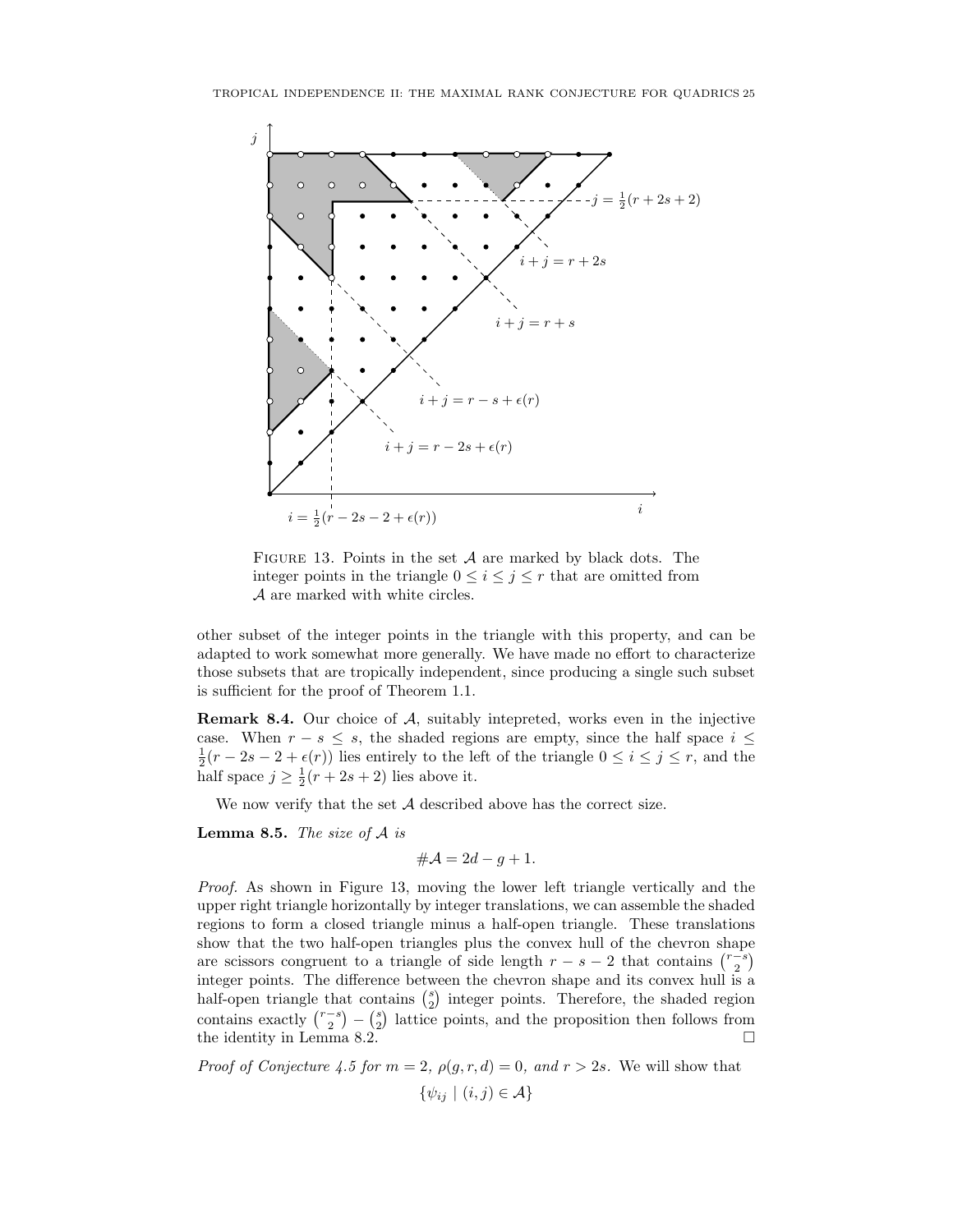

FIGURE 13. Points in the set  $A$  are marked by black dots. The integer points in the triangle  $0 \leq i \leq j \leq r$  that are omitted from A are marked with white circles.

other subset of the integer points in the triangle with this property, and can be adapted to work somewhat more generally. We have made no effort to characterize those subsets that are tropically independent, since producing a single such subset is sufficient for the proof of Theorem 1.1.

Remark 8.4. Our choice of A, suitably intepreted, works even in the injective case. When  $r - s \leq s$ , the shaded regions are empty, since the half space  $i \leq$  $\frac{1}{2}(r-2s-2+\epsilon(r))$  lies entirely to the left of the triangle  $0 \leq i \leq j \leq r$ , and the half space  $j \geq \frac{1}{2}(r+2s+2)$  lies above it.

We now verify that the set  $A$  described above has the correct size.

**Lemma 8.5.** The size of  $A$  is

$$
\#\mathcal{A} = 2d - g + 1.
$$

Proof. As shown in Figure 13, moving the lower left triangle vertically and the upper right triangle horizontally by integer translations, we can assemble the shaded regions to form a closed triangle minus a half-open triangle. These translations show that the two half-open triangles plus the convex hull of the chevron shape are scissors congruent to a triangle of side length  $r - s - 2$  that contains  $\binom{r-s}{2}$ integer points. The difference between the chevron shape and its convex hull is a half-open triangle that contains  $\binom{s}{2}$  integer points. Therefore, the shaded region contains exactly  $\binom{r-s}{2} - \binom{s}{2}$  lattice points, and the proposition then follows from the identity in Lemma 8.2.

*Proof of Conjecture 4.5 for*  $m = 2$ ,  $\rho(g, r, d) = 0$ , and  $r > 2s$ . We will show that  $\{\psi_{ij} \mid (i,j) \in \mathcal{A}\}\$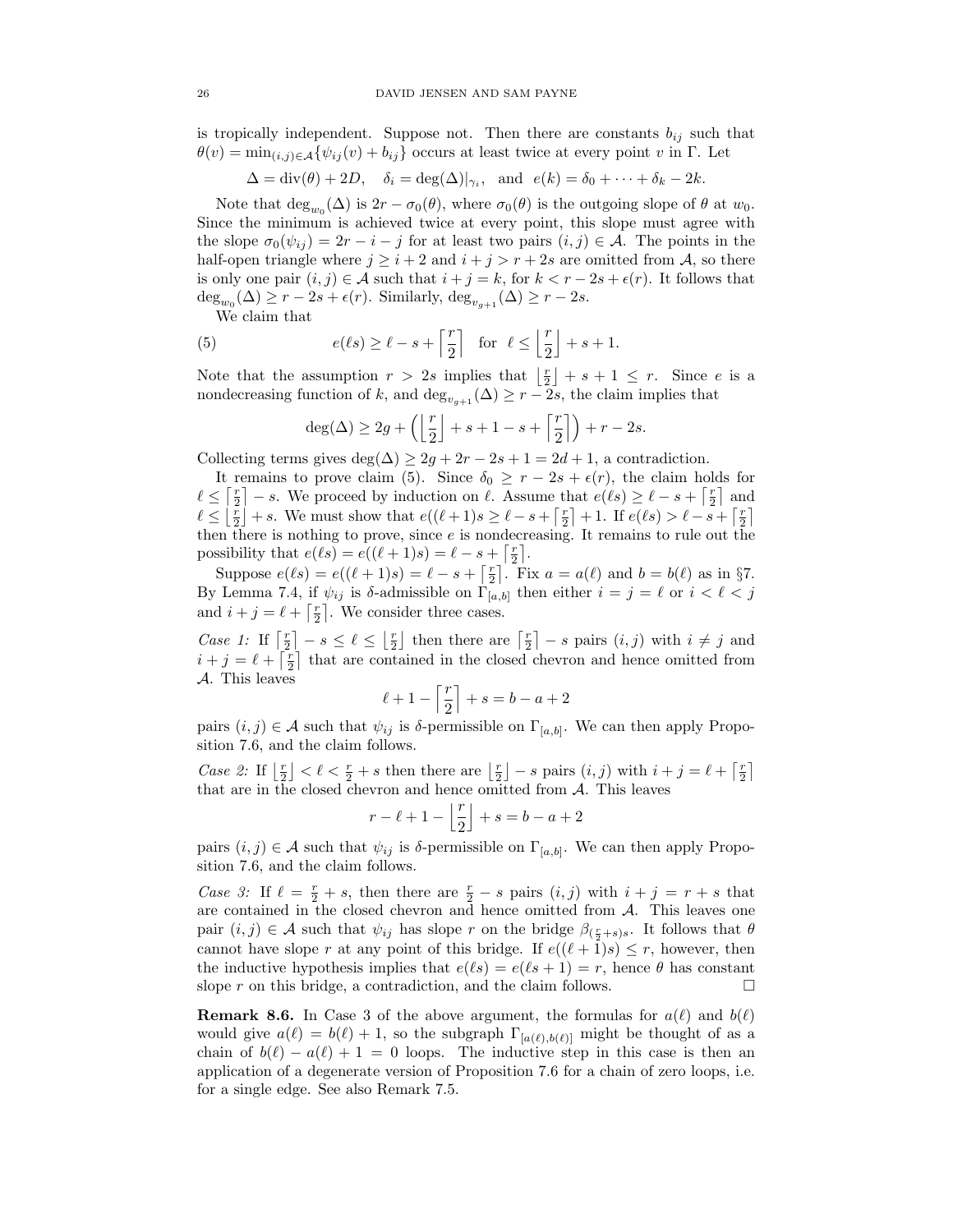is tropically independent. Suppose not. Then there are constants  $b_{ij}$  such that  $\theta(v) = \min_{(i,j)\in\mathcal{A}} \{\psi_{ij}(v) + b_{ij}\}\)$  occurs at least twice at every point v in Γ. Let

$$
\Delta = \text{div}(\theta) + 2D, \quad \delta_i = \text{deg}(\Delta)|_{\gamma_i}, \text{ and } e(k) = \delta_0 + \dots + \delta_k - 2k.
$$

Note that  $\deg_{w_0}(\Delta)$  is  $2r - \sigma_0(\theta)$ , where  $\sigma_0(\theta)$  is the outgoing slope of  $\theta$  at  $w_0$ . Since the minimum is achieved twice at every point, this slope must agree with the slope  $\sigma_0(\psi_{ii}) = 2r - i - j$  for at least two pairs  $(i, j) \in \mathcal{A}$ . The points in the half-open triangle where  $j \geq i + 2$  and  $i + j > r + 2s$  are omitted from A, so there is only one pair  $(i, j) \in \mathcal{A}$  such that  $i + j = k$ , for  $k < r - 2s + \epsilon(r)$ . It follows that  $\deg_{w_0}(\Delta) \ge r - 2s + \epsilon(r)$ . Similarly,  $\deg_{v_{g+1}}(\Delta) \ge r - 2s$ .

We claim that

(5) 
$$
e(\ell s) \ge \ell - s + \left\lceil \frac{r}{2} \right\rceil
$$
 for  $\ell \le \left\lfloor \frac{r}{2} \right\rfloor + s + 1$ .

Note that the assumption  $r > 2s$  implies that  $\lfloor \frac{r}{2} \rfloor + s + 1 \leq r$ . Since e is a nondecreasing function of k, and  $\deg_{v_{g+1}}(\Delta) \geq r - 2s$ , the claim implies that

$$
\deg(\Delta) \ge 2g + \left( \left\lfloor \frac{r}{2} \right\rfloor + s + 1 - s + \left\lceil \frac{r}{2} \right\rceil \right) + r - 2s.
$$

Collecting terms gives deg( $\Delta$ )  $\geq 2g + 2r - 2s + 1 = 2d + 1$ , a contradiction.

It remains to prove claim (5). Since  $\delta_0 \ge r - 2s + \epsilon(r)$ , the claim holds for  $\ell \leq \lceil \frac{r}{2} \rceil - s$ . We proceed by induction on  $\ell$ . Assume that  $e(\ell s) \geq \ell - s + \lceil \frac{r}{2} \rceil$  and  $\ell \leq \lfloor \frac{r}{2} \rfloor + s$ . We must show that  $e((\ell + 1)s \geq \ell - s + \lceil \frac{r}{2} \rceil + 1$ . If  $e(\ell s) > \ell - s + \lceil \frac{r}{2} \rceil$ then there is nothing to prove, since  $e$  is nondecreasing. It remains to rule out the possibility that  $e(\ell s) = e((\ell + 1)s) = \ell - s + \lceil \frac{r}{2} \rceil$ .

Suppose  $e(\ell s) = e((\ell + 1)s) = \ell - s + \lceil \frac{r}{2} \rceil$ . Fix  $a = a(\ell)$  and  $b = b(\ell)$  as in §7. By Lemma 7.4, if  $\psi_{ij}$  is δ-admissible on  $\Gamma_{[a,b]}$  then either  $i = j = \ell$  or  $i < \ell < j$ and  $i + j = \ell + \lceil \frac{r}{2} \rceil$ . We consider three cases.

Case 1: If  $\lceil \frac{r}{2} \rceil - s \leq \ell \leq \lfloor \frac{r}{2} \rfloor$  then there are  $\lceil \frac{r}{2} \rceil - s$  pairs  $(i, j)$  with  $i \neq j$  and  $i + j = \ell + \lceil \frac{r}{2} \rceil$  that are contained in the closed chevron and hence omitted from A. This leaves

$$
\ell+1-\left\lceil\frac{r}{2}\right\rceil+s=b-a+2
$$

pairs  $(i, j) \in \mathcal{A}$  such that  $\psi_{ij}$  is  $\delta$ -permissible on  $\Gamma_{[a,b]}$ . We can then apply Proposition 7.6, and the claim follows.

Case 2: If  $\lfloor \frac{r}{2} \rfloor < \ell < \frac{r}{2} + s$  then there are  $\lfloor \frac{r}{2} \rfloor - s$  pairs  $(i, j)$  with  $i + j = \ell + \lceil \frac{r}{2} \rceil$ that are in the closed chevron and hence omitted from  $A$ . This leaves

$$
r-\ell+1-\left\lfloor\frac{r}{2}\right\rfloor+s=b-a+2
$$

pairs  $(i, j) \in \mathcal{A}$  such that  $\psi_{ij}$  is  $\delta$ -permissible on  $\Gamma_{[a,b]}$ . We can then apply Proposition 7.6, and the claim follows.

Case 3: If  $\ell = \frac{r}{2} + s$ , then there are  $\frac{r}{2} - s$  pairs  $(i, j)$  with  $i + j = r + s$  that are contained in the closed chevron and hence omitted from  $A$ . This leaves one pair  $(i, j) \in \mathcal{A}$  such that  $\psi_{ij}$  has slope r on the bridge  $\beta_{(\frac{r}{2}+s)s}$ . It follows that  $\theta$ cannot have slope r at any point of this bridge. If  $e((\ell + 1)s) \leq r$ , however, then the inductive hypothesis implies that  $e(\ell s) = e(\ell s + 1) = r$ , hence  $\theta$  has constant slope r on this bridge, a contradiction, and the claim follows.  $\Box$ 

**Remark 8.6.** In Case 3 of the above argument, the formulas for  $a(\ell)$  and  $b(\ell)$ would give  $a(\ell) = b(\ell) + 1$ , so the subgraph  $\Gamma_{[a(\ell),b(\ell)]}$  might be thought of as a chain of  $b(\ell) - a(\ell) + 1 = 0$  loops. The inductive step in this case is then an application of a degenerate version of Proposition 7.6 for a chain of zero loops, i.e. for a single edge. See also Remark 7.5.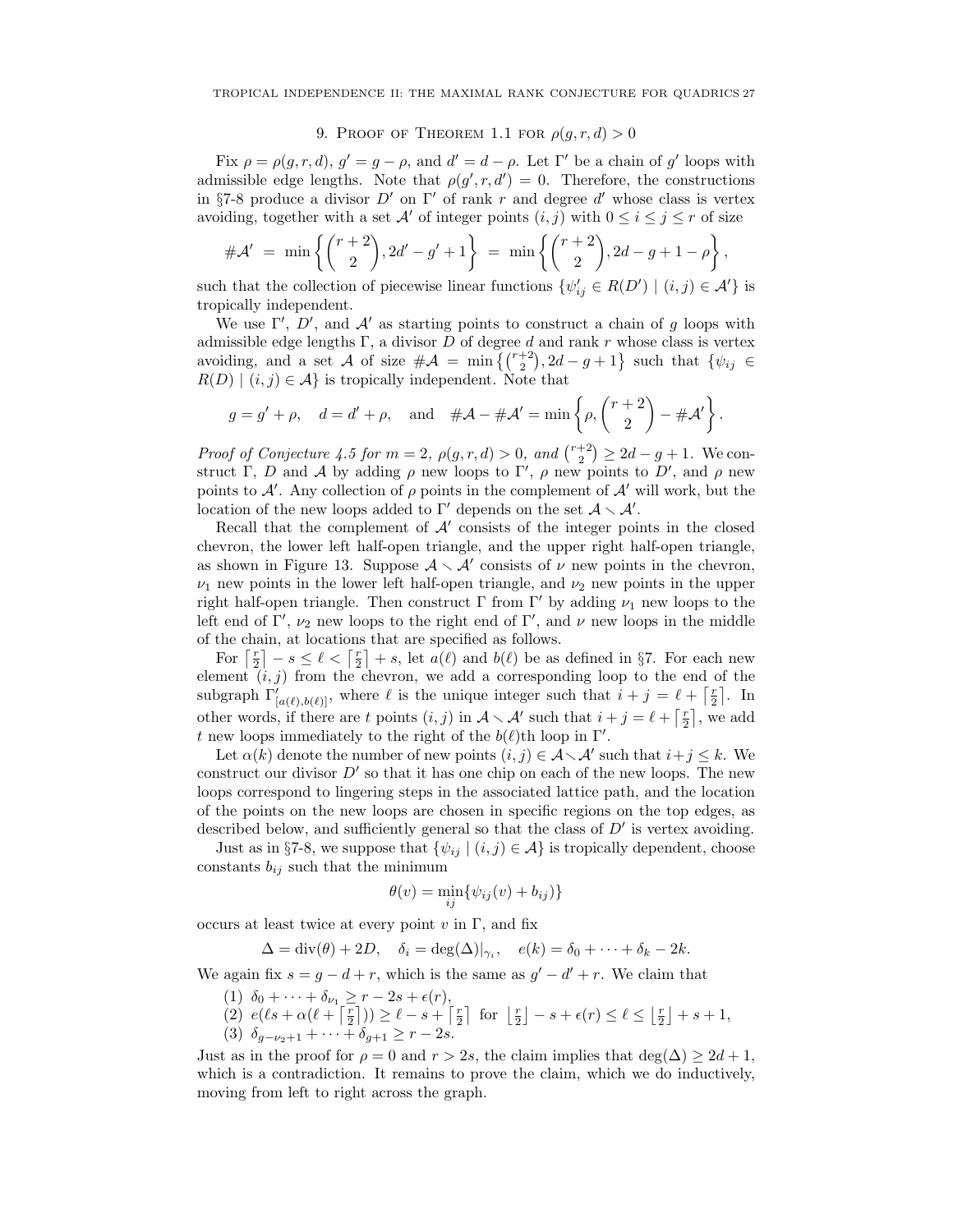### 9. PROOF OF THEOREM 1.1 FOR  $\rho(g, r, d) > 0$

Fix  $\rho = \rho(g, r, d), g' = g - \rho$ , and  $d' = d - \rho$ . Let  $\Gamma'$  be a chain of g' loops with admissible edge lengths. Note that  $\rho(g', r, d') = 0$ . Therefore, the constructions in §7-8 produce a divisor  $D'$  on  $\Gamma'$  of rank r and degree d' whose class is vertex avoiding, together with a set A' of integer points  $(i, j)$  with  $0 \leq i \leq j \leq r$  of size

$$
\#\mathcal{A}'\ =\ \min\left\{ \binom{r+2}{2}, 2d' - g' + 1 \right\}\ =\ \min\left\{ \binom{r+2}{2}, 2d - g + 1 - \rho \right\},\
$$

such that the collection of piecewise linear functions  $\{\psi'_{ij} \in R(D') \mid (i,j) \in \mathcal{A}'\}$  is tropically independent.

We use  $\Gamma'$ , D', and A' as starting points to construct a chain of g loops with admissible edge lengths Γ, a divisor  $D$  of degree  $d$  and rank  $r$  whose class is vertex avoiding, and a set A of size  $\#\mathcal{A} = \min\left\{ {r+2 \choose 2}, 2d-g+1 \right\}$  such that  $\{\psi_{ij} \in$  $R(D) | (i, j) \in \mathcal{A}$  is tropically independent. Note that

$$
g = g' + \rho
$$
,  $d = d' + \rho$ , and  $\#A - \#A' = \min \left\{ \rho, \binom{r+2}{2} - \#A' \right\}.$ 

Proof of Conjecture 4.5 for  $m = 2$ ,  $\rho(g, r, d) > 0$ , and  $\binom{r+2}{2} \geq 2d - g + 1$ . We construct Γ, D and A by adding  $\rho$  new loops to Γ',  $\rho$  new points to D', and  $\rho$  new points to  $\mathcal{A}'$ . Any collection of  $\rho$  points in the complement of  $\mathcal{A}'$  will work, but the location of the new loops added to  $\Gamma'$  depends on the set  $\mathcal{A} \setminus \mathcal{A}'$ .

Recall that the complement of  $A'$  consists of the integer points in the closed chevron, the lower left half-open triangle, and the upper right half-open triangle, as shown in Figure 13. Suppose  $A \setminus A'$  consists of  $\nu$  new points in the chevron,  $\nu_1$  new points in the lower left half-open triangle, and  $\nu_2$  new points in the upper right half-open triangle. Then construct Γ from Γ' by adding  $\nu_1$  new loops to the left end of Γ',  $\nu_2$  new loops to the right end of Γ', and  $\nu$  new loops in the middle of the chain, at locations that are specified as follows.

For  $\lceil \frac{r}{2} \rceil - s \leq \ell < \lceil \frac{r}{2} \rceil + s$ , let  $a(\ell)$  and  $b(\ell)$  be as defined in §7. For each new element  $(i, j)$  from the chevron, we add a corresponding loop to the end of the subgraph  $\Gamma'_{[a(\ell),b(\ell)]}$ , where  $\ell$  is the unique integer such that  $i + j = \ell + \lceil \frac{r}{2} \rceil$ . In other words, if there are t points  $(i, j)$  in  $\mathcal{A} \setminus \mathcal{A}'$  such that  $i + j = \ell + \lceil \frac{r}{2} \rceil$ , we add t new loops immediately to the right of the  $b(\ell)$ th loop in Γ'.

Let  $\alpha(k)$  denote the number of new points  $(i, j) \in \mathcal{A} \setminus \mathcal{A}'$  such that  $i + j \leq k$ . We construct our divisor  $D'$  so that it has one chip on each of the new loops. The new loops correspond to lingering steps in the associated lattice path, and the location of the points on the new loops are chosen in specific regions on the top edges, as described below, and sufficiently general so that the class of  $D'$  is vertex avoiding.

Just as in §7-8, we suppose that  $\{\psi_{ij} \mid (i,j) \in \mathcal{A}\}\$ is tropically dependent, choose constants  $b_{ij}$  such that the minimum

$$
\theta(v) = \min_{ij} \{ \psi_{ij}(v) + b_{ij} \}
$$

occurs at least twice at every point  $v$  in  $\Gamma$ , and fix

$$
\Delta = \operatorname{div}(\theta) + 2D, \quad \delta_i = \operatorname{deg}(\Delta)|_{\gamma_i}, \quad e(k) = \delta_0 + \cdots + \delta_k - 2k.
$$

We again fix  $s = g - d + r$ , which is the same as  $g' - d' + r$ . We claim that

- (1)  $\delta_0 + \cdots + \delta_{\nu_1} \geq r 2s + \epsilon(r)$ ,
- (2)  $e(\ell s + \alpha(\ell + \lceil \frac{r}{2} \rceil)) \ge \ell s + \lceil \frac{r}{2} \rceil$  for  $\lfloor \frac{r}{2} \rfloor s + \epsilon(r) \le \ell \le \lfloor \frac{r}{2} \rfloor + s + 1$ , (3)  $\delta_{g-\nu_2+1} + \cdots + \delta_{g+1} \geq r-2s.$

Just as in the proof for  $\rho = 0$  and  $r > 2s$ , the claim implies that deg( $\Delta$ )  $\geq 2d + 1$ , which is a contradiction. It remains to prove the claim, which we do inductively, moving from left to right across the graph.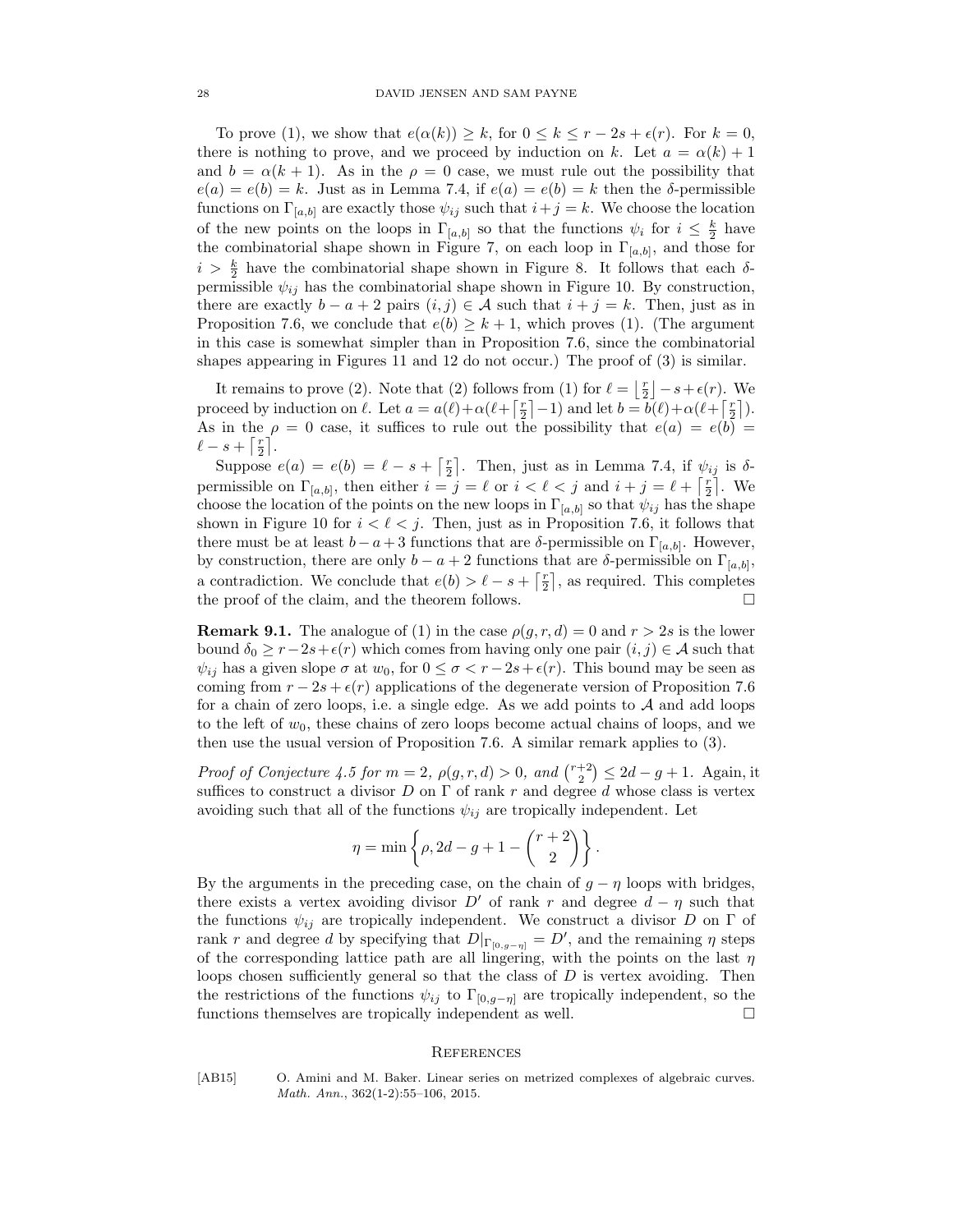To prove (1), we show that  $e(\alpha(k)) \geq k$ , for  $0 \leq k \leq r-2s+\epsilon(r)$ . For  $k=0$ , there is nothing to prove, and we proceed by induction on k. Let  $a = \alpha(k) + 1$ and  $b = \alpha(k + 1)$ . As in the  $\rho = 0$  case, we must rule out the possibility that  $e(a) = e(b) = k$ . Just as in Lemma 7.4, if  $e(a) = e(b) = k$  then the  $\delta$ -permissible functions on  $\Gamma_{[a,b]}$  are exactly those  $\psi_{ij}$  such that  $i+j=k$ . We choose the location of the new points on the loops in  $\Gamma_{[a,b]}$  so that the functions  $\psi_i$  for  $i \leq \frac{k}{2}$  have the combinatorial shape shown in Figure 7, on each loop in  $\Gamma_{[a,b]}$ , and those for  $i > \frac{k}{2}$  have the combinatorial shape shown in Figure 8. It follows that each  $\delta$ permissible  $\psi_{ij}$  has the combinatorial shape shown in Figure 10. By construction, there are exactly  $b - a + 2$  pairs  $(i, j) \in \mathcal{A}$  such that  $i + j = k$ . Then, just as in Proposition 7.6, we conclude that  $e(b) \geq k+1$ , which proves (1). (The argument in this case is somewhat simpler than in Proposition 7.6, since the combinatorial shapes appearing in Figures 11 and 12 do not occur.) The proof of (3) is similar.

It remains to prove (2). Note that (2) follows from (1) for  $\ell = \lfloor \frac{r}{2} \rfloor - s + \epsilon(r)$ . We proceed by induction on  $\ell$ . Let  $a = a(\ell) + \alpha(\ell + \lceil \frac{r}{2} \rceil - 1)$  and let  $b = b(\ell) + \alpha(\ell + \lceil \frac{r}{2} \rceil)$ . As in the  $\rho = 0$  case, it suffices to rule out the possibility that  $e(a) = e(b) =$  $\ell - s + \lceil \frac{r}{2} \rceil$ .

Suppose  $e(a) = e(b) = \ell - s + \lceil \frac{r}{2} \rceil$ . Then, just as in Lemma 7.4, if  $\psi_{ij}$  is  $\delta$ permissible on  $\Gamma_{[a,b]}$ , then either  $i = j = \ell$  or  $i < \ell < j$  and  $i + j = \ell + \lceil \frac{r}{2} \rceil$ . We choose the location of the points on the new loops in  $\Gamma_{[a,b]}$  so that  $\psi_{ij}$  has the shape shown in Figure 10 for  $i < \ell < j$ . Then, just as in Proposition 7.6, it follows that there must be at least  $b - a + 3$  functions that are  $\delta$ -permissible on  $\Gamma_{[a,b]}$ . However, by construction, there are only  $b - a + 2$  functions that are  $\delta$ -permissible on  $\Gamma_{[a,b]}$ , a contradiction. We conclude that  $e(b) > \ell - s + \lceil \frac{r}{2} \rceil$ , as required. This completes the proof of the claim, and the theorem follows.

**Remark 9.1.** The analogue of (1) in the case  $\rho(g, r, d) = 0$  and  $r > 2s$  is the lower bound  $\delta_0 \ge r-2s+\epsilon(r)$  which comes from having only one pair  $(i, j) \in A$  such that  $\psi_{ij}$  has a given slope  $\sigma$  at  $w_0$ , for  $0 \leq \sigma < r-2s+\epsilon(r)$ . This bound may be seen as coming from  $r - 2s + \epsilon(r)$  applications of the degenerate version of Proposition 7.6 for a chain of zero loops, i.e. a single edge. As we add points to  $A$  and add loops to the left of  $w_0$ , these chains of zero loops become actual chains of loops, and we then use the usual version of Proposition 7.6. A similar remark applies to (3).

Proof of Conjecture 4.5 for  $m = 2$ ,  $\rho(g, r, d) > 0$ , and  $\binom{r+2}{2} \leq 2d - g + 1$ . Again, it suffices to construct a divisor D on  $\Gamma$  of rank r and degree d whose class is vertex avoiding such that all of the functions  $\psi_{ij}$  are tropically independent. Let

$$
\eta = \min \left\{ \rho, 2d - g + 1 - \binom{r+2}{2} \right\}.
$$

By the arguments in the preceding case, on the chain of  $q - \eta$  loops with bridges, there exists a vertex avoiding divisor D' of rank r and degree  $d - \eta$  such that the functions  $\psi_{ij}$  are tropically independent. We construct a divisor D on  $\Gamma$  of rank r and degree d by specifying that  $D|_{\Gamma_{[0,g-\eta]}} = D'$ , and the remaining  $\eta$  steps of the corresponding lattice path are all lingering, with the points on the last  $\eta$ loops chosen sufficiently general so that the class of  $D$  is vertex avoiding. Then the restrictions of the functions  $\psi_{ij}$  to  $\Gamma_{[0,q-\eta]}$  are tropically independent, so the functions themselves are tropically independent as well.

#### **REFERENCES**

[AB15] O. Amini and M. Baker. Linear series on metrized complexes of algebraic curves. Math. Ann., 362(1-2):55–106, 2015.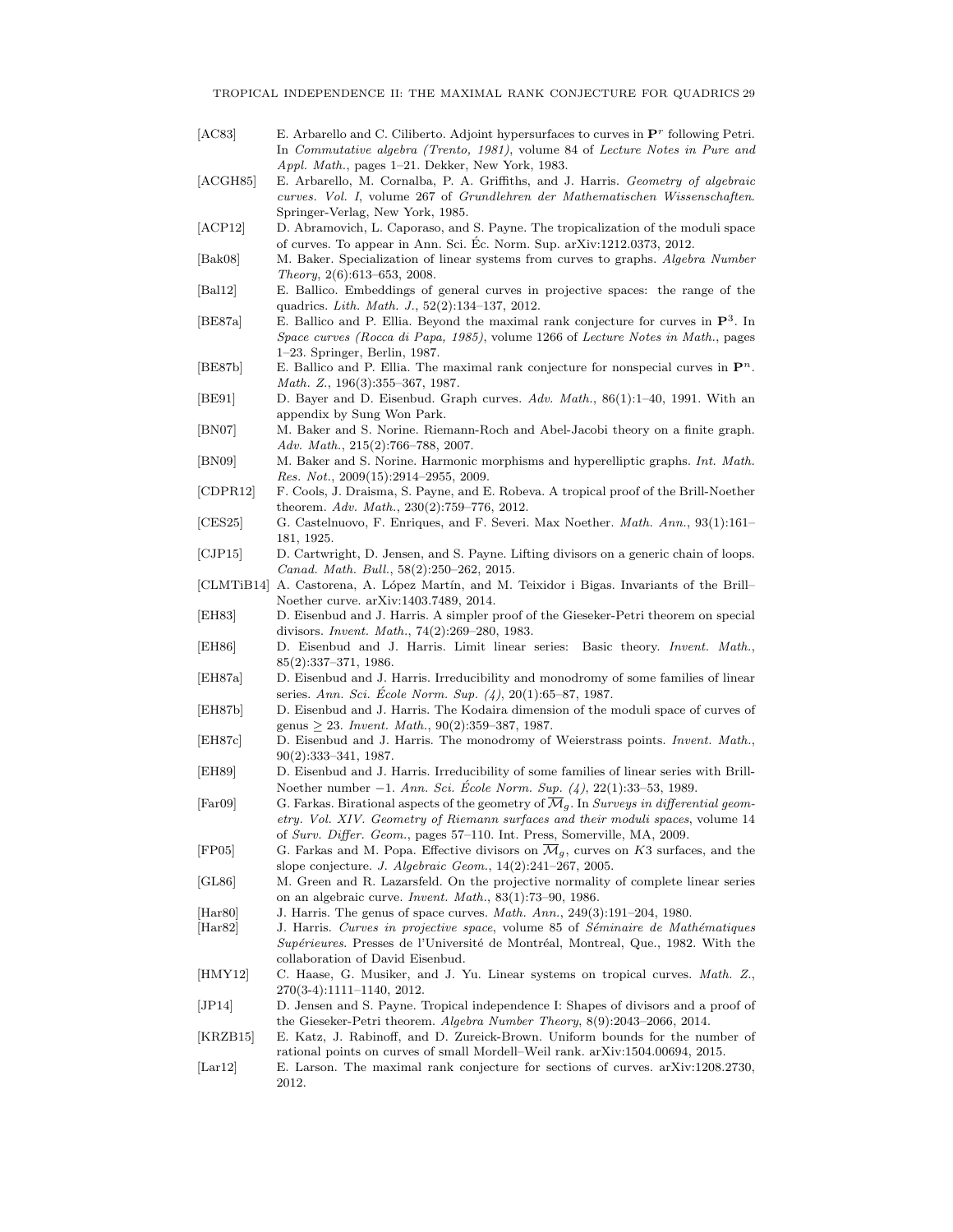- [AC83] E. Arbarello and C. Ciliberto. Adjoint hypersurfaces to curves in  $\mathbf{P}^r$  following Petri. In Commutative algebra (Trento, 1981), volume 84 of Lecture Notes in Pure and Appl. Math., pages 1–21. Dekker, New York, 1983.
- [ACGH85] E. Arbarello, M. Cornalba, P. A. Griffiths, and J. Harris. Geometry of algebraic curves. Vol. I, volume 267 of Grundlehren der Mathematischen Wissenschaften. Springer-Verlag, New York, 1985.
- [ACP12] D. Abramovich, L. Caporaso, and S. Payne. The tropicalization of the moduli space of curves. To appear in Ann. Sci. Ec. Norm. Sup. arXiv:1212.0373, 2012. ´
- [Bak08] M. Baker. Specialization of linear systems from curves to graphs. Algebra Number Theory, 2(6):613–653, 2008.
- [Bal12] E. Ballico. Embeddings of general curves in projective spaces: the range of the quadrics. Lith. Math. J., 52(2):134–137, 2012.
- [BE87a] E. Ballico and P. Ellia. Beyond the maximal rank conjecture for curves in  $\mathbf{P}^3$ . In Space curves (Rocca di Papa, 1985), volume 1266 of Lecture Notes in Math., pages 1–23. Springer, Berlin, 1987.
- [BE87b] E. Ballico and P. Ellia. The maximal rank conjecture for nonspecial curves in  $\mathbf{P}^n$ . Math. Z., 196(3):355–367, 1987.
- [BE91] D. Bayer and D. Eisenbud. Graph curves. Adv. Math., 86(1):1–40, 1991. With an appendix by Sung Won Park.
- [BN07] M. Baker and S. Norine. Riemann-Roch and Abel-Jacobi theory on a finite graph. Adv. Math., 215(2):766–788, 2007.
- [BN09] M. Baker and S. Norine. Harmonic morphisms and hyperelliptic graphs. Int. Math. Res. Not., 2009(15):2914–2955, 2009.
- [CDPR12] F. Cools, J. Draisma, S. Payne, and E. Robeva. A tropical proof of the Brill-Noether theorem. Adv. Math., 230(2):759–776, 2012.
- [CES25] G. Castelnuovo, F. Enriques, and F. Severi. Max Noether. Math. Ann., 93(1):161– 181, 1925.
- [CJP15] D. Cartwright, D. Jensen, and S. Payne. Lifting divisors on a generic chain of loops. Canad. Math. Bull., 58(2):250–262, 2015.
- [CLMTiB14] A. Castorena, A. López Martín, and M. Teixidor i Bigas. Invariants of the Brill– Noether curve. arXiv:1403.7489, 2014.
- [EH83] D. Eisenbud and J. Harris. A simpler proof of the Gieseker-Petri theorem on special divisors. Invent. Math., 74(2):269–280, 1983.
- [EH86] D. Eisenbud and J. Harris. Limit linear series: Basic theory. Invent. Math., 85(2):337–371, 1986.
- [EH87a] D. Eisenbud and J. Harris. Irreducibility and monodromy of some families of linear series. Ann. Sci. École Norm. Sup.  $(4)$ , 20 $(1)$ :65–87, 1987.
- [EH87b] D. Eisenbud and J. Harris. The Kodaira dimension of the moduli space of curves of genus  $\geq 23$ . Invent. Math., 90(2):359-387, 1987.
- [EH87c] D. Eisenbud and J. Harris. The monodromy of Weierstrass points. Invent. Math., 90(2):333–341, 1987.
- [EH89] D. Eisenbud and J. Harris. Irreducibility of some families of linear series with Brill-Noether number −1. Ann. Sci. École Norm. Sup. (4), 22(1):33–53, 1989.
- [Far09] G. Farkas. Birational aspects of the geometry of  $\overline{\mathcal{M}}_q$ . In Surveys in differential geometry. Vol. XIV. Geometry of Riemann surfaces and their moduli spaces, volume 14 of Surv. Differ. Geom., pages 57–110. Int. Press, Somerville, MA, 2009.
- [FP05] G. Farkas and M. Popa. Effective divisors on  $\overline{\mathcal{M}}_q$ , curves on K3 surfaces, and the slope conjecture. J. Algebraic Geom., 14(2):241–267, 2005.
- [GL86] M. Green and R. Lazarsfeld. On the projective normality of complete linear series on an algebraic curve. Invent. Math., 83(1):73–90, 1986.
- [Har80] J. Harris. The genus of space curves. Math. Ann., 249(3):191–204, 1980.
- [Har82] J. Harris. Curves in projective space, volume 85 of Séminaire de Mathématiques Supérieures. Presses de l'Université de Montréal, Montreal, Que., 1982. With the collaboration of David Eisenbud.
- [HMY12] C. Haase, G. Musiker, and J. Yu. Linear systems on tropical curves. Math. Z., 270(3-4):1111–1140, 2012.
- [JP14] D. Jensen and S. Payne. Tropical independence I: Shapes of divisors and a proof of the Gieseker-Petri theorem. Algebra Number Theory, 8(9):2043–2066, 2014.
- [KRZB15] E. Katz, J. Rabinoff, and D. Zureick-Brown. Uniform bounds for the number of rational points on curves of small Mordell–Weil rank. arXiv:1504.00694, 2015.
- [Lar12] E. Larson. The maximal rank conjecture for sections of curves. arXiv:1208.2730, 2012.